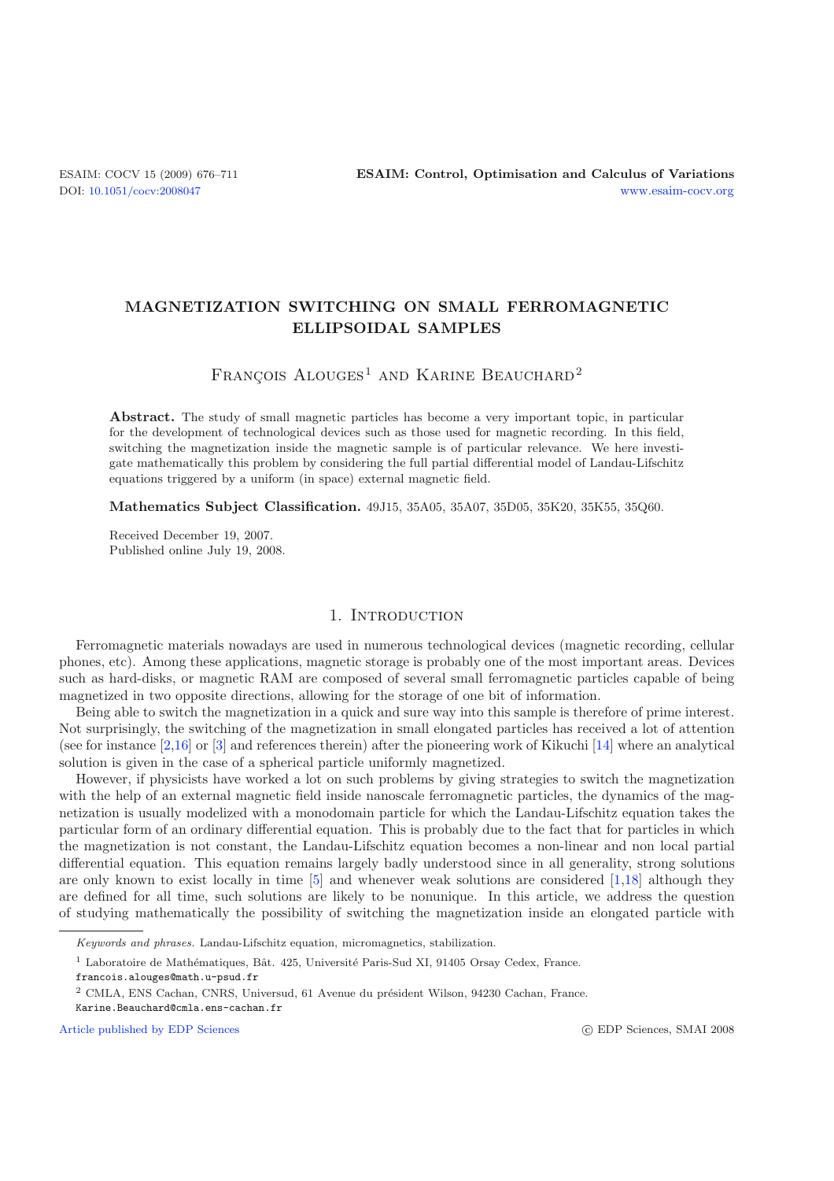# **MAGNETIZATION SWITCHING ON SMALL FERROMAGNETIC ELLIPSOIDAL SAMPLES**

# $FRANÇOIS$  ALOUGES<sup>1</sup> AND KARINE BEAUCHARD<sup>2</sup>

**Abstract.** The study of small magnetic particles has become a very important topic, in particular for the development of technological devices such as those used for magnetic recording. In this field, switching the magnetization inside the magnetic sample is of particular relevance. We here investigate mathematically this problem by considering the full partial differential model of Landau-Lifschitz equations triggered by a uniform (in space) external magnetic field.

**Mathematics Subject Classification.** 49J15, 35A05, 35A07, 35D05, 35K20, 35K55, 35Q60.

Received December 19, 2007. Published online July 19, 2008.

### 1. INTRODUCTION

Ferromagnetic materials nowadays are used in numerous technological devices (magnetic recording, cellular phones, etc). Among these applications, magnetic storage is probably one of the most important areas. Devices such as hard-disks, or magnetic RAM are composed of several small ferromagnetic particles capable of being magnetized in two opposite directions, allowing for the storage of one bit of information.

Being able to switch the magnetization in a quick and sure way into this sample is therefore of prime interest. Not surprisingly, the switching of the magnetization in small elongated particles has received a lot of attention (see for instance [\[2](#page-35-0)[,16\]](#page-35-1) or [\[3\]](#page-35-2) and references therein) after the pioneering work of Kikuchi [\[14](#page-35-3)] where an analytical solution is given in the case of a spherical particle uniformly magnetized.

However, if physicists have worked a lot on such problems by giving strategies to switch the magnetization with the help of an external magnetic field inside nanoscale ferromagnetic particles, the dynamics of the magnetization is usually modelized with a monodomain particle for which the Landau-Lifschitz equation takes the particular form of an ordinary differential equation. This is probably due to the fact that for particles in which the magnetization is not constant, the Landau-Lifschitz equation becomes a non-linear and non local partial differential equation. This equation remains largely badly understood since in all generality, strong solutions are only known to exist locally in time [\[5](#page-35-4)] and whenever weak solutions are considered [\[1](#page-35-5)[,18\]](#page-35-6) although they are defined for all time, such solutions are likely to be nonunique. In this article, we address the question of studying mathematically the possibility of switching the magnetization inside an elongated particle with

[Article published by EDP Sciences](http://www.edpsciences.org)

Keywords and phrases. Landau-Lifschitz equation, micromagnetics, stabilization.

 $1$  Laboratoire de Mathématiques, Bât. 425, Université Paris-Sud XI, 91405 Orsay Cedex, France.

francois.alouges@math.u-psud.fr

 $^2$  CMLA, ENS Cachan, CNRS, Universud, 61 Avenue du président Wilson, 94230 Cachan, France.

Karine.Beauchard@cmla.ens-cachan.fr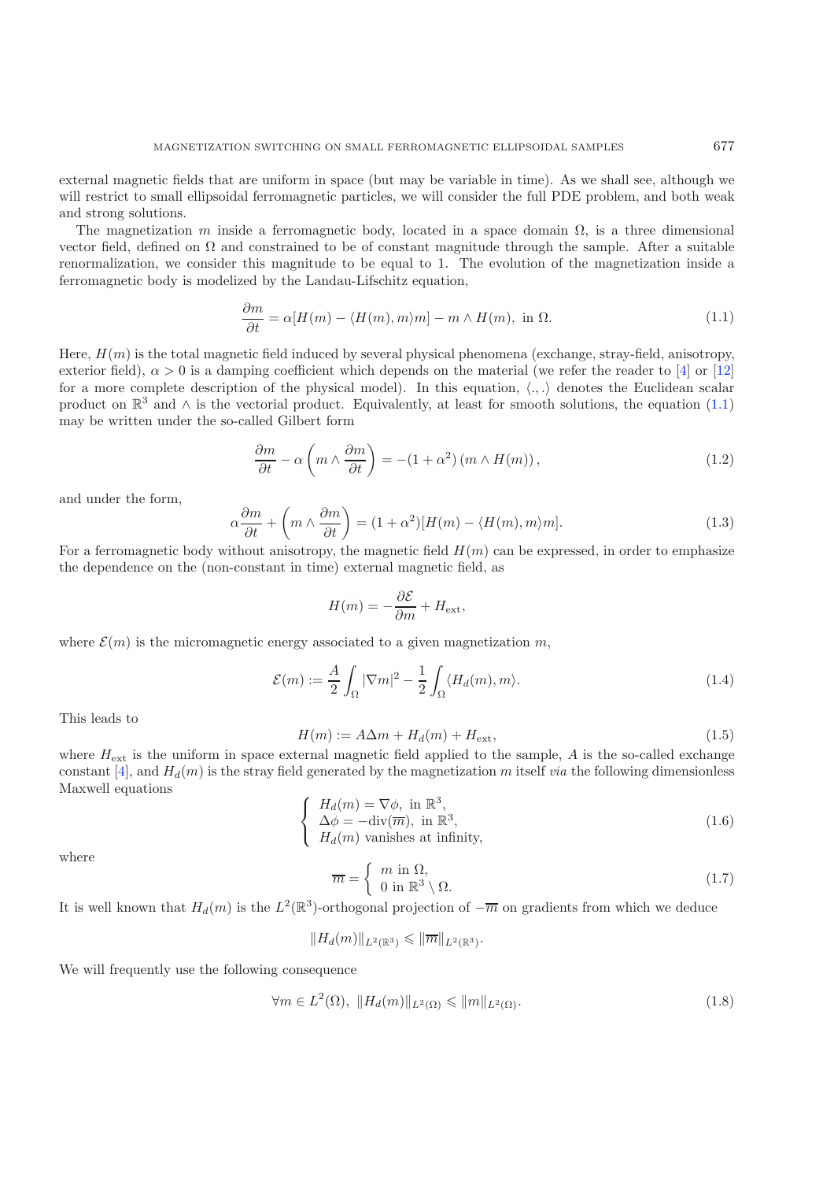<span id="page-1-0"></span>external magnetic fields that are uniform in space (but may be variable in time). As we shall see, although we will restrict to small ellipsoidal ferromagnetic particles, we will consider the full PDE problem, and both weak and strong solutions.

The magnetization m inside a ferromagnetic body, located in a space domain  $\Omega$ , is a three dimensional vector field, defined on  $\Omega$  and constrained to be of constant magnitude through the sample. After a suitable renormalization, we consider this magnitude to be equal to 1. The evolution of the magnetization inside a ferromagnetic body is modelized by the Landau-Lifschitz equation,

$$
\frac{\partial m}{\partial t} = \alpha [H(m) - \langle H(m), m \rangle m] - m \wedge H(m), \text{ in } \Omega.
$$
 (1.1)

Here,  $H(m)$  is the total magnetic field induced by several physical phenomena (exchange, stray-field, anisotropy, exterior field),  $\alpha > 0$  is a damping coefficient which depends on the material (we refer the reader to [\[4\]](#page-35-7) or [\[12](#page-35-8)] for a more complete description of the physical model). In this equation,  $\langle ., . \rangle$  denotes the Euclidean scalar product on  $\mathbb{R}^3$  and  $\wedge$  is the vectorial product. Equivalently, at least for smooth solutions, the equation [\(1.1\)](#page-1-0) may be written under the so-called Gilbert form

$$
\frac{\partial m}{\partial t} - \alpha \left( m \wedge \frac{\partial m}{\partial t} \right) = -(1 + \alpha^2) \left( m \wedge H(m) \right),\tag{1.2}
$$

and under the form,

<span id="page-1-1"></span>
$$
\alpha \frac{\partial m}{\partial t} + \left( m \wedge \frac{\partial m}{\partial t} \right) = (1 + \alpha^2) [H(m) - \langle H(m), m \rangle m]. \tag{1.3}
$$

For a ferromagnetic body without anisotropy, the magnetic field  $H(m)$  can be expressed, in order to emphasize the dependence on the (non-constant in time) external magnetic field, as

$$
H(m) = -\frac{\partial \mathcal{E}}{\partial m} + H_{\text{ext}},
$$

where  $\mathcal{E}(m)$  is the micromagnetic energy associated to a given magnetization m,

<span id="page-1-3"></span><span id="page-1-2"></span>
$$
\mathcal{E}(m) := \frac{A}{2} \int_{\Omega} |\nabla m|^2 - \frac{1}{2} \int_{\Omega} \langle H_d(m), m \rangle.
$$
 (1.4)

This leads to

$$
H(m) := A\Delta m + H_d(m) + H_{\text{ext}},\tag{1.5}
$$

<span id="page-1-4"></span>where  $H_{\text{ext}}$  is the uniform in space external magnetic field applied to the sample, A is the so-called exchange constant  $[4]$  $[4]$ , and  $H_d(m)$  is the stray field generated by the magnetization m itself *via* the following dimensionless Maxwell equations

$$
\begin{cases}\nH_d(m) = \nabla \phi, \text{ in } \mathbb{R}^3, \\
\Delta \phi = -\text{div}(\overline{m}), \text{ in } \mathbb{R}^3, \\
H_d(m) \text{ vanishes at infinity,} \n\end{cases}
$$
\n(1.6)

where

$$
\overline{m} = \begin{cases} m \text{ in } \Omega, \\ 0 \text{ in } \mathbb{R}^3 \setminus \Omega. \end{cases} \tag{1.7}
$$

It is well known that  $H_d(m)$  is the  $L^2(\mathbb{R}^3)$ -orthogonal projection of  $-\overline{m}$  on gradients from which we deduce

$$
||H_d(m)||_{L^2(\mathbb{R}^3)} \le ||\overline{m}||_{L^2(\mathbb{R}^3)}.
$$

We will frequently use the following consequence

$$
\forall m \in L^{2}(\Omega), \quad \|H_{d}(m)\|_{L^{2}(\Omega)} \leqslant \|m\|_{L^{2}(\Omega)}.
$$
\n
$$
(1.8)
$$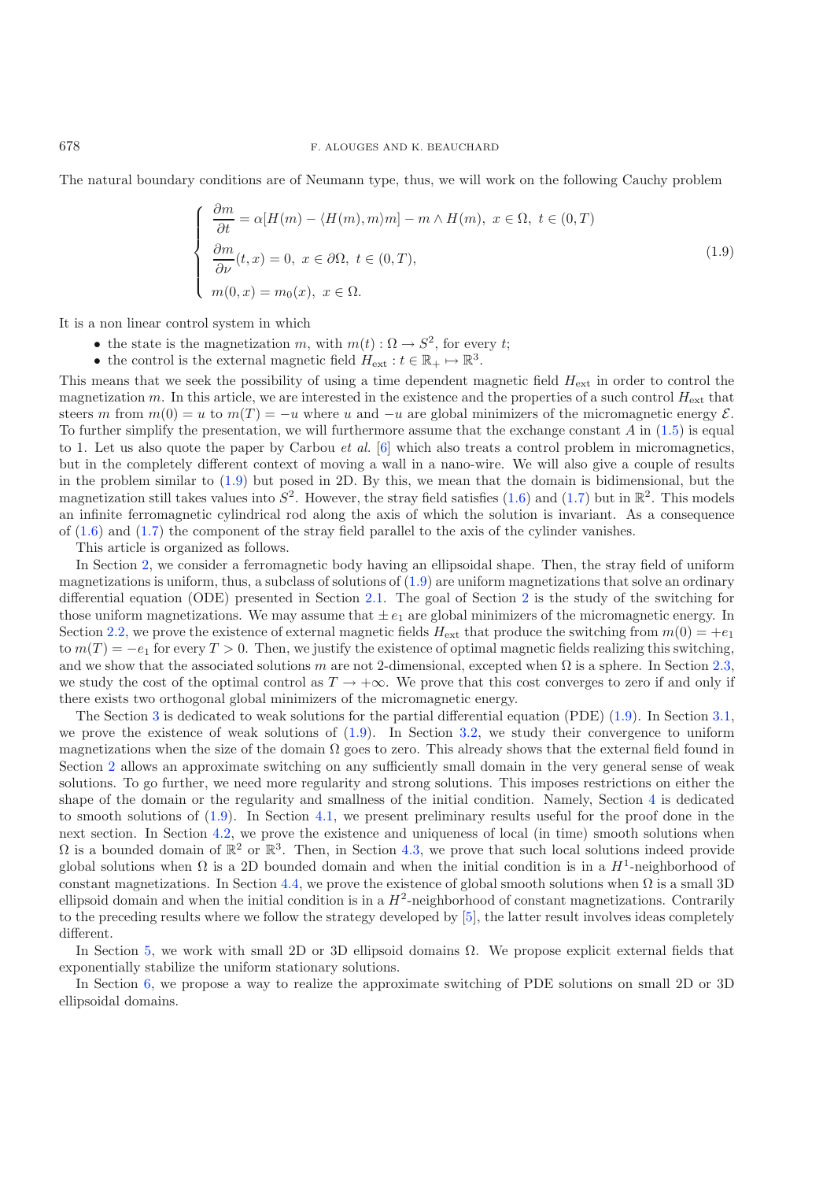The natural boundary conditions are of Neumann type, thus, we will work on the following Cauchy problem

$$
\begin{cases}\n\frac{\partial m}{\partial t} = \alpha [H(m) - \langle H(m), m \rangle m] - m \wedge H(m), \ x \in \Omega, \ t \in (0, T) \\
\frac{\partial m}{\partial \nu}(t, x) = 0, \ x \in \partial \Omega, \ t \in (0, T), \\
m(0, x) = m_0(x), \ x \in \Omega.\n\end{cases}
$$
\n(1.9)

It is a non linear control system in which

- the state is the magnetization m, with  $m(t): \Omega \to S^2$ , for every t;
- the control is the external magnetic field  $H_{ext} : t \in \mathbb{R}_+ \mapsto \mathbb{R}^3$ .

This means that we seek the possibility of using a time dependent magnetic field  $H_{\text{ext}}$  in order to control the magnetization m. In this article, we are interested in the existence and the properties of a such control  $H_{\text{ext}}$  that steers m from  $m(0) = u$  to  $m(T) = -u$  where u and  $-u$  are global minimizers of the micromagnetic energy  $\mathcal{E}$ . To further simplify the presentation, we will furthermore assume that the exchange constant  $A$  in [\(1.5\)](#page-1-1) is equal to 1. Let us also quote the paper by Carbou *et al.* [\[6](#page-35-9)] which also treats a control problem in micromagnetics, but in the completely different context of moving a wall in a nano-wire. We will also give a couple of results in the problem similar to [\(1.9\)](#page-2-0) but posed in 2D. By this, we mean that the domain is bidimensional, but the magnetization still takes values into  $S^2$ . However, the stray field satisfies [\(1.6\)](#page-1-2) and [\(1.7\)](#page-1-3) but in  $\mathbb{R}^2$ . This models an infinite ferromagnetic cylindrical rod along the axis of which the solution is invariant. As a consequence of [\(1.6\)](#page-1-2) and [\(1.7\)](#page-1-3) the component of the stray field parallel to the axis of the cylinder vanishes.

This article is organized as follows.

In Section [2,](#page-3-0) we consider a ferromagnetic body having an ellipsoidal shape. Then, the stray field of uniform magnetizations is uniform, thus, a subclass of solutions of  $(1.9)$  are uniform magnetizations that solve an ordinary differential equation (ODE) presented in Section [2.1.](#page-3-1) The goal of Section [2](#page-3-0) is the study of the switching for those uniform magnetizations. We may assume that  $\pm e_1$  are global minimizers of the micromagnetic energy. In Section [2.2,](#page-3-2) we prove the existence of external magnetic fields  $H_{ext}$  that produce the switching from  $m(0) = +e_1$ to  $m(T) = -e_1$  for every  $T > 0$ . Then, we justify the existence of optimal magnetic fields realizing this switching, and we show that the associated solutions m are not 2-dimensional, excepted when  $\Omega$  is a sphere. In Section [2.3,](#page-6-0) we study the cost of the optimal control as  $T \to +\infty$ . We prove that this cost converges to zero if and only if there exists two orthogonal global minimizers of the micromagnetic energy.

The Section [3](#page-7-0) is dedicated to weak solutions for the partial differential equation (PDE) [\(1.9\)](#page-2-0). In Section [3.1,](#page-7-1) we prove the existence of weak solutions of  $(1.9)$ . In Section [3.2,](#page-11-0) we study their convergence to uniform magnetizations when the size of the domain  $\Omega$  goes to zero. This already shows that the external field found in Section [2](#page-3-0) allows an approximate switching on any sufficiently small domain in the very general sense of weak solutions. To go further, we need more regularity and strong solutions. This imposes restrictions on either the shape of the domain or the regularity and smallness of the initial condition. Namely, Section [4](#page-14-0) is dedicated to smooth solutions of [\(1.9\)](#page-2-0). In Section [4.1,](#page-16-0) we present preliminary results useful for the proof done in the next section. In Section [4.2,](#page-18-0) we prove the existence and uniqueness of local (in time) smooth solutions when  $\Omega$  is a bounded domain of  $\mathbb{R}^2$  or  $\mathbb{R}^3$ . Then, in Section [4.3,](#page-21-0) we prove that such local solutions indeed provide global solutions when  $\Omega$  is a 2D bounded domain and when the initial condition is in a  $H^1$ -neighborhood of constant magnetizations. In Section [4.4,](#page-24-0) we prove the existence of global smooth solutions when  $\Omega$  is a small 3D ellipsoid domain and when the initial condition is in a  $H^2$ -neighborhood of constant magnetizations. Contrarily to the preceding results where we follow the strategy developed by [\[5](#page-35-4)], the latter result involves ideas completely different.

In Section [5,](#page-26-0) we work with small 2D or 3D ellipsoid domains Ω. We propose explicit external fields that exponentially stabilize the uniform stationary solutions.

In Section [6,](#page-34-0) we propose a way to realize the approximate switching of PDE solutions on small 2D or 3D ellipsoidal domains.

<span id="page-2-0"></span>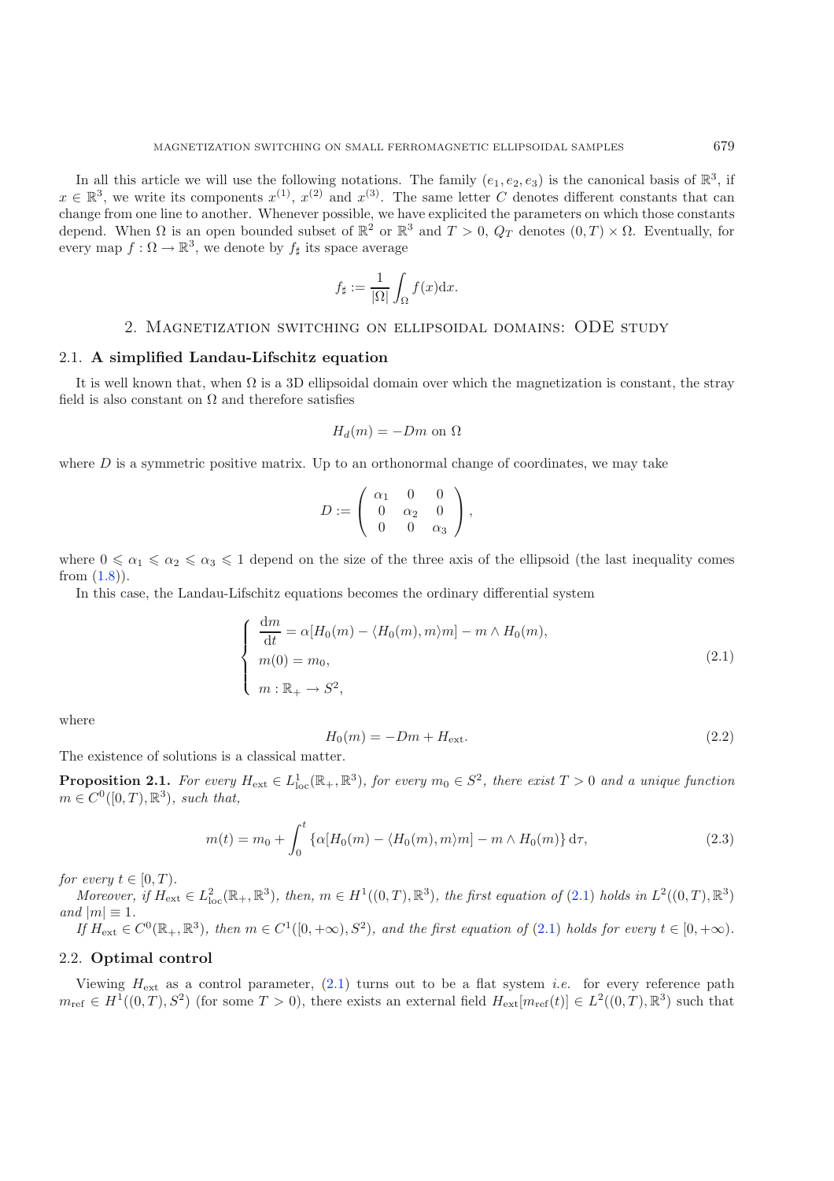In all this article we will use the following notations. The family  $(e_1, e_2, e_3)$  is the canonical basis of  $\mathbb{R}^3$ , if  $x \in \mathbb{R}^3$ , we write its components  $x^{(1)}$ ,  $x^{(2)}$  and  $x^{(3)}$ . The same letter C denotes different constants that can change from one line to another. Whenever possible, we have explicited the parameters on which those constants depend. When  $\Omega$  is an open bounded subset of  $\mathbb{R}^2$  or  $\mathbb{R}^3$  and  $T > 0$ ,  $Q_T$  denotes  $(0, T) \times \Omega$ . Eventually, for every map  $f: \Omega \to \mathbb{R}^3$ , we denote by  $f_{\sharp}$  its space average

$$
f_{\sharp} := \frac{1}{|\Omega|} \int_{\Omega} f(x) \mathrm{d}x.
$$

#### 2. Magnetization switching on ellipsoidal domains: ODE study

#### <span id="page-3-1"></span><span id="page-3-0"></span>2.1. **A simplified Landau-Lifschitz equation**

It is well known that, when  $\Omega$  is a 3D ellipsoidal domain over which the magnetization is constant, the stray field is also constant on  $\Omega$  and therefore satisfies

$$
H_d(m) = -Dm
$$
 on  $\Omega$ 

<span id="page-3-3"></span>where  $D$  is a symmetric positive matrix. Up to an orthonormal change of coordinates, we may take

$$
D:=\left(\begin{array}{ccc} \alpha_1 & 0 & 0 \\ 0 & \alpha_2 & 0 \\ 0 & 0 & \alpha_3 \end{array}\right),
$$

where  $0 \le \alpha_1 \le \alpha_2 \le \alpha_3 \le 1$  depend on the size of the three axis of the ellipsoid (the last inequality comes from  $(1.8)$ .

In this case, the Landau-Lifschitz equations becomes the ordinary differential system

<span id="page-3-4"></span>
$$
\begin{cases}\n\frac{\mathrm{d}m}{\mathrm{d}t} = \alpha [H_0(m) - \langle H_0(m), m \rangle m] - m \wedge H_0(m), \\
m(0) = m_0, \\
m: \mathbb{R}_+ \to S^2,\n\end{cases}
$$
\n(2.1)

where

$$
H_0(m) = -Dm + H_{\text{ext}}.\tag{2.2}
$$

The existence of solutions is a classical matter.

**Proposition 2.1.** For every  $H_{ext} \in L^1_{loc}(\mathbb{R}_+, \mathbb{R}^3)$ , for every  $m_0 \in S^2$ , there exist  $T > 0$  and a unique function  $m \in C^0([0,T),\mathbb{R}^3)$ , such that,

$$
m(t) = m_0 + \int_0^t \left\{ \alpha[H_0(m) - \langle H_0(m), m \rangle m] - m \wedge H_0(m) \right\} d\tau,
$$
\n(2.3)

*for every*  $t \in [0, T)$ *.* 

*Moreover, if*  $H_{ext} \in L^2_{loc}(\mathbb{R}_+, \mathbb{R}^3)$ *, then,*  $m \in H^1((0,T), \mathbb{R}^3)$ *, the first equation of* [\(2.1\)](#page-3-3) *holds in*  $L^2((0,T), \mathbb{R}^3)$ *and*  $|m| \equiv 1$ *.* 

*If*  $H_{ext}$  ∈  $C^0(\mathbb{R}_+, \mathbb{R}^3)$ *, then*  $m \in C^1([0, +\infty), S^2)$ *, and the first equation of* [\(2.1\)](#page-3-3) *holds for every*  $t \in [0, +\infty)$ *.* 

## <span id="page-3-2"></span>2.2. **Optimal control**

Viewing  $H_{\text{ext}}$  as a control parameter, [\(2.1\)](#page-3-3) turns out to be a flat system *i.e.* for every reference path  $m_{\text{ref}} \in H^1((0,T), S^2)$  (for some  $T > 0$ ), there exists an external field  $H_{\text{ext}}[m_{\text{ref}}(t)] \in L^2((0,T), \mathbb{R}^3)$  such that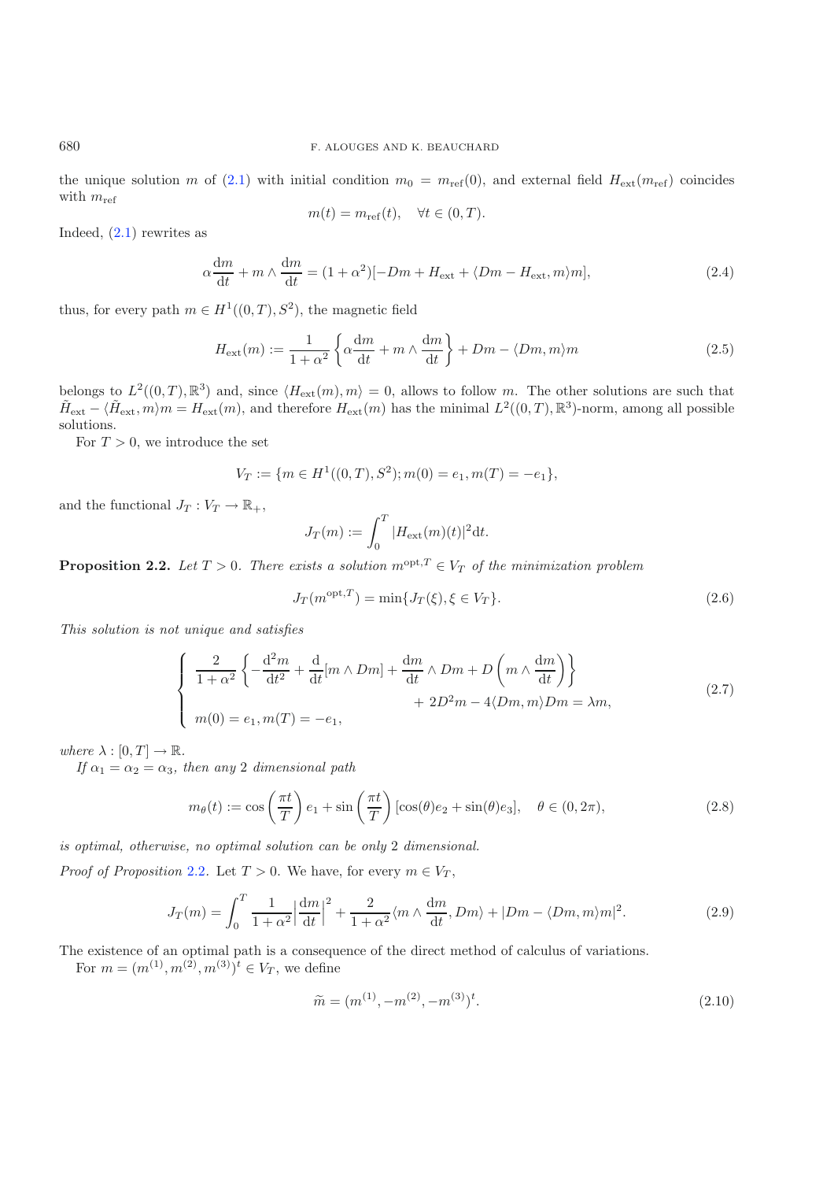the unique solution m of [\(2.1\)](#page-3-3) with initial condition  $m_0 = m_{ref}(0)$ , and external field  $H_{ext}(m_{ref})$  coincides with  $m_{\text{ref}}$ 

$$
m(t) = m_{\text{ref}}(t), \quad \forall t \in (0, T)
$$

Indeed, [\(2.1\)](#page-3-3) rewrites as

$$
\alpha \frac{\mathrm{d}m}{\mathrm{d}t} + m \wedge \frac{\mathrm{d}m}{\mathrm{d}t} = (1 + \alpha^2)[-Dm + H_{\text{ext}} + \langle Dm - H_{\text{ext}}, m \rangle m],\tag{2.4}
$$

thus, for every path  $m \in H^1((0,T), S^2)$ , the magnetic field

<span id="page-4-1"></span>
$$
H_{\text{ext}}(m) := \frac{1}{1 + \alpha^2} \left\{ \alpha \frac{dm}{dt} + m \wedge \frac{dm}{dt} \right\} + Dm - \langle Dm, m \rangle m \tag{2.5}
$$

belongs to  $L^2((0,T),\mathbb{R}^3)$  and, since  $\langle H_{\text{ext}}(m), m \rangle = 0$ , allows to follow m. The other solutions are such that  $\tilde{H}_{ext} - \langle \tilde{H}_{ext}, m \rangle m = H_{ext}(m)$ , and therefore  $H_{ext}(m)$  has the minimal  $L^2((0,T), \mathbb{R}^3)$ -norm, among all possible solutions.

For  $T > 0$ , we introduce the set

$$
V_T := \{ m \in H^1((0,T), S^2); m(0) = e_1, m(T) = -e_1 \},\
$$

<span id="page-4-2"></span>and the functional  $J_T: V_T \to \mathbb{R}_+,$ 

$$
J_T(m) := \int_0^T |H_{\text{ext}}(m)(t)|^2 dt.
$$

<span id="page-4-0"></span>**Proposition 2.2.** *Let*  $T > 0$ *. There exists a solution*  $m^{\text{opt}}$ ,  $T \in V_T$  *of the minimization problem* 

$$
J_T(m^{\text{opt},T}) = \min\{J_T(\xi), \xi \in V_T\}.
$$
\n(2.6)

<span id="page-4-4"></span>*This solution is not unique and satisfies*

$$
\begin{cases}\n\frac{2}{1+\alpha^2} \left\{ -\frac{d^2m}{dt^2} + \frac{d}{dt}[m \wedge Dm] + \frac{dm}{dt} \wedge Dm + D\left(m \wedge \frac{dm}{dt}\right) \right\} \\
+ 2D^2m - 4\langle Dm, m \rangle Dm = \lambda m, \\
m(0) = e_1, m(T) = -e_1,\n\end{cases}
$$
\n(2.7)

<span id="page-4-5"></span>*where*  $\lambda : [0, T] \to \mathbb{R}$ *.* 

*If*  $\alpha_1 = \alpha_2 = \alpha_3$ *, then any* 2 *dimensional path* 

<span id="page-4-3"></span>
$$
m_{\theta}(t) := \cos\left(\frac{\pi t}{T}\right)e_1 + \sin\left(\frac{\pi t}{T}\right)\left[\cos(\theta)e_2 + \sin(\theta)e_3\right], \quad \theta \in (0, 2\pi),\tag{2.8}
$$

*is optimal, otherwise, no optimal solution can be only* 2 *dimensional.*

*Proof of Proposition* [2.2](#page-4-0)*.* Let  $T > 0$ *.* We have, for every  $m \in V_T$ ,

$$
J_T(m) = \int_0^T \frac{1}{1+\alpha^2} \left| \frac{\mathrm{d}m}{\mathrm{d}t} \right|^2 + \frac{2}{1+\alpha^2} \langle m \wedge \frac{\mathrm{d}m}{\mathrm{d}t}, Dm \rangle + |Dm - \langle Dm, m \rangle m|^2. \tag{2.9}
$$

The existence of an optimal path is a consequence of the direct method of calculus of variations.

For  $m = (m^{(1)}, m^{(2)}, m^{(3)})^t \in V_T$ , we define

$$
\widetilde{m} = (m^{(1)}, -m^{(2)}, -m^{(3)})^t.
$$
\n(2.10)

<span id="page-4-6"></span>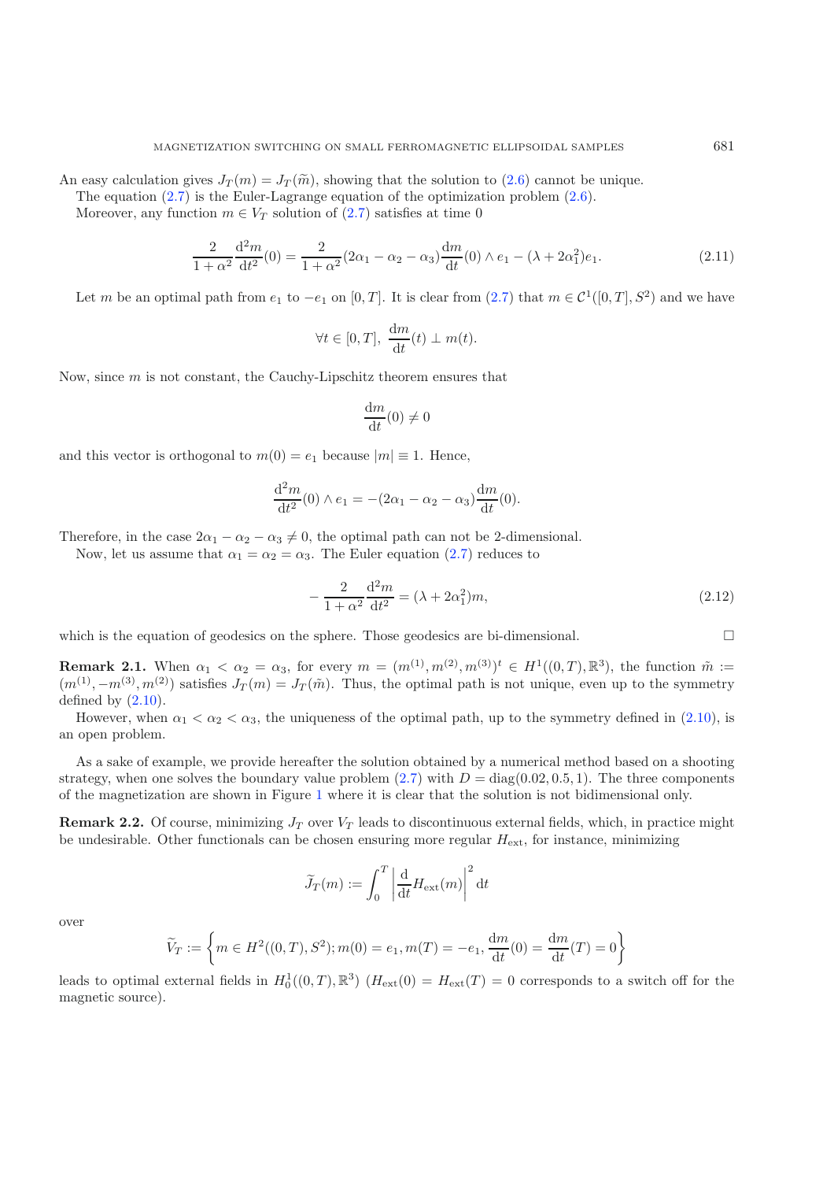An easy calculation gives  $J_T(m) = J_T(\tilde{m})$ , showing that the solution to [\(2.6\)](#page-4-1) cannot be unique.

The equation [\(2.7\)](#page-4-2) is the Euler-Lagrange equation of the optimization problem [\(2.6\)](#page-4-1).

Moreover, any function  $m \in V_T$  solution of [\(2.7\)](#page-4-2) satisfies at time 0

$$
\frac{2}{1+\alpha^2} \frac{d^2 m}{dt^2}(0) = \frac{2}{1+\alpha^2} (2\alpha_1 - \alpha_2 - \alpha_3) \frac{dm}{dt}(0) \wedge e_1 - (\lambda + 2\alpha_1^2)e_1.
$$
 (2.11)

Let m be an optimal path from  $e_1$  to  $-e_1$  on [0, T]. It is clear from [\(2.7\)](#page-4-2) that  $m \in C^1([0,T], S^2)$  and we have

$$
\forall t \in [0, T], \ \frac{\mathrm{d}m}{\mathrm{d}t}(t) \perp m(t).
$$

Now, since  $m$  is not constant, the Cauchy-Lipschitz theorem ensures that

$$
\frac{\mathrm{d}m}{\mathrm{d}t}(0)\neq 0
$$

and this vector is orthogonal to  $m(0) = e_1$  because  $|m| \equiv 1$ . Hence,

$$
\frac{d^2m}{dt^2}(0) \wedge e_1 = -(2\alpha_1 - \alpha_2 - \alpha_3)\frac{dm}{dt}(0).
$$

Therefore, in the case  $2\alpha_1 - \alpha_2 - \alpha_3 \neq 0$ , the optimal path can not be 2-dimensional.

Now, let us assume that  $\alpha_1 = \alpha_2 = \alpha_3$ . The Euler equation [\(2.7\)](#page-4-2) reduces to

$$
-\frac{2}{1+\alpha^2}\frac{d^2m}{dt^2} = (\lambda + 2\alpha_1^2)m,
$$
\n(2.12)

which is the equation of geodesics on the sphere. Those geodesics are bi-dimensional.

**Remark 2.1.** When  $\alpha_1 < \alpha_2 = \alpha_3$ , for every  $m = (m^{(1)}, m^{(2)}, m^{(3)})^t \in H^1((0,T), \mathbb{R}^3)$ , the function  $\tilde{m} :=$  $(m^{(1)}, -m^{(3)}, m^{(2)})$  satisfies  $J_T(m) = J_T(\tilde{m})$ . Thus, the optimal path is not unique, even up to the symmetry defined by  $(2.10)$ .

However, when  $\alpha_1 < \alpha_2 < \alpha_3$ , the uniqueness of the optimal path, up to the symmetry defined in [\(2.10\)](#page-4-3), is an open problem.

As a sake of example, we provide hereafter the solution obtained by a numerical method based on a shooting strategy, when one solves the boundary value problem  $(2.7)$  with  $D = diag(0.02, 0.5, 1)$ . The three components of the magnetization are shown in Figure [1](#page-6-1) where it is clear that the solution is not bidimensional only.

**Remark 2.2.** Of course, minimizing  $J_T$  over  $V_T$  leads to discontinuous external fields, which, in practice might be undesirable. Other functionals can be chosen ensuring more regular  $H_{\text{ext}}$ , for instance, minimizing

$$
\widetilde{J}_T(m) := \int_0^T \left| \frac{\mathrm{d}}{\mathrm{d}t} H_{\text{ext}}(m) \right|^2 \mathrm{d}t
$$

over

$$
\widetilde{V}_T := \left\{ m \in H^2((0,T), S^2); m(0) = e_1, m(T) = -e_1, \frac{dm}{dt}(0) = \frac{dm}{dt}(T) = 0 \right\}
$$

leads to optimal external fields in  $H_0^1((0,T),\mathbb{R}^3)$   $(H_{ext}(0) = H_{ext}(T) = 0$  corresponds to a switch off for the magnetic source).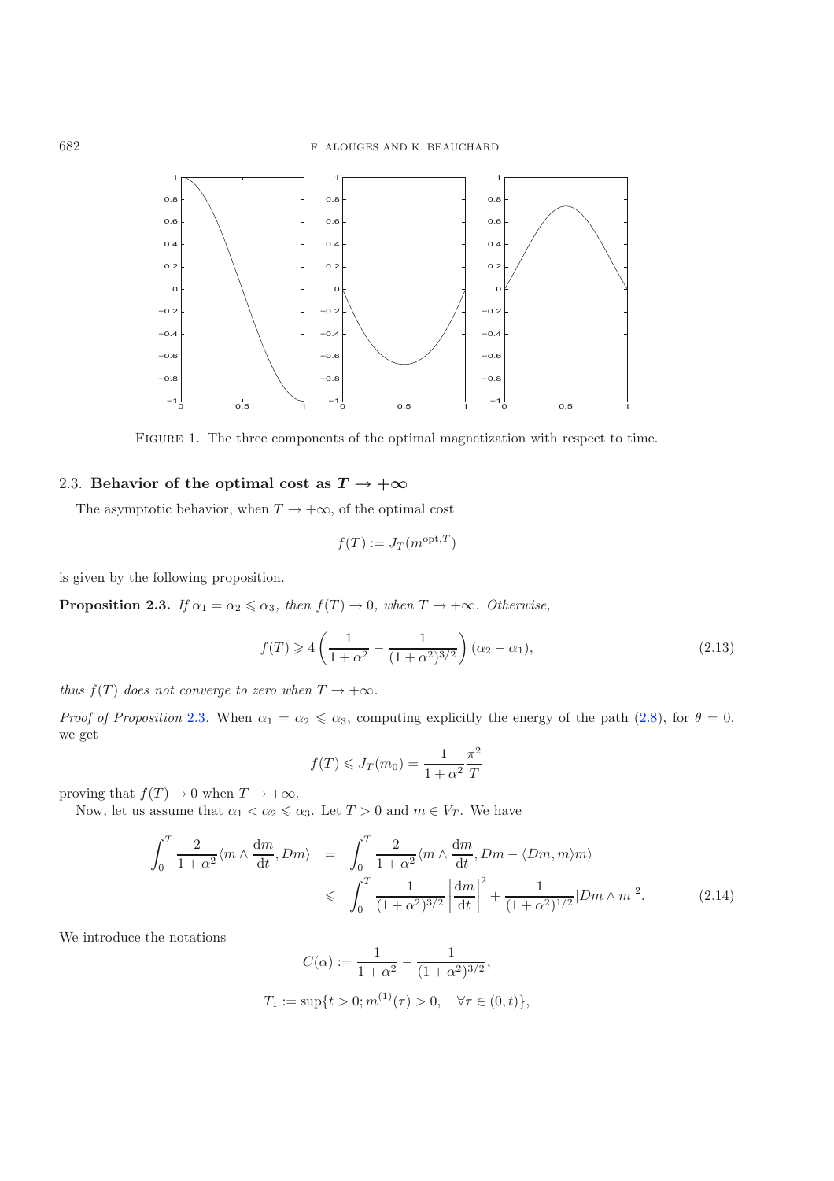<span id="page-6-1"></span>

<span id="page-6-3"></span>FIGURE 1. The three components of the optimal magnetization with respect to time.

## <span id="page-6-0"></span>2.3. **Behavior of the optimal cost as**  $T \rightarrow +\infty$

The asymptotic behavior, when  $T \to +\infty$ , of the optimal cost

$$
f(T) := J_T(m^{\text{opt},T})
$$

<span id="page-6-2"></span>is given by the following proposition.

**Proposition 2.3.** *If*  $\alpha_1 = \alpha_2 \leq \alpha_3$ , then  $f(T) \to 0$ , when  $T \to +\infty$ . Otherwise,

$$
f(T) \ge 4\left(\frac{1}{1+\alpha^2} - \frac{1}{(1+\alpha^2)^{3/2}}\right)(\alpha_2 - \alpha_1),\tag{2.13}
$$

*thus*  $f(T)$  *does not converge to zero when*  $T \rightarrow +\infty$ *.* 

*Proof of Proposition* [2.3](#page-6-2). When  $\alpha_1 = \alpha_2 \leq \alpha_3$ , computing explicitly the energy of the path  $(2.8)$ , for  $\theta = 0$ , we get

$$
f(T) \leqslant J_T(m_0) = \frac{1}{1 + \alpha^2} \frac{\pi^2}{T}
$$

proving that  $f(T) \to 0$  when  $T \to +\infty$ .

Now, let us assume that  $\alpha_1 < \alpha_2 \leq \alpha_3$ . Let  $T > 0$  and  $m \in V_T$ . We have

$$
\int_0^T \frac{2}{1+\alpha^2} \langle m \wedge \frac{dm}{dt}, Dm \rangle = \int_0^T \frac{2}{1+\alpha^2} \langle m \wedge \frac{dm}{dt}, Dm - \langle Dm, m \rangle m \rangle
$$
  

$$
\leq \int_0^T \frac{1}{(1+\alpha^2)^{3/2}} \left| \frac{dm}{dt} \right|^2 + \frac{1}{(1+\alpha^2)^{1/2}} |Dm \wedge m|^2.
$$
 (2.14)

We introduce the notations

$$
C(\alpha) := \frac{1}{1 + \alpha^2} - \frac{1}{(1 + \alpha^2)^{3/2}},
$$
  
\n
$$
T_1 := \sup\{t > 0; m^{(1)}(\tau) > 0, \quad \forall \tau \in (0, t)\},
$$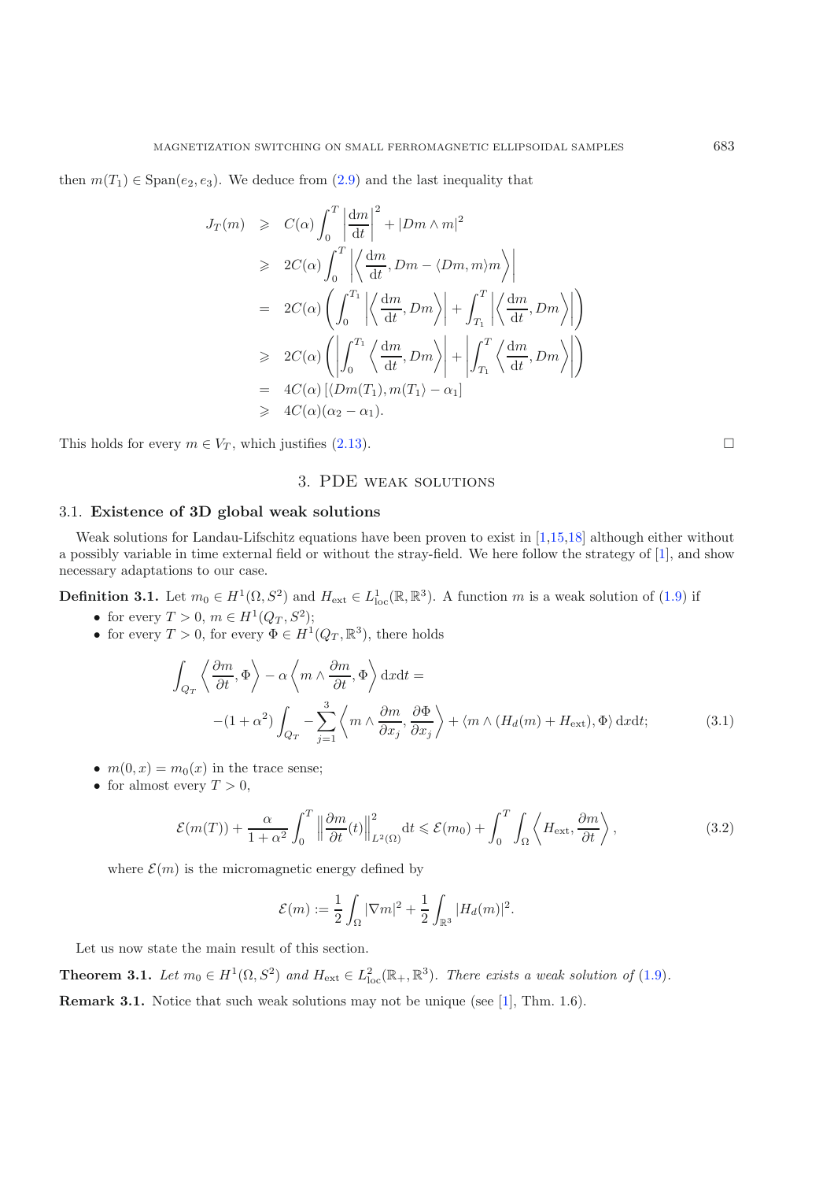then  $m(T_1) \in \text{Span}(e_2, e_3)$ . We deduce from  $(2.9)$  and the last inequality that

$$
J_T(m) \geq C(\alpha) \int_0^T \left| \frac{dm}{dt} \right|^2 + |Dm \wedge m|^2
$$
  
\n
$$
\geq 2C(\alpha) \int_0^T \left| \left\langle \frac{dm}{dt}, Dm - \langle Dm, m \rangle m \right\rangle \right|
$$
  
\n
$$
= 2C(\alpha) \left( \int_0^{T_1} \left| \left\langle \frac{dm}{dt}, Dm \right\rangle \right| + \int_{T_1}^T \left| \left\langle \frac{dm}{dt}, Dm \right\rangle \right| \right)
$$
  
\n
$$
\geq 2C(\alpha) \left( \left| \int_0^{T_1} \left\langle \frac{dm}{dt}, Dm \right\rangle \right| + \left| \int_{T_1}^T \left\langle \frac{dm}{dt}, Dm \right\rangle \right| \right)
$$
  
\n
$$
= 4C(\alpha) \left[ \langle Dm(T_1), m(T_1) - \alpha_1 \right]
$$
  
\n
$$
\geq 4C(\alpha)(\alpha_2 - \alpha_1).
$$

<span id="page-7-0"></span>This holds for every  $m \in V_T$ , which justifies [\(2.13\)](#page-6-3).

## 3. PDE weak solutions

#### <span id="page-7-1"></span>3.1. **Existence of 3D global weak solutions**

Weak solutions for Landau-Lifschitz equations have been proven to exist in [\[1](#page-35-5)[,15](#page-35-10)[,18](#page-35-6)] although either without a possibly variable in time external field or without the stray-field. We here follow the strategy of [\[1\]](#page-35-5), and show necessary adaptations to our case.

**Definition 3.1.** Let  $m_0 \in H^1(\Omega, S^2)$  and  $H_{ext} \in L^1_{loc}(\mathbb{R}, \mathbb{R}^3)$ . A function m is a weak solution of [\(1.9\)](#page-2-0) if

- <span id="page-7-3"></span>• for every  $T > 0$ ,  $m \in H^1(Q_T, S^2);$
- <span id="page-7-4"></span>• for every  $T > 0$ , for every  $\Phi \in H^1(Q_T, \mathbb{R}^3)$ , there holds

$$
\int_{Q_T} \left\langle \frac{\partial m}{\partial t}, \Phi \right\rangle - \alpha \left\langle m \wedge \frac{\partial m}{\partial t}, \Phi \right\rangle dx dt =
$$
\n
$$
-(1 + \alpha^2) \int_{Q_T} -\sum_{j=1}^3 \left\langle m \wedge \frac{\partial m}{\partial x_j}, \frac{\partial \Phi}{\partial x_j} \right\rangle + \left\langle m \wedge (H_d(m) + H_{\text{ext}}), \Phi \right\rangle dx dt; \tag{3.1}
$$

- $m(0, x) = m_0(x)$  in the trace sense;
- for almost every  $T > 0$ ,

$$
\mathcal{E}(m(T)) + \frac{\alpha}{1+\alpha^2} \int_0^T \left\| \frac{\partial m}{\partial t}(t) \right\|_{L^2(\Omega)}^2 dt \leq \mathcal{E}(m_0) + \int_0^T \int_{\Omega} \left\langle H_{\text{ext}}, \frac{\partial m}{\partial t} \right\rangle,
$$
\n(3.2)

where  $\mathcal{E}(m)$  is the micromagnetic energy defined by

$$
\mathcal{E}(m) := \frac{1}{2} \int_{\Omega} |\nabla m|^2 + \frac{1}{2} \int_{\mathbb{R}^3} |H_d(m)|^2.
$$

Let us now state the main result of this section.

<span id="page-7-2"></span>**Theorem 3.1.** *Let*  $m_0 \in H^1(\Omega, S^2)$  *and*  $H_{ext} \in L^2_{loc}(\mathbb{R}_+, \mathbb{R}^3)$ *. There exists a weak solution of* [\(1.9\)](#page-2-0)*.* **Remark 3.1.** Notice that such weak solutions may not be unique (see [\[1](#page-35-5)], Thm. 1.6).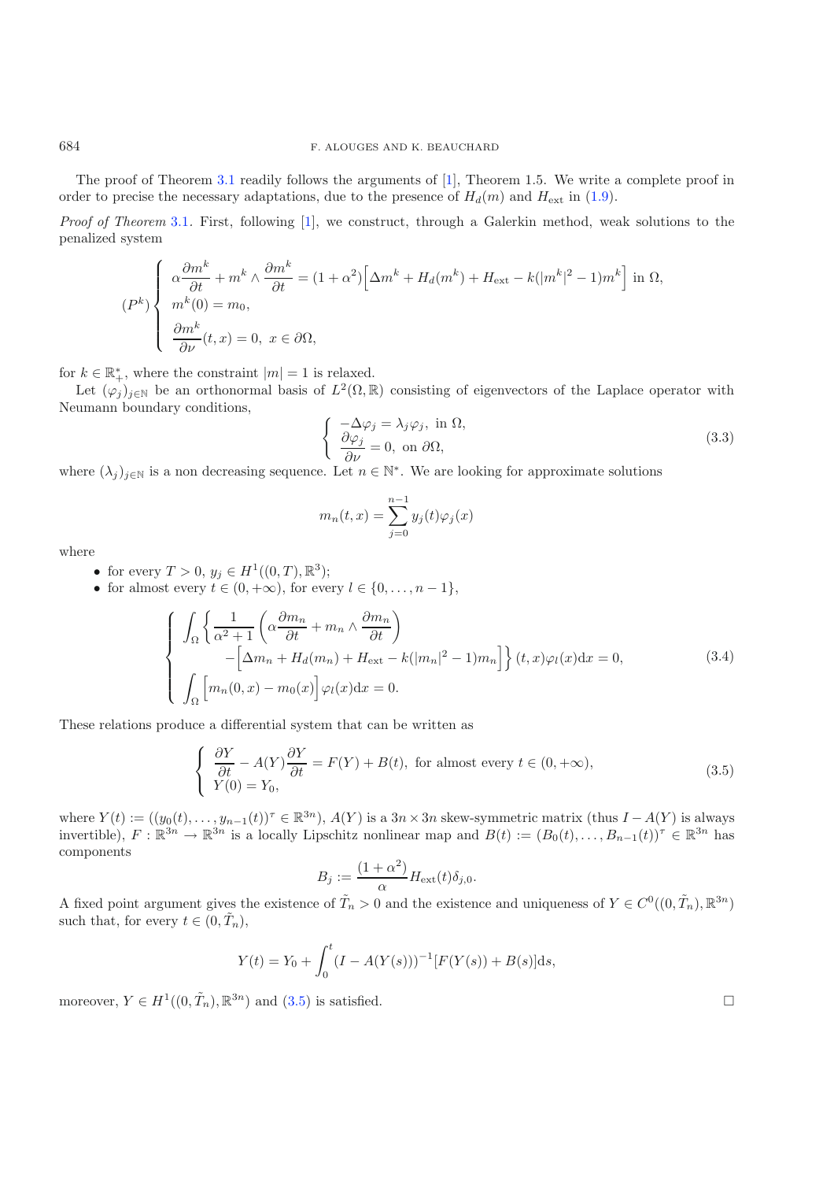The proof of Theorem [3.1](#page-7-2) readily follows the arguments of [\[1](#page-35-5)], Theorem 1.5. We write a complete proof in order to precise the necessary adaptations, due to the presence of  $H_d(m)$  and  $H_{\text{ext}}$  in [\(1.9\)](#page-2-0).

*Proof of Theorem* [3.1](#page-7-2)*.* First, following [\[1](#page-35-5)], we construct, through a Galerkin method, weak solutions to the penalized system

<span id="page-8-2"></span>
$$
(P^k)\begin{cases} \alpha\frac{\partial m^k}{\partial t} + m^k \wedge \frac{\partial m^k}{\partial t} = (1+\alpha^2) \Big[\Delta m^k + H_d(m^k) + H_{\text{ext}} - k(|m^k|^2 - 1)m^k\Big] \text{ in } \Omega, \\ m^k(0) = m_0, \\ \frac{\partial m^k}{\partial \nu}(t, x) = 0, \ x \in \partial\Omega, \end{cases}
$$

for  $k \in \mathbb{R}_+^*$ , where the constraint  $|m| = 1$  is relaxed.

Let  $(\varphi_j)_{j\in\mathbb{N}}$  be an orthonormal basis of  $L^2(\Omega,\mathbb{R})$  consisting of eigenvectors of the Laplace operator with Neumann boundary conditions,

$$
\begin{cases}\n-\Delta \varphi_j = \lambda_j \varphi_j, \text{ in } \Omega, \\
\frac{\partial \varphi_j}{\partial \nu} = 0, \text{ on } \partial \Omega,\n\end{cases}
$$
\n(3.3)

<span id="page-8-1"></span>where  $(\lambda_j)_{j\in\mathbb{N}}$  is a non decreasing sequence. Let  $n \in \mathbb{N}^*$ . We are looking for approximate solutions

$$
m_n(t,x) = \sum_{j=0}^{n-1} y_j(t)\varphi_j(x)
$$

where

- <span id="page-8-0"></span>• for every  $T > 0$ ,  $y_j \in H^1((0, T), \mathbb{R}^3)$ ;
- for almost every  $t \in (0, +\infty)$ , for every  $l \in \{0, \ldots, n-1\}$ ,

$$
\begin{cases}\n\int_{\Omega} \left\{ \frac{1}{\alpha^2 + 1} \left( \alpha \frac{\partial m_n}{\partial t} + m_n \wedge \frac{\partial m_n}{\partial t} \right) - \left[ \Delta m_n + H_d(m_n) + H_{\text{ext}} - k(|m_n|^2 - 1)m_n \right] \right\} (t, x)\varphi_l(x) dx = 0, \\
\int_{\Omega} \left[ m_n(0, x) - m_0(x) \right] \varphi_l(x) dx = 0.\n\end{cases} \tag{3.4}
$$

These relations produce a differential system that can be written as

$$
\begin{cases} \frac{\partial Y}{\partial t} - A(Y)\frac{\partial Y}{\partial t} = F(Y) + B(t), \text{ for almost every } t \in (0, +\infty),\\ Y(0) = Y_0, \end{cases}
$$
\n(3.5)

where  $Y(t) := ((y_0(t), \ldots, y_{n-1}(t))^{\tau} \in \mathbb{R}^{3n})$ ,  $A(Y)$  is a  $3n \times 3n$  skew-symmetric matrix (thus  $I - A(Y)$  is always invertible),  $F : \mathbb{R}^{3n} \to \mathbb{R}^{3n}$  is a locally Lipschitz nonlinear map and  $B(t) := (B_0(t), \ldots, B_{n-1}(t))^{\tau} \in \mathbb{R}^{3n}$  has components

$$
B_j := \frac{(1+\alpha^2)}{\alpha} H_{\text{ext}}(t)\delta_{j,0}.
$$

A fixed point argument gives the existence of  $\tilde{T}_n > 0$  and the existence and uniqueness of  $Y \in C^0((0, \tilde{T}_n), \mathbb{R}^{3n})$ such that, for every  $t \in (0, \tilde{T}_n)$ ,

$$
Y(t) = Y_0 + \int_0^t (I - A(Y(s)))^{-1} [F(Y(s)) + B(s)] \, ds,
$$

moreover,  $Y \in H^1((0, \tilde{T}_n), \mathbb{R}^{3n})$  and  $(3.5)$  is satisfied.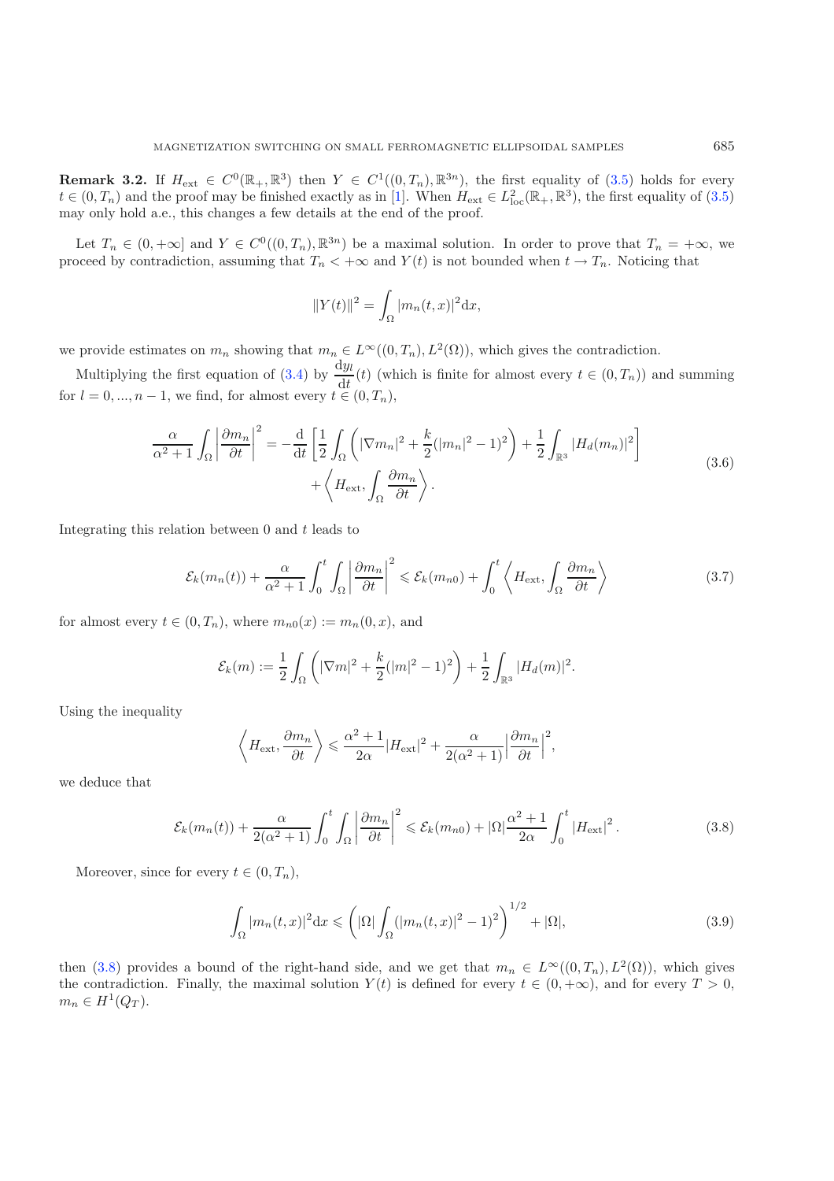**Remark 3.2.** If  $H_{ext} \in C^0(\mathbb{R}_+, \mathbb{R}^3)$  then  $Y \in C^1((0,T_n), \mathbb{R}^{3n})$ , the first equality of  $(3.5)$  holds for every  $t \in (0, T_n)$  and the proof may be finished exactly as in [\[1\]](#page-35-5). When  $H_{ext} \in L^2_{loc}(\mathbb{R}_+, \mathbb{R}^3)$ , the first equality of  $(3.5)$ may only hold a.e., this changes a few details at the end of the proof.

Let  $T_n \in (0, +\infty]$  and  $Y \in C^0((0,T_n), \mathbb{R}^{3n})$  be a maximal solution. In order to prove that  $T_n = +\infty$ , we proceed by contradiction, assuming that  $T_n < +\infty$  and  $Y(t)$  is not bounded when  $t \to T_n$ . Noticing that

$$
||Y(t)||^2 = \int_{\Omega} |m_n(t, x)|^2 \mathrm{d}x,
$$

we provide estimates on  $m_n$  showing that  $m_n \in L^{\infty}((0,T_n), L^2(\Omega))$ , which gives the contradiction.

<span id="page-9-2"></span>Multiplying the first equation of [\(3.4\)](#page-8-1) by  $\frac{dy_l}{dt}(t)$  (which is finite for almost every  $t \in (0, T_n)$ ) and summing for  $l = 0, ..., n - 1$ , we find, for almost every  $t \in (0, T_n)$ ,

$$
\frac{\alpha}{\alpha^2 + 1} \int_{\Omega} \left| \frac{\partial m_n}{\partial t} \right|^2 = -\frac{\mathrm{d}}{\mathrm{d}t} \left[ \frac{1}{2} \int_{\Omega} \left( |\nabla m_n|^2 + \frac{k}{2} (|m_n|^2 - 1)^2 \right) + \frac{1}{2} \int_{\mathbb{R}^3} |H_d(m_n)|^2 \right] + \left\langle H_{\text{ext}}, \int_{\Omega} \frac{\partial m_n}{\partial t} \right\rangle. \tag{3.6}
$$

Integrating this relation between  $0$  and  $t$  leads to

$$
\mathcal{E}_k(m_n(t)) + \frac{\alpha}{\alpha^2 + 1} \int_0^t \int_{\Omega} \left| \frac{\partial m_n}{\partial t} \right|^2 \leq \mathcal{E}_k(m_{n0}) + \int_0^t \left\langle H_{\text{ext}}, \int_{\Omega} \frac{\partial m_n}{\partial t} \right\rangle \tag{3.7}
$$

<span id="page-9-0"></span>for almost every  $t \in (0, T_n)$ , where  $m_{n0}(x) := m_n(0, x)$ , and

$$
\mathcal{E}_k(m) := \frac{1}{2} \int_{\Omega} \left( |\nabla m|^2 + \frac{k}{2} (|m|^2 - 1)^2 \right) + \frac{1}{2} \int_{\mathbb{R}^3} |H_d(m)|^2.
$$

<span id="page-9-1"></span>Using the inequality

$$
\left\langle H_{\text{ext}}, \frac{\partial m_n}{\partial t} \right\rangle \leq \frac{\alpha^2 + 1}{2\alpha} |H_{\text{ext}}|^2 + \frac{\alpha}{2(\alpha^2 + 1)} \left| \frac{\partial m_n}{\partial t} \right|^2,
$$

we deduce that

$$
\mathcal{E}_k(m_n(t)) + \frac{\alpha}{2(\alpha^2 + 1)} \int_0^t \int_{\Omega} \left| \frac{\partial m_n}{\partial t} \right|^2 \leqslant \mathcal{E}_k(m_{n0}) + |\Omega| \frac{\alpha^2 + 1}{2\alpha} \int_0^t |H_{\text{ext}}|^2.
$$
 (3.8)

Moreover, since for every  $t \in (0, T_n)$ ,

$$
\int_{\Omega} |m_n(t,x)|^2 dx \leqslant \left( |\Omega| \int_{\Omega} (|m_n(t,x)|^2 - 1)^2 \right)^{1/2} + |\Omega|,
$$
\n(3.9)

then [\(3.8\)](#page-9-0) provides a bound of the right-hand side, and we get that  $m_n \in L^{\infty}((0,T_n), L^2(\Omega))$ , which gives the contradiction. Finally, the maximal solution  $Y(t)$  is defined for every  $t \in (0, +\infty)$ , and for every  $T > 0$ ,  $m_n \in H^1(Q_T)$ .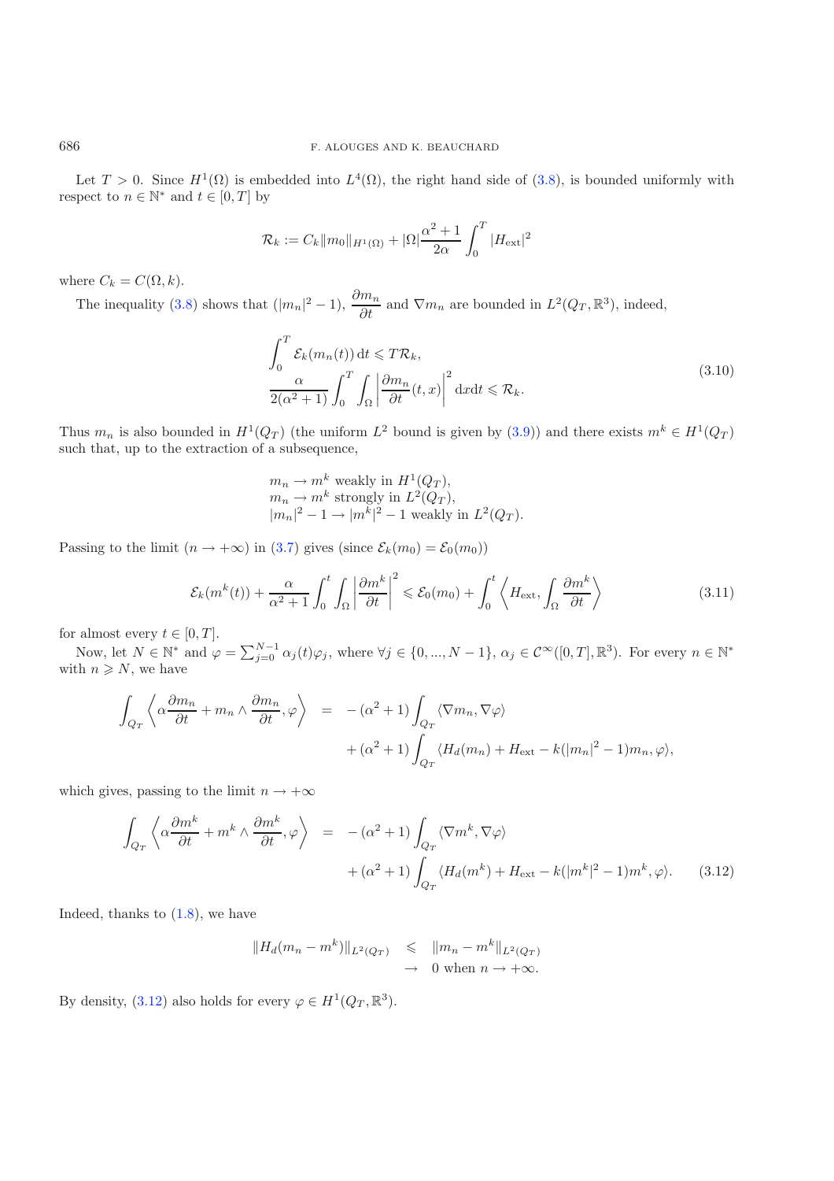Let  $T > 0$ . Since  $H^1(\Omega)$  is embedded into  $L^4(\Omega)$ , the right hand side of [\(3.8\)](#page-9-0), is bounded uniformly with respect to  $n \in \mathbb{N}^*$  and  $t \in [0, T]$  by

$$
\mathcal{R}_k := C_k ||m_0||_{H^1(\Omega)} + |\Omega| \frac{\alpha^2 + 1}{2\alpha} \int_0^T |H_{\text{ext}}|^2
$$

where  $C_k = C(\Omega, k)$ .

The inequality [\(3.8\)](#page-9-0) shows that  $(|m_n|^2 - 1)$ ,  $\frac{\partial m_n}{\partial t}$  and  $\nabla m_n$  are bounded in  $L^2(Q_T, \mathbb{R}^3)$ , indeed,

$$
\int_0^T \mathcal{E}_k(m_n(t)) dt \leq T \mathcal{R}_k,
$$
\n
$$
\frac{\alpha}{2(\alpha^2 + 1)} \int_0^T \int_{\Omega} \left| \frac{\partial m_n}{\partial t}(t, x) \right|^2 dx dt \leq \mathcal{R}_k.
$$
\n(3.10)

<span id="page-10-1"></span>Thus  $m_n$  is also bounded in  $H^1(Q_T)$  (the uniform  $L^2$  bound is given by [\(3.9\)](#page-9-1)) and there exists  $m^k \in H^1(Q_T)$ such that, up to the extraction of a subsequence,

$$
m_n \to m^k
$$
 weakly in  $H^1(Q_T)$ ,  $m_n \to m^k$  strongly in  $L^2(Q_T)$ ,  $|m_n|^2 - 1 \to |m^k|^2 - 1$  weakly in  $L^2(Q_T)$ .

Passing to the limit  $(n \to +\infty)$  in [\(3.7\)](#page-9-2) gives (since  $\mathcal{E}_k(m_0) = \mathcal{E}_0(m_0)$ )

$$
\mathcal{E}_k(m^k(t)) + \frac{\alpha}{\alpha^2 + 1} \int_0^t \int_{\Omega} \left| \frac{\partial m^k}{\partial t} \right|^2 \leq \mathcal{E}_0(m_0) + \int_0^t \left\langle H_{\text{ext}}, \int_{\Omega} \frac{\partial m^k}{\partial t} \right\rangle \tag{3.11}
$$

for almost every  $t \in [0, T]$ .

Now, let  $N \in \mathbb{N}^*$  and  $\varphi = \sum_{j=0}^{N-1} \alpha_j(t)\varphi_j$ , where  $\forall j \in \{0, ..., N-1\}$ ,  $\alpha_j \in \mathcal{C}^{\infty}([0,T], \mathbb{R}^3)$ . For every  $n \in \mathbb{N}^*$ with  $n \geq N$ , we have

$$
\int_{Q_T} \left\langle \alpha \frac{\partial m_n}{\partial t} + m_n \wedge \frac{\partial m_n}{\partial t}, \varphi \right\rangle = -(\alpha^2 + 1) \int_{Q_T} \langle \nabla m_n, \nabla \varphi \rangle
$$

$$
+(\alpha^2 + 1) \int_{Q_T} \langle H_d(m_n) + H_{\text{ext}} - k(|m_n|^2 - 1) m_n, \varphi \rangle,
$$

<span id="page-10-0"></span>which gives, passing to the limit  $n \to +\infty$ 

$$
\int_{Q_T} \left\langle \alpha \frac{\partial m^k}{\partial t} + m^k \wedge \frac{\partial m^k}{\partial t}, \varphi \right\rangle = -(\alpha^2 + 1) \int_{Q_T} \langle \nabla m^k, \nabla \varphi \rangle \n+ (\alpha^2 + 1) \int_{Q_T} \langle H_d(m^k) + H_{\text{ext}} - k(|m^k|^2 - 1) m^k, \varphi \rangle. \tag{3.12}
$$

Indeed, thanks to  $(1.8)$ , we have

$$
||H_d(m_n - m^k)||_{L^2(Q_T)} \le ||m_n - m^k||_{L^2(Q_T)}
$$
  

$$
\to 0 \text{ when } n \to +\infty.
$$

By density, [\(3.12\)](#page-10-0) also holds for every  $\varphi \in H^1(Q_T, \mathbb{R}^3)$ .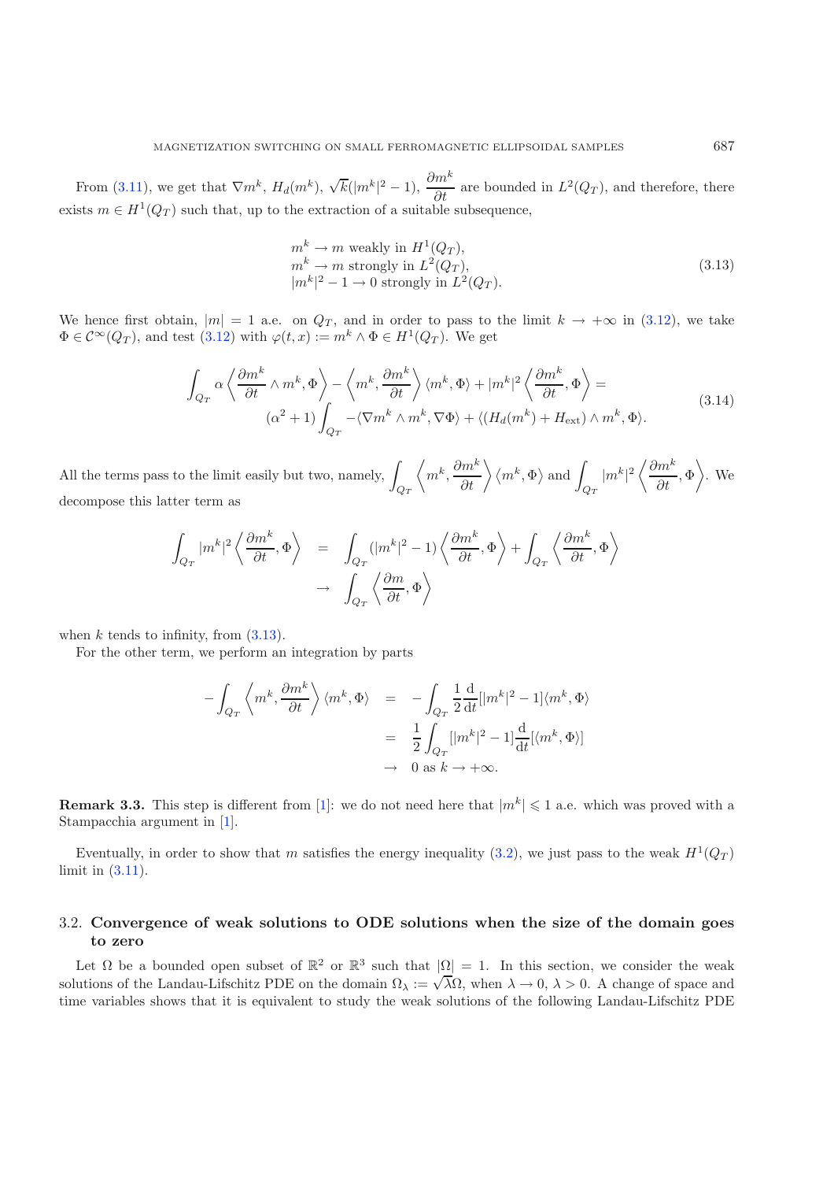<span id="page-11-1"></span>From [\(3.11\)](#page-10-1), we get that  $\nabla m^k$ ,  $H_d(m^k)$ ,  $\sqrt{k}(|m^k|^2-1)$ ,  $\frac{\partial m^k}{\partial t}$  are bounded in  $L^2(Q_T)$ , and therefore, there exists  $m \in H^1(Q_T)$  such that, up to the extraction of a suitable subsequence,

$$
m^{k} \to m \text{ weakly in } H^{1}(Q_{T}),
$$
  
\n
$$
m^{k} \to m \text{ strongly in } L^{2}(Q_{T}),
$$
  
\n
$$
|m^{k}|^{2} - 1 \to 0 \text{ strongly in } L^{2}(Q_{T}).
$$
\n(3.13)

We hence first obtain,  $|m| = 1$  a.e. on  $Q_T$ , and in order to pass to the limit  $k \to +\infty$  in [\(3.12\)](#page-10-0), we take  $\Phi \in C^{\infty}(Q_T)$ , and test  $(3.12)$  with  $\varphi(t, x) := m^k \wedge \Phi \in H^1(Q_T)$ . We get

$$
\int_{Q_T} \alpha \left\langle \frac{\partial m^k}{\partial t} \wedge m^k, \Phi \right\rangle - \left\langle m^k, \frac{\partial m^k}{\partial t} \right\rangle \langle m^k, \Phi \rangle + |m^k|^2 \left\langle \frac{\partial m^k}{\partial t}, \Phi \right\rangle =
$$
\n
$$
(\alpha^2 + 1) \int_{Q_T} -\langle \nabla m^k \wedge m^k, \nabla \Phi \rangle + \langle (H_d(m^k) + H_{\text{ext}}) \wedge m^k, \Phi \rangle.
$$
\n(3.14)

All the terms pass to the limit easily but two, namely,  $\int$  $Q_T$  $\left\langle m^k, \frac{\partial m^k}{\partial t} \right\rangle \left\langle m^k, \Phi \right\rangle$  and  $\int$  $Q_T$  $|m^k|^2\left\langle \frac{\partial m^k}{\partial t}\right\rangle$  $\left\langle \frac{m^k}{\partial t}, \Phi \right\rangle$ . We decompose this latter term as

$$
\begin{array}{lcl} \displaystyle\int_{Q_T}|m^k|^2\left\langle\frac{\partial m^k}{\partial t},\Phi\right\rangle&=&\displaystyle\int_{Q_T}(|m^k|^2-1)\left\langle\frac{\partial m^k}{\partial t},\Phi\right\rangle+\displaystyle\int_{Q_T}\left\langle\frac{\partial m^k}{\partial t},\Phi\right\rangle\\ & & \to&\displaystyle\int_{Q_T}\left\langle\frac{\partial m}{\partial t},\Phi\right\rangle \end{array}
$$

when  $k$  tends to infinity, from  $(3.13)$ .

For the other term, we perform an integration by parts

$$
-\int_{Q_T} \left\langle m^k, \frac{\partial m^k}{\partial t} \right\rangle \langle m^k, \Phi \rangle = -\int_{Q_T} \frac{1}{2} \frac{d}{dt} [|m^k|^2 - 1] \langle m^k, \Phi \rangle
$$
  

$$
= \frac{1}{2} \int_{Q_T} [|m^k|^2 - 1] \frac{d}{dt} [\langle m^k, \Phi \rangle]
$$
  

$$
\to 0 \text{ as } k \to +\infty.
$$

**Remark 3.3.** This step is different from [\[1](#page-35-5)]: we do not need here that  $|m^k| \leq 1$  a.e. which was proved with a Stampacchia argument in [\[1\]](#page-35-5).

Eventually, in order to show that m satisfies the energy inequality [\(3.2\)](#page-7-3), we just pass to the weak  $H^1(Q_T)$ limit in [\(3.11\)](#page-10-1).

## <span id="page-11-0"></span>3.2. **Convergence of weak solutions to ODE solutions when the size of the domain goes to zero**

Let  $\Omega$  be a bounded open subset of  $\mathbb{R}^2$  or  $\mathbb{R}^3$  such that  $|\Omega| = 1$ . In this section, we consider the weak Let  $\Omega$  be a bounded open subset of  $\mathbb{R}^n$  of  $\mathbb{R}^n$  such that  $|\Omega| = 1$ . In this section, we consider the weak<br>solutions of the Landau-Lifschitz PDE on the domain  $\Omega_{\lambda} := \sqrt{\lambda} \Omega$ , when  $\lambda \to 0$ ,  $\lambda > 0$ . A chang time variables shows that it is equivalent to study the weak solutions of the following Landau-Lifschitz PDE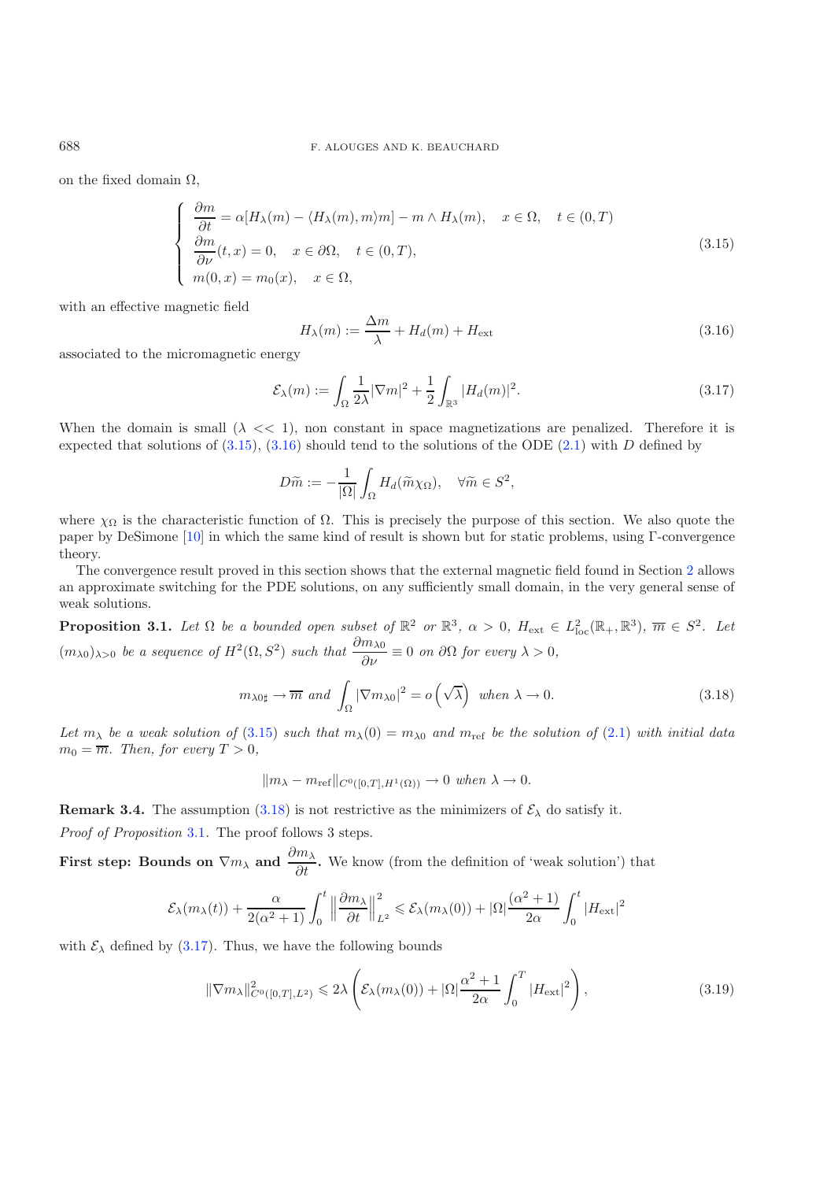on the fixed domain  $\Omega$ ,

<span id="page-12-4"></span><span id="page-12-1"></span>
$$
\begin{cases}\n\frac{\partial m}{\partial t} = \alpha [H_{\lambda}(m) - \langle H_{\lambda}(m), m \rangle m] - m \wedge H_{\lambda}(m), & x \in \Omega, \quad t \in (0, T) \\
\frac{\partial m}{\partial \nu}(t, x) = 0, & x \in \partial \Omega, \quad t \in (0, T), \\
m(0, x) = m_0(x), & x \in \Omega,\n\end{cases}
$$
\n(3.15)

with an effective magnetic field

$$
H_{\lambda}(m) := \frac{\Delta m}{\lambda} + H_d(m) + H_{\text{ext}} \tag{3.16}
$$

associated to the micromagnetic energy

$$
\mathcal{E}_{\lambda}(m) := \int_{\Omega} \frac{1}{2\lambda} |\nabla m|^2 + \frac{1}{2} \int_{\mathbb{R}^3} |H_d(m)|^2.
$$
 (3.17)

When the domain is small  $(\lambda \ll 1)$ , non constant in space magnetizations are penalized. Therefore it is expected that solutions of  $(3.15)$ ,  $(3.16)$  should tend to the solutions of the ODE  $(2.1)$  with D defined by

$$
D\widetilde{m} := -\frac{1}{|\Omega|} \int_{\Omega} H_d(\widetilde{m}\chi_{\Omega}), \quad \forall \widetilde{m} \in S^2,
$$

<span id="page-12-2"></span>where  $\chi_{\Omega}$  is the characteristic function of  $\Omega$ . This is precisely the purpose of this section. We also quote the paper by DeSimone [\[10](#page-35-11)] in which the same kind of result is shown but for static problems, using Γ-convergence theory.

The convergence result proved in this section shows that the external magnetic field found in Section [2](#page-3-0) allows an approximate switching for the PDE solutions, on any sufficiently small domain, in the very general sense of weak solutions.

<span id="page-12-3"></span>**Proposition 3.1.** Let  $\Omega$  be a bounded open subset of  $\mathbb{R}^2$  or  $\mathbb{R}^3$ ,  $\alpha > 0$ ,  $H_{ext} \in L^2_{loc}(\mathbb{R}_+, \mathbb{R}^3)$ ,  $\overline{m} \in S^2$ . Let  $(m_{\lambda 0})_{\lambda>0}$  *be a sequence of*  $H^2(\Omega, S^2)$  *such that*  $\frac{\partial m_{\lambda 0}}{\partial \nu} \equiv 0$  *on*  $\partial \Omega$  *for every*  $\lambda > 0$ *,* 

$$
m_{\lambda 0\sharp} \to \overline{m} \text{ and } \int_{\Omega} |\nabla m_{\lambda 0}|^2 = o\left(\sqrt{\lambda}\right) \text{ when } \lambda \to 0.
$$
 (3.18)

Let  $m_{\lambda}$  be a weak solution of [\(3.15\)](#page-12-0) such that  $m_{\lambda}(0) = m_{\lambda 0}$  and  $m_{\text{ref}}$  be the solution of [\(2.1\)](#page-3-3) with initial data  $m_0 = \overline{m}$ *. Then, for every*  $T > 0$ *,* 

$$
||m_{\lambda}-m_{\text{ref}}||_{C^{0}([0,T],H^{1}(\Omega))}\rightarrow 0 when \lambda \rightarrow 0.
$$

<span id="page-12-5"></span>**Remark 3.4.** The assumption [\(3.18\)](#page-12-2) is not restrictive as the minimizers of  $\mathcal{E}_{\lambda}$  do satisfy it.

*Proof of Proposition* [3.1](#page-12-3)*.* The proof follows 3 steps.

**First step: Bounds on**  $\nabla m_\lambda$  and  $\frac{\partial m_\lambda}{\partial t}$ . We know (from the definition of 'weak solution') that

$$
\mathcal{E}_\lambda(m_\lambda(t)) + \frac{\alpha}{2(\alpha^2+1)}\int_0^t \Big\|\frac{\partial m_\lambda}{\partial t}\Big\|_{L^2}^2 \leqslant \mathcal{E}_\lambda(m_\lambda(0)) + |\Omega|\frac{(\alpha^2+1)}{2\alpha}\int_0^t |H_{\rm ext}|^2
$$

with  $\mathcal{E}_{\lambda}$  defined by [\(3.17\)](#page-12-4). Thus, we have the following bounds

$$
\|\nabla m_{\lambda}\|_{C^0([0,T],L^2)}^2 \leq 2\lambda \left(\mathcal{E}_{\lambda}(m_{\lambda}(0)) + |\Omega|\frac{\alpha^2 + 1}{2\alpha} \int_0^T |H_{\text{ext}}|^2\right),\tag{3.19}
$$

<span id="page-12-0"></span>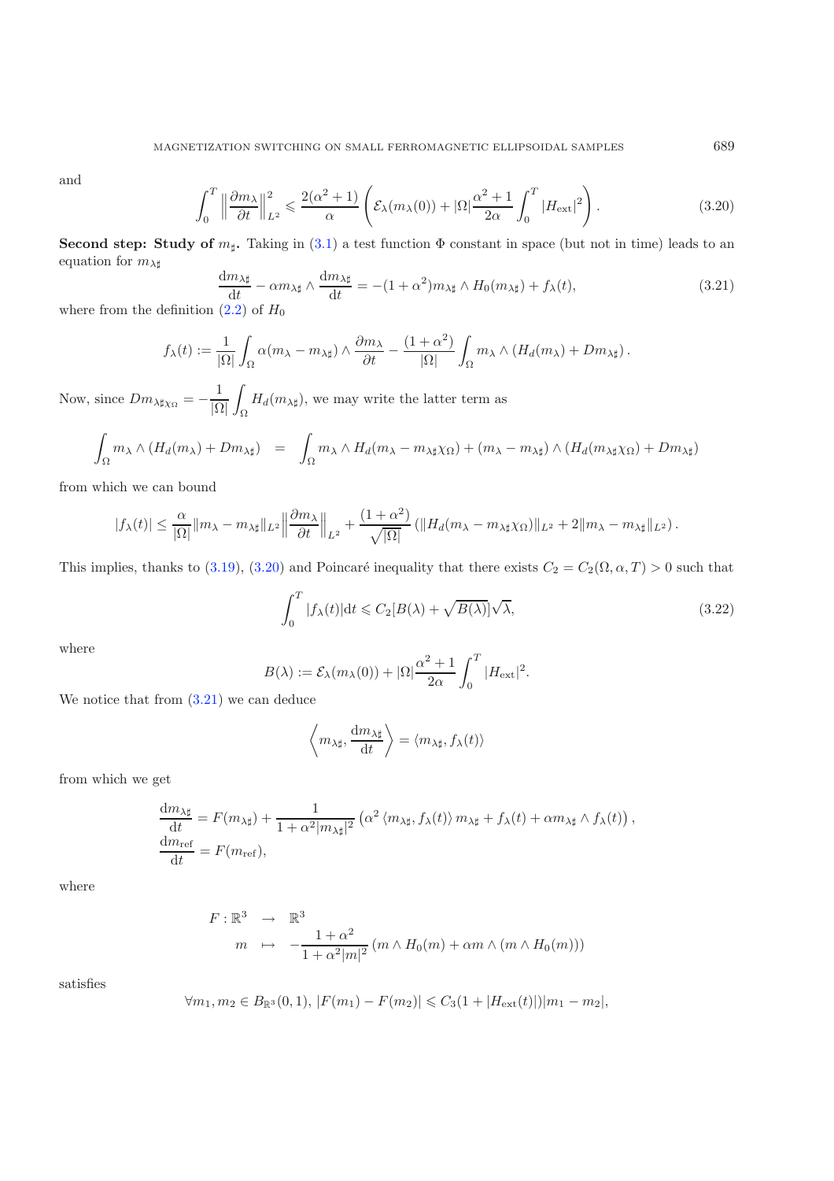<span id="page-13-1"></span><span id="page-13-0"></span>and

$$
\int_0^T \left\| \frac{\partial m_\lambda}{\partial t} \right\|_{L^2}^2 \leqslant \frac{2(\alpha^2 + 1)}{\alpha} \left( \mathcal{E}_\lambda(m_\lambda(0)) + |\Omega| \frac{\alpha^2 + 1}{2\alpha} \int_0^T |H_{\text{ext}}|^2 \right). \tag{3.20}
$$

**Second step: Study of**  $m_{\sharp}$ **. Taking in [\(3.1\)](#page-7-4) a test function**  $\Phi$  **constant in space (but not in time) leads to an** equation for  $m_{\lambda\sharp}$ 

$$
\frac{dm_{\lambda\sharp}}{dt} - \alpha m_{\lambda\sharp} \wedge \frac{dm_{\lambda\sharp}}{dt} = -(1 + \alpha^2)m_{\lambda\sharp} \wedge H_0(m_{\lambda\sharp}) + f_{\lambda}(t),\tag{3.21}
$$

where from the definition  $(2.2)$  of  $H_0$ 

<span id="page-13-2"></span>
$$
f_{\lambda}(t) := \frac{1}{|\Omega|} \int_{\Omega} \alpha(m_{\lambda} - m_{\lambda\sharp}) \wedge \frac{\partial m_{\lambda}}{\partial t} - \frac{(1+\alpha^2)}{|\Omega|} \int_{\Omega} m_{\lambda} \wedge (H_d(m_{\lambda}) + Dm_{\lambda\sharp}).
$$

Now, since  $Dm_{\lambda \sharp \chi_{\Omega}} = -\frac{1}{|\Omega|}$ i. Ω  $H_d(m_{\lambda\sharp})$ , we may write the latter term as

$$
\int_{\Omega} m_{\lambda} \wedge (H_d(m_{\lambda}) + Dm_{\lambda \sharp}) = \int_{\Omega} m_{\lambda} \wedge H_d(m_{\lambda} - m_{\lambda \sharp} \chi_{\Omega}) + (m_{\lambda} - m_{\lambda \sharp}) \wedge (H_d(m_{\lambda \sharp} \chi_{\Omega}) + Dm_{\lambda \sharp})
$$

from which we can bound

$$
|f_{\lambda}(t)| \leq \frac{\alpha}{|\Omega|} \|m_{\lambda} - m_{\lambda\sharp}\|_{L^2} \left\| \frac{\partial m_{\lambda}}{\partial t} \right\|_{L^2} + \frac{(1+\alpha^2)}{\sqrt{|\Omega|}} \left( \|H_d(m_{\lambda} - m_{\lambda\sharp}\chi_{\Omega})\|_{L^2} + 2\|m_{\lambda} - m_{\lambda\sharp}\|_{L^2} \right).
$$

This implies, thanks to [\(3.19\)](#page-12-5), [\(3.20\)](#page-13-0) and Poincaré inequality that there exists  $C_2 = C_2(\Omega, \alpha, T) > 0$  such that

$$
\int_0^T |f_\lambda(t)| \mathrm{d}t \leq C_2[B(\lambda) + \sqrt{B(\lambda)}] \sqrt{\lambda},\tag{3.22}
$$

where

$$
B(\lambda) := \mathcal{E}_{\lambda}(m_{\lambda}(0)) + |\Omega| \frac{\alpha^2 + 1}{2\alpha} \int_0^T |H_{\text{ext}}|^2.
$$

We notice that from [\(3.21\)](#page-13-1) we can deduce

$$
\left\langle m_{\lambda\sharp},\frac{\mathrm{d}m_{\lambda\sharp}}{\mathrm{d}t}\right\rangle = \left\langle m_{\lambda\sharp},f_{\lambda}(t)\right\rangle
$$

from which we get

$$
\frac{dm_{\lambda\sharp}}{dt} = F(m_{\lambda\sharp}) + \frac{1}{1 + \alpha^2 |m_{\lambda\sharp}|^2} \left( \alpha^2 \langle m_{\lambda\sharp}, f_{\lambda}(t) \rangle m_{\lambda\sharp} + f_{\lambda}(t) + \alpha m_{\lambda\sharp} \wedge f_{\lambda}(t) \right),
$$
  
\n
$$
\frac{dm_{\text{ref}}}{dt} = F(m_{\text{ref}}),
$$

where

$$
F: \mathbb{R}^3 \to \mathbb{R}^3
$$
  
\n
$$
m \mapsto -\frac{1+\alpha^2}{1+\alpha^2|m|^2} (m \wedge H_0(m) + \alpha m \wedge (m \wedge H_0(m)))
$$

satisfies

$$
\forall m_1, m_2 \in B_{\mathbb{R}^3}(0,1), |F(m_1) - F(m_2)| \leq C_3(1 + |H_{\text{ext}}(t)|)|m_1 - m_2|,
$$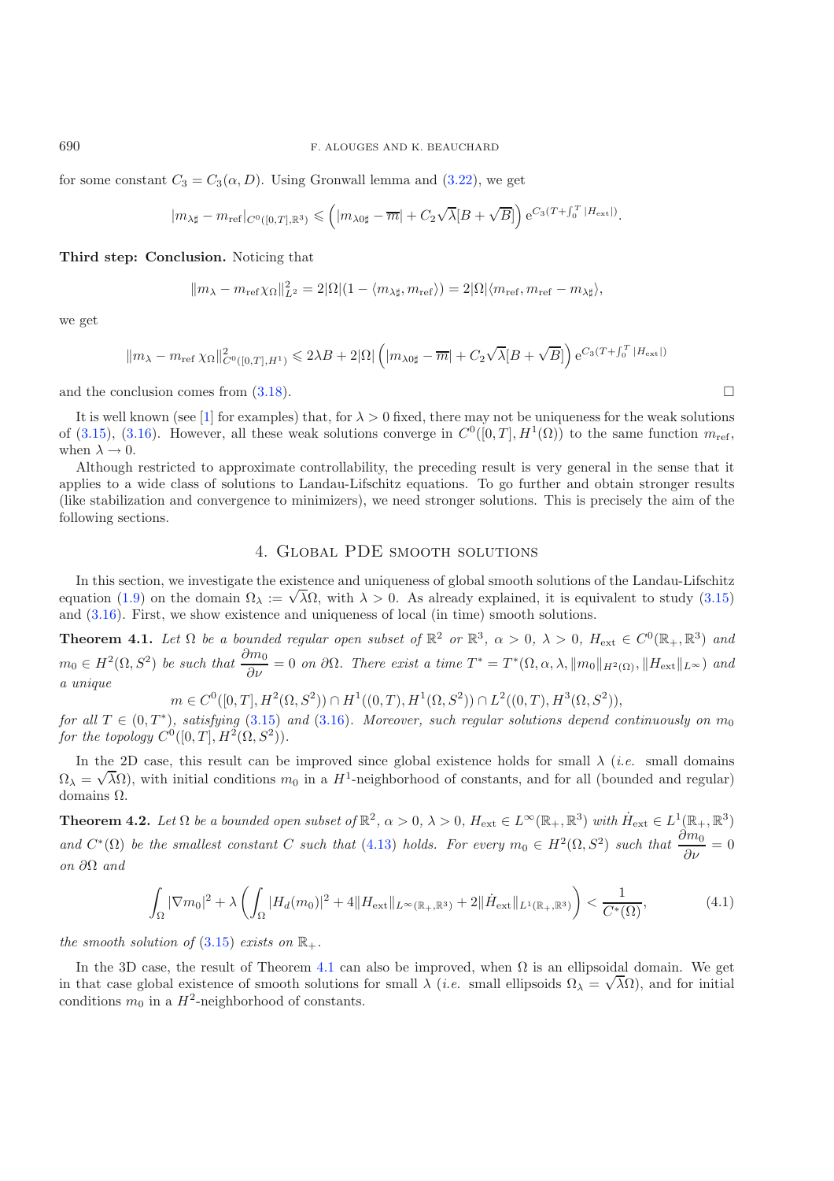for some constant  $C_3 = C_3(\alpha, D)$ . Using Gronwall lemma and [\(3.22\)](#page-13-2), we get

$$
|m_{\lambda\sharp}-m_{\scriptstyle{\textup{ref}}}|_{C^0([0,T],{\mathbb{R}}^3)}\leqslant \left(|m_{\lambda0\sharp}-\overline{m}|+C_2\sqrt{\lambda}[B+\sqrt{B}]\right)\mathrm{e}^{C_3(T+\int_0^T|H_{\scriptstyle{\textup{ext}}}|)}.
$$

**Third step: Conclusion.** Noticing that

$$
||m_{\lambda}-m_{\text{ref}}\chi_{\Omega}||_{L^2}^2=2|\Omega|(1-\langle m_{\lambda\sharp},m_{\text{ref}}\rangle)=2|\Omega|\langle m_{\text{ref}},m_{\text{ref}}-m_{\lambda\sharp}\rangle,
$$

we get

$$
||m_{\lambda}-m_{\mathrm{ref}}\,\chi_{\Omega}||_{C^{0}([0,T],H^{1})}^{2}\leqslant 2\lambda B+2|\Omega|\left(|m_{\lambda 0\sharp}-\overline{m}|+C_{2}\sqrt{\lambda}[B+\sqrt{B}]\right)\mathrm{e}^{C_{3}(T+\int_{0}^{T}|H_{\mathrm{ext}}|)}
$$

and the conclusion comes from  $(3.18)$ .

It is well known (see [\[1](#page-35-5)] for examples) that, for  $\lambda > 0$  fixed, there may not be uniqueness for the weak solutions of [\(3.15\)](#page-12-0), [\(3.16\)](#page-12-1). However, all these weak solutions converge in  $C^0([0,T], H^1(\Omega))$  to the same function  $m_{\text{ref}}$ , when  $\lambda \rightarrow 0.$ 

Although restricted to approximate controllability, the preceding result is very general in the sense that it applies to a wide class of solutions to Landau-Lifschitz equations. To go further and obtain stronger results (like stabilization and convergence to minimizers), we need stronger solutions. This is precisely the aim of the following sections.

# 4. Global PDE smooth solutions

<span id="page-14-0"></span>In this section, we investigate the existence and uniqueness of global smooth solutions of the Landau-Lifschitz In this section, we investigate the existence and uniqueness of global smooth solutions of the Landau-Lifechitz<br>equation [\(1.9\)](#page-2-0) on the domain  $\Omega_{\lambda} := \sqrt{\lambda} \Omega$ , with  $\lambda > 0$ . As already explained, it is equivalent to study and [\(3.16\)](#page-12-1). First, we show existence and uniqueness of local (in time) smooth solutions.

<span id="page-14-1"></span>**Theorem 4.1.** *Let*  $\Omega$  *be a bounded regular open subset of*  $\mathbb{R}^2$  *or*  $\mathbb{R}^3$ *,*  $\alpha > 0$ *,*  $\lambda > 0$ *,*  $H_{ext} \in C^0(\mathbb{R}_+, \mathbb{R}^3)$  *and*  $m_0 \in H^2(\Omega, S^2)$  *be such that*  $\frac{\partial m_0}{\partial \nu} = 0$  *on*  $\partial \Omega$ *. There exist a time*  $T^* = T^*(\Omega, \alpha, \lambda, ||m_0||_{H^2(\Omega)}, ||H_{ext}||_{L^{\infty}})$  *and a unique*

 $m \in C^{0}([0, T], H^{2}(\Omega, S^{2})) \cap H^{1}((0, T), H^{1}(\Omega, S^{2})) \cap L^{2}((0, T), H^{3}(\Omega, S^{2})).$ 

<span id="page-14-4"></span>*for all*  $T \in (0, T^*)$ *, satisfying* [\(3.15\)](#page-12-0) *and* [\(3.16\)](#page-12-1)*. Moreover, such regular solutions depend continuously on*  $m_0$ *for the topology*  $C^0([0, T], H^2(\Omega, S^2))$ *.* 

In the 2D case, this result can be improved since global existence holds for small  $\lambda$  (*i.e.* small domains  $\Omega_{\lambda} = \sqrt{\lambda} \Omega$ ), with initial conditions  $m_0$  in a  $H^1$ -neighborhood of constants, and for all (bounded and regular) domains Ω.

<span id="page-14-2"></span>**Theorem 4.2.** Let  $\Omega$  be a bounded open subset of  $\mathbb{R}^2$ ,  $\alpha > 0$ ,  $\lambda > 0$ ,  $H_{ext} \in L^{\infty}(\mathbb{R}_+, \mathbb{R}^3)$  with  $\dot{H}_{ext} \in L^1(\mathbb{R}_+, \mathbb{R}^3)$ and  $C^*(\Omega)$  be the smallest constant C such that [\(4.13\)](#page-17-0) holds. For every  $m_0 \in H^2(\Omega, S^2)$  such that  $\frac{\partial m_0}{\partial \nu} = 0$ *on* ∂Ω *and*

$$
\int_{\Omega} |\nabla m_0|^2 + \lambda \left( \int_{\Omega} |H_d(m_0)|^2 + 4 \| H_{\text{ext}} \|_{L^{\infty}(\mathbb{R}_+, \mathbb{R}^3)} + 2 \| \dot{H}_{\text{ext}} \|_{L^1(\mathbb{R}_+, \mathbb{R}^3)} \right) < \frac{1}{C^*(\Omega)},\tag{4.1}
$$

*the smooth solution of*  $(3.15)$  *exists on*  $\mathbb{R}_+$ *.* 

<span id="page-14-3"></span>In the 3D case, the result of Theorem [4.1](#page-14-1) can also be improved, when  $\Omega$  is an ellipsoidal domain. We get in the 3D case, the result of 1 heorem 4.1 can also be improved, when  $\Omega$  is an empsoidal domain. We get<br>in that case global existence of smooth solutions for small  $\lambda$  (*i.e.* small ellipsoids  $\Omega_{\lambda} = \sqrt{\lambda} \Omega$ ), and fo conditions  $m_0$  in a  $H^2$ -neighborhood of constants.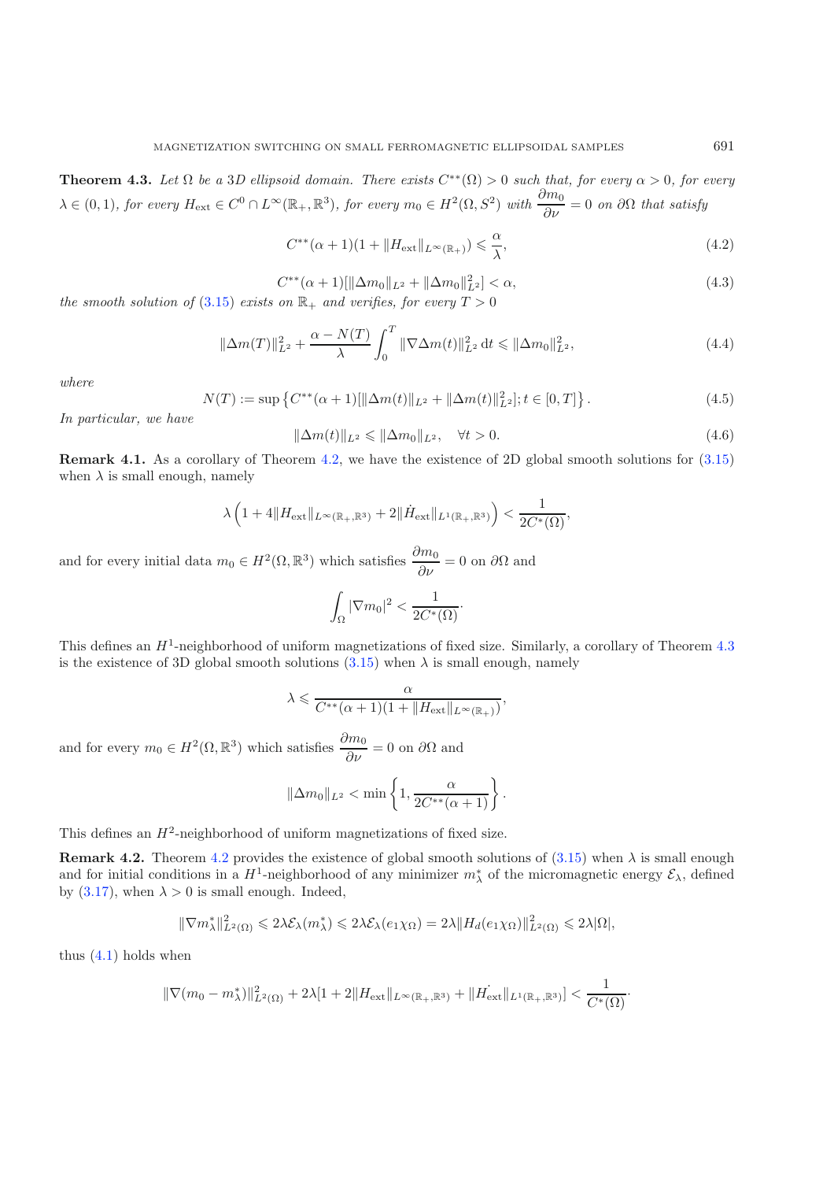<span id="page-15-2"></span><span id="page-15-1"></span><span id="page-15-0"></span>**Theorem 4.3.** *Let*  $\Omega$  *be a* 3*D* ellipsoid domain. There exists  $C^{**}(\Omega) > 0$  such that, for every  $\alpha > 0$ , for every  $\lambda \in (0,1)$ , for every  $H_{ext} \in C^0 \cap L^{\infty}(\mathbb{R}_+, \mathbb{R}^3)$ , for every  $m_0 \in H^2(\Omega, S^2)$  with  $\frac{\partial m_0}{\partial \nu} = 0$  on  $\partial \Omega$  that satisfy

<span id="page-15-3"></span>
$$
C^{**}(\alpha+1)(1+\|H_{\text{ext}}\|_{L^{\infty}(\mathbb{R}_+)}) \leq \frac{\alpha}{\lambda},\tag{4.2}
$$

$$
C^{**}(\alpha+1)[\|\Delta m_0\|_{L^2} + \|\Delta m_0\|_{L^2}^2] < \alpha,\tag{4.3}
$$

*the smooth solution of* [\(3.15\)](#page-12-0) *exists on*  $\mathbb{R}_+$  *and verifies, for every*  $T > 0$ 

$$
\|\Delta m(T)\|_{L^2}^2 + \frac{\alpha - N(T)}{\lambda} \int_0^T \|\nabla \Delta m(t)\|_{L^2}^2 dt \le \|\Delta m_0\|_{L^2}^2,
$$
\n(4.4)

*where*

$$
N(T) := \sup \left\{ C^{**}(\alpha + 1) [\|\Delta m(t)\|_{L^2} + \|\Delta m(t)\|_{L^2}^2]; t \in [0, T] \right\}.
$$
 (4.5)

*In particular, we have*

$$
\|\Delta m(t)\|_{L^2} \le \|\Delta m_0\|_{L^2}, \quad \forall t > 0.
$$
\n
$$
(4.6)
$$

**Remark 4.1.** As a corollary of Theorem [4.2,](#page-14-2) we have the existence of 2D global smooth solutions for  $(3.15)$ when  $\lambda$  is small enough, namely

$$
\lambda \left( 1 + 4 \| H_{\text{ext}} \|_{L^{\infty}(\mathbb{R}_+, \mathbb{R}^3)} + 2 \| \dot{H}_{\text{ext}} \|_{L^1(\mathbb{R}_+, \mathbb{R}^3)} \right) < \frac{1}{2C^*(\Omega)},
$$

and for every initial data  $m_0 \in H^2(\Omega, \mathbb{R}^3)$  which satisfies  $\frac{\partial m_0}{\partial \nu} = 0$  on  $\partial \Omega$  and

$$
\int_{\Omega} |\nabla m_0|^2 < \frac{1}{2C^*(\Omega)}.
$$

This defines an  $H^1$ -neighborhood of uniform magnetizations of fixed size. Similarly, a corollary of Theorem [4.3](#page-14-3) is the existence of 3D global smooth solutions [\(3.15\)](#page-12-0) when  $\lambda$  is small enough, namely

$$
\lambda \leqslant \frac{\alpha}{C^{**}(\alpha+1)(1+\|H_{\text{ext}}\|_{L^{\infty}(\mathbb{R}_+)})},
$$

and for every  $m_0 \in H^2(\Omega, \mathbb{R}^3)$  which satisfies  $\frac{\partial m_0}{\partial \nu} = 0$  on  $\partial \Omega$  and

$$
\|\Delta m_0\|_{L^2} < \min\left\{1, \frac{\alpha}{2C^{**}(\alpha+1)}\right\}.
$$

This defines an  $H^2$ -neighborhood of uniform magnetizations of fixed size.

**Remark [4.2](#page-14-2).** Theorem 4.2 provides the existence of global smooth solutions of  $(3.15)$  when  $\lambda$  is small enough and for initial conditions in a  $H^1$ -neighborhood of any minimizer  $m^*_{\lambda}$  of the micromagnetic energy  $\mathcal{E}_{\lambda}$ , defined by [\(3.17\)](#page-12-4), when  $\lambda > 0$  is small enough. Indeed,

$$
\|\nabla m_{\lambda}^*\|_{L^2(\Omega)}^2 \leq 2\lambda \mathcal{E}_{\lambda}(m_{\lambda}^*) \leq 2\lambda \mathcal{E}_{\lambda}(e_1 \chi_{\Omega}) = 2\lambda \|H_d(e_1 \chi_{\Omega})\|_{L^2(\Omega)}^2 \leq 2\lambda |\Omega|,
$$

thus  $(4.1)$  holds when

$$
\|\nabla(m_0 - m_\lambda^*)\|_{L^2(\Omega)}^2 + 2\lambda [1+2\|H_{\text{ext}}\|_{L^\infty(\mathbb{R}_+,\mathbb{R}^3)} + \|H_{\text{ext}}\|_{L^1(\mathbb{R}_+,\mathbb{R}^3)}] < \frac{1}{C^*(\Omega)}.
$$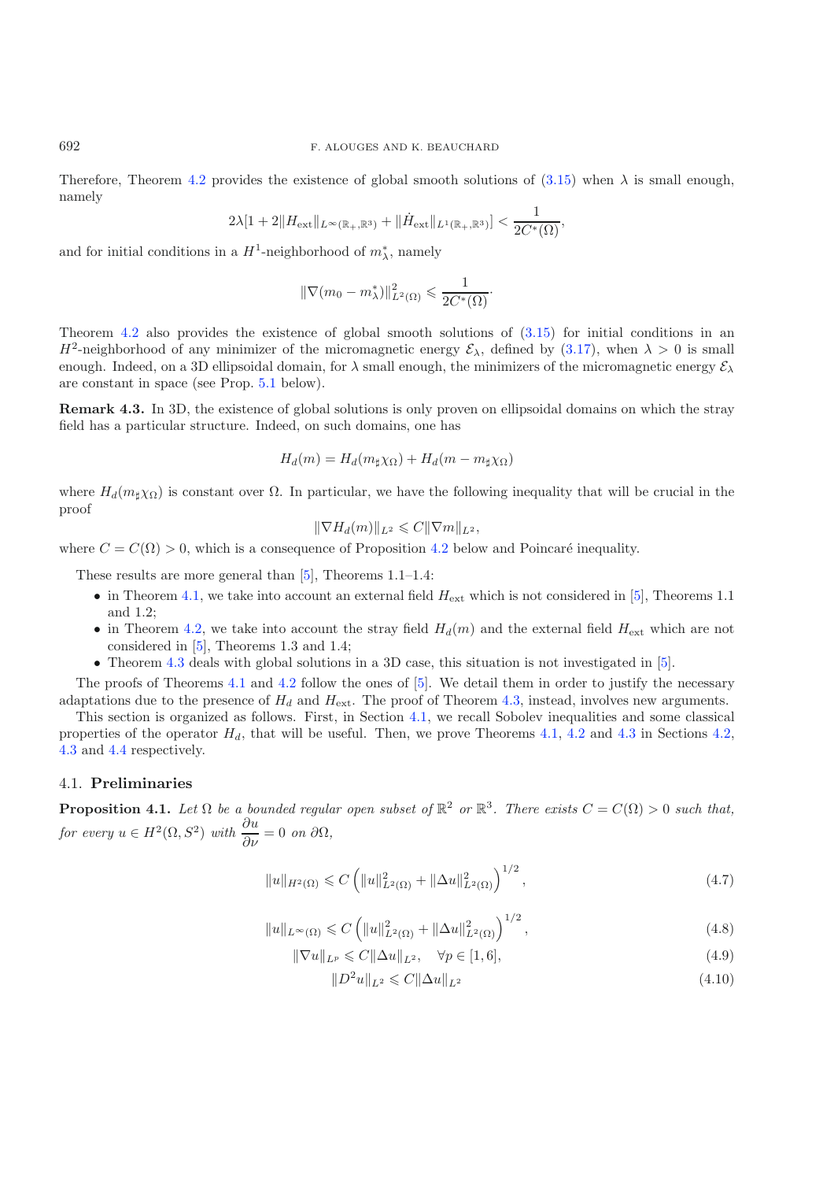Therefore, Theorem [4.2](#page-14-2) provides the existence of global smooth solutions of  $(3.15)$  when  $\lambda$  is small enough, namely

$$
2\lambda[1+2\|H_{\text{ext}}\|_{L^{\infty}(\mathbb{R}_+,\mathbb{R}^3)} + \|\dot{H}_{\text{ext}}\|_{L^1(\mathbb{R}_+,\mathbb{R}^3)}] < \frac{1}{2C^*(\Omega)},
$$

and for initial conditions in a  $H^1$ -neighborhood of  $m^*_{\lambda}$ , namely

$$
\|\nabla(m_0 - m_\lambda^*)\|_{L^2(\Omega)}^2 \leq \frac{1}{2C^*(\Omega)}.
$$

Theorem [4.2](#page-14-2) also provides the existence of global smooth solutions of [\(3.15\)](#page-12-0) for initial conditions in an  $H^2$ -neighborhood of any minimizer of the micromagnetic energy  $\mathcal{E}_{\lambda}$ , defined by [\(3.17\)](#page-12-4), when  $\lambda > 0$  is small enough. Indeed, on a 3D ellipsoidal domain, for  $\lambda$  small enough, the minimizers of the micromagnetic energy  $\mathcal{E}_{\lambda}$ are constant in space (see Prop. [5.1](#page-27-0) below).

<span id="page-16-6"></span>**Remark 4.3.** In 3D, the existence of global solutions is only proven on ellipsoidal domains on which the stray field has a particular structure. Indeed, on such domains, one has

$$
H_d(m) = H_d(m_{\sharp}\chi_{\Omega}) + H_d(m - m_{\sharp}\chi_{\Omega})
$$

where  $H_d(m_\sharp \chi_{\Omega})$  is constant over  $\Omega$ . In particular, we have the following inequality that will be crucial in the proof

$$
\|\nabla H_d(m)\|_{L^2} \leqslant C\|\nabla m\|_{L^2},
$$

where  $C = C(\Omega) > 0$ , which is a consequence of Proposition [4.2](#page-17-1) below and Poincaré inequality.

These results are more general than [\[5\]](#page-35-4), Theorems 1.1–1.4:

- in Theorem [4.1,](#page-14-1) we take into account an external field  $H_{\text{ext}}$  which is not considered in [\[5](#page-35-4)], Theorems 1.1 and 1.2;
- in Theorem [4.2,](#page-14-2) we take into account the stray field  $H_d(m)$  and the external field  $H_{\text{ext}}$  which are not considered in [\[5\]](#page-35-4), Theorems 1.3 and 1.4;
- <span id="page-16-4"></span><span id="page-16-3"></span><span id="page-16-2"></span>• Theorem [4.3](#page-14-3) deals with global solutions in a 3D case, this situation is not investigated in [\[5\]](#page-35-4).

The proofs of Theorems [4.1](#page-14-1) and [4.2](#page-14-2) follow the ones of [\[5\]](#page-35-4). We detail them in order to justify the necessary adaptations due to the presence of  $H_d$  and  $H_{\text{ext}}$ . The proof of Theorem [4.3,](#page-14-3) instead, involves new arguments.

This section is organized as follows. First, in Section [4.1,](#page-16-0) we recall Sobolev inequalities and some classical properties of the operator  $H_d$ , that will be useful. Then, we prove Theorems [4.1,](#page-14-1) [4.2](#page-14-2) and [4.3](#page-14-3) in Sections [4.2,](#page-18-0) [4.3](#page-21-0) and [4.4](#page-24-0) respectively.

### <span id="page-16-1"></span><span id="page-16-0"></span>4.1. **Preliminaries**

**Proposition 4.1.** *Let*  $\Omega$  *be a bounded regular open subset of*  $\mathbb{R}^2$  *or*  $\mathbb{R}^3$ *. There exists*  $C = C(\Omega) > 0$  *such that, for every*  $u \in H^2(\Omega, S^2)$  *with*  $\frac{\partial u}{\partial \nu} = 0$  *on*  $\partial \Omega$ *,* 

<span id="page-16-5"></span>
$$
||u||_{H^{2}(\Omega)} \leqslant C \left( ||u||_{L^{2}(\Omega)}^{2} + ||\Delta u||_{L^{2}(\Omega)}^{2} \right)^{1/2}, \qquad (4.7)
$$

$$
||u||_{L^{\infty}(\Omega)} \leq C \left( ||u||_{L^{2}(\Omega)}^{2} + ||\Delta u||_{L^{2}(\Omega)}^{2} \right)^{1/2},
$$
\n(4.8)

$$
\|\nabla u\|_{L^p} \leqslant C\|\Delta u\|_{L^2}, \quad \forall p \in [1, 6],\tag{4.9}
$$

$$
||D^2u||_{L^2} \leqslant C||\Delta u||_{L^2}
$$
\n(4.10)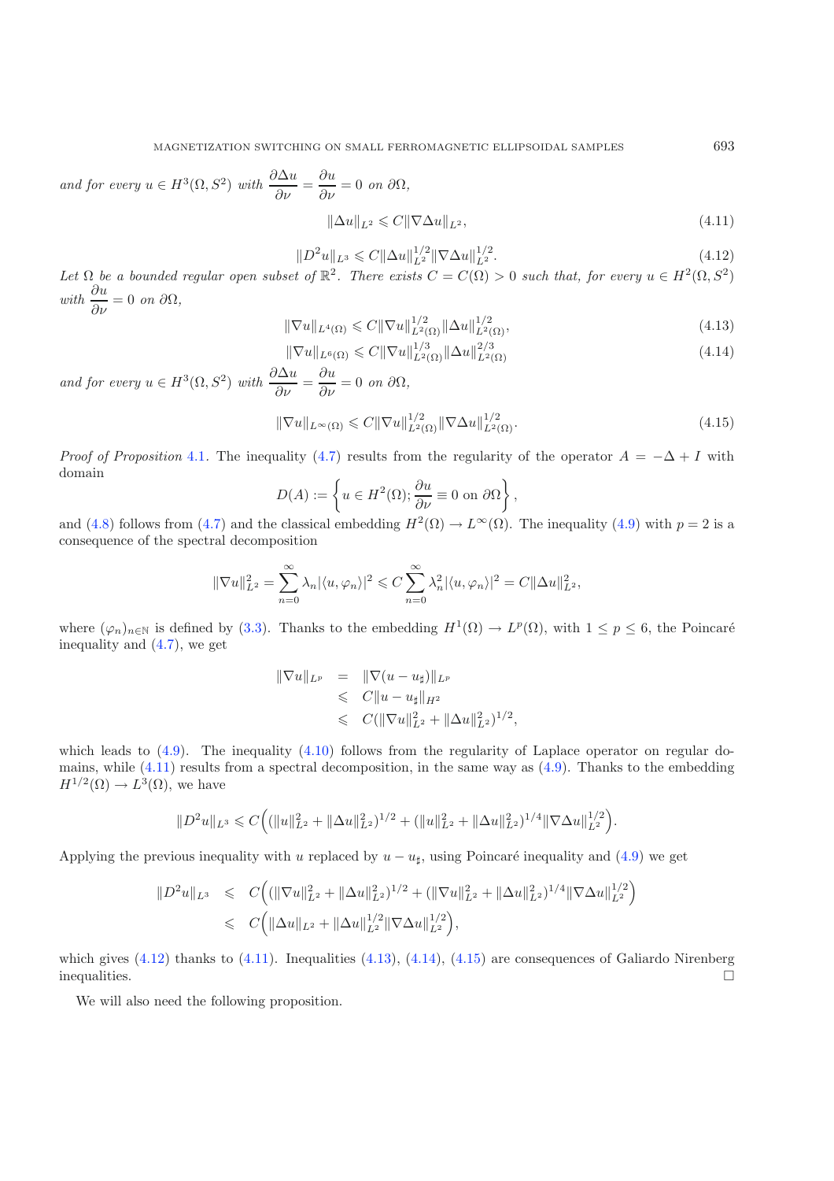<span id="page-17-5"></span><span id="page-17-4"></span><span id="page-17-3"></span><span id="page-17-2"></span><span id="page-17-0"></span>and for every  $u \in H^3(\Omega, S^2)$  with  $\frac{\partial \Delta u}{\partial \nu} = \frac{\partial u}{\partial \nu} = 0$  on  $\partial \Omega$ ,

$$
\|\Delta u\|_{L^2} \leqslant C \|\nabla \Delta u\|_{L^2},\tag{4.11}
$$

$$
||D^2u||_{L^3} \leqslant C||\Delta u||_{L^2}^{1/2}||\nabla \Delta u||_{L^2}^{1/2}.
$$
\n(4.12)

Let  $\Omega$  *be a bounded regular open subset of*  $\mathbb{R}^2$ . There exists  $C = C(\Omega) > 0$  *such that, for every*  $u \in H^2(\Omega, S^2)$  $with \frac{\partial u}{\partial \nu} = 0 \text{ on } \partial \Omega,$ 

$$
\|\nabla u\|_{L^{4}(\Omega)} \leq C\|\nabla u\|_{L^{2}(\Omega)}^{1/2} \|\Delta u\|_{L^{2}(\Omega)}^{1/2},
$$
\n(4.13)

$$
\|\nabla u\|_{L^{6}(\Omega)} \leqslant C\|\nabla u\|_{L^{2}(\Omega)}^{1/3} \|\Delta u\|_{L^{2}(\Omega)}^{2/3}
$$
\n(4.14)

and for every  $u \in H^3(\Omega, S^2)$  with  $\frac{\partial \Delta u}{\partial \nu} = \frac{\partial u}{\partial \nu} = 0$  on  $\partial \Omega$ ,

$$
\|\nabla u\|_{L^{\infty}(\Omega)} \leqslant C\|\nabla u\|_{L^{2}(\Omega)}^{1/2} \|\nabla \Delta u\|_{L^{2}(\Omega)}^{1/2}.
$$
\n(4.15)

*Proof of Proposition* [4.1](#page-16-1). The inequality [\(4.7\)](#page-16-2) results from the regularity of the operator  $A = -\Delta + I$  with domain

$$
D(A) := \left\{ u \in H^{2}(\Omega) ; \frac{\partial u}{\partial \nu} \equiv 0 \text{ on } \partial \Omega \right\},\
$$

and [\(4.8\)](#page-16-3) follows from [\(4.7\)](#page-16-2) and the classical embedding  $H^2(\Omega) \to L^{\infty}(\Omega)$ . The inequality [\(4.9\)](#page-16-4) with  $p = 2$  is a consequence of the spectral decomposition

$$
\|\nabla u\|_{L^2}^2 = \sum_{n=0}^{\infty} \lambda_n |\langle u, \varphi_n \rangle|^2 \leq C \sum_{n=0}^{\infty} \lambda_n^2 |\langle u, \varphi_n \rangle|^2 = C \|\Delta u\|_{L^2}^2,
$$

where  $(\varphi_n)_{n\in\mathbb{N}}$  is defined by [\(3.3\)](#page-8-2). Thanks to the embedding  $H^1(\Omega) \to L^p(\Omega)$ , with  $1 \leq p \leq 6$ , the Poincaré inequality and [\(4.7\)](#page-16-2), we get

$$
\|\nabla u\|_{L^p} = \|\nabla (u - u_{\sharp})\|_{L^p}
$$
  
\n
$$
\leq C \|u - u_{\sharp}\|_{H^2}
$$
  
\n
$$
\leq C (\|\nabla u\|_{L^2}^2 + \|\Delta u\|_{L^2}^2)^{1/2},
$$

which leads to  $(4.9)$ . The inequality  $(4.10)$  follows from the regularity of Laplace operator on regular domains, while  $(4.11)$  results from a spectral decomposition, in the same way as  $(4.9)$ . Thanks to the embedding  $H^{1/2}(\Omega) \to L^3(\Omega)$ , we have

$$
||D^2u||_{L^3}\leqslant C\Big(||u||_{L^2}^2+||\Delta u||_{L^2}^2)^{1/2}+(||u||_{L^2}^2+||\Delta u||_{L^2}^2)^{1/4}||\nabla\Delta u||_{L^2}^{1/2}\Big).
$$

Applying the previous inequality with u replaced by  $u - u_{\sharp}$ , using Poincaré inequality and [\(4.9\)](#page-16-4) we get

$$
\|D^2u\|_{L^3} \leq C\Big( (\|\nabla u\|_{L^2}^2 + \|\Delta u\|_{L^2}^2)^{1/2} + (\|\nabla u\|_{L^2}^2 + \|\Delta u\|_{L^2}^2)^{1/4} \|\nabla \Delta u\|_{L^2}^{1/2} \Big) \leq C\Big( \|\Delta u\|_{L^2} + \|\Delta u\|_{L^2}^{1/2} \|\nabla \Delta u\|_{L^2}^{1/2} \Big),
$$

<span id="page-17-1"></span>which gives  $(4.12)$  thanks to  $(4.11)$ . Inequalities  $(4.13)$ ,  $(4.14)$ ,  $(4.15)$  are consequences of Galiardo Nirenberg inequalities.  $\Box$ 

We will also need the following proposition.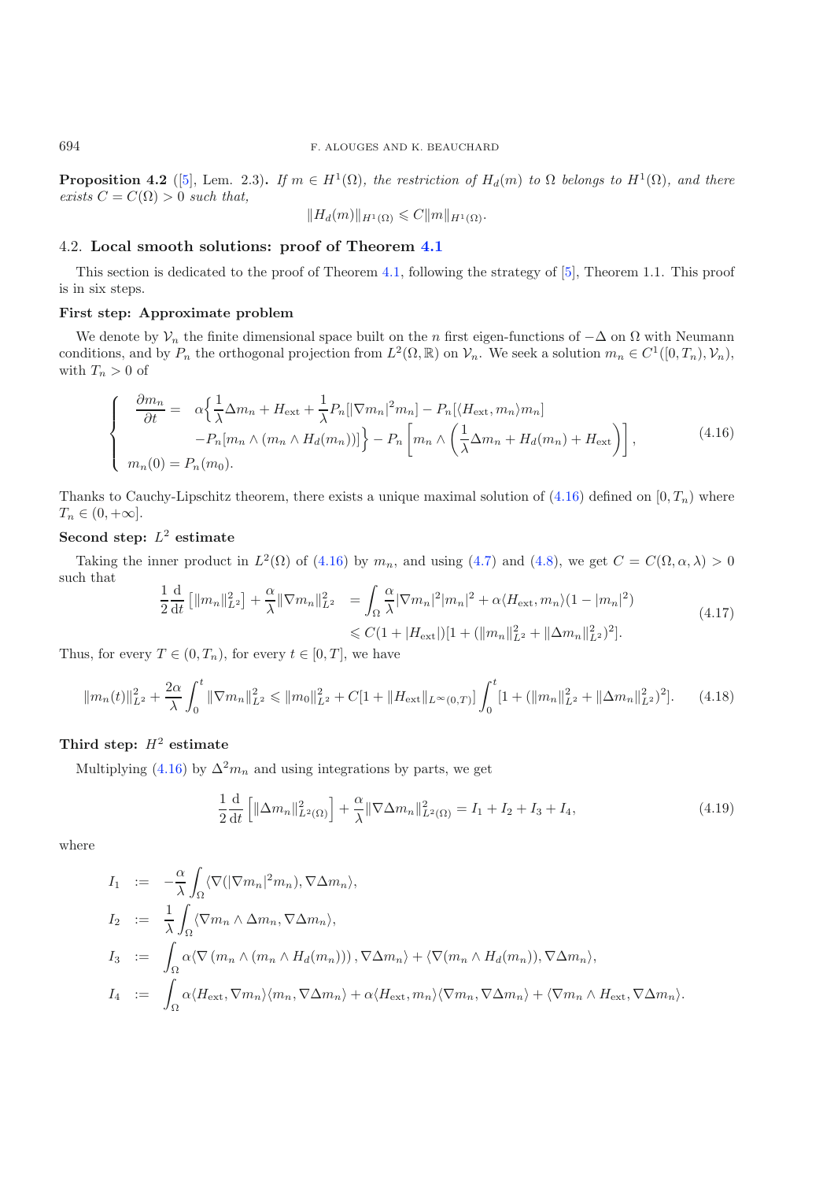**Proposition 4.2** ([\[5](#page-35-4)], Lem. 2.3). *If*  $m \in H^1(\Omega)$ *, the restriction of*  $H_d(m)$  *to*  $\Omega$  *belongs to*  $H^1(\Omega)$ *, and there exists*  $C = C(\Omega) > 0$  *such that,* 

$$
||H_d(m)||_{H^1(\Omega)} \leqslant C||m||_{H^1(\Omega)}.
$$

## <span id="page-18-1"></span><span id="page-18-0"></span>4.2. **Local smooth solutions: proof of Theorem [4.1](#page-14-1)**

This section is dedicated to the proof of Theorem [4.1,](#page-14-1) following the strategy of [\[5\]](#page-35-4), Theorem 1.1. This proof is in six steps.

## **First step: Approximate problem**

We denote by  $\mathcal{V}_n$  the finite dimensional space built on the n first eigen-functions of  $-\Delta$  on  $\Omega$  with Neumann conditions, and by  $P_n$  the orthogonal projection from  $L^2(\Omega,\mathbb{R})$  on  $\mathcal{V}_n$ . We seek a solution  $m_n \in C^1([0,T_n),\mathcal{V}_n)$ , with  $T_n > 0$  of

$$
\begin{cases}\n\frac{\partial m_n}{\partial t} = \alpha \left\{ \frac{1}{\lambda} \Delta m_n + H_{\text{ext}} + \frac{1}{\lambda} P_n [\left| \nabla m_n \right|^2 m_n] - P_n [\langle H_{\text{ext}}, m_n \rangle m_n] \right. \\
\left. - P_n [m_n \wedge (m_n \wedge H_d(m_n))] \right\} - P_n \left[ m_n \wedge \left( \frac{1}{\lambda} \Delta m_n + H_d(m_n) + H_{\text{ext}} \right) \right],\n\end{cases} \tag{4.16}
$$

<span id="page-18-2"></span>Thanks to Cauchy-Lipschitz theorem, there exists a unique maximal solution of  $(4.16)$  defined on  $[0, T_n)$  where  $T_n \in (0, +\infty].$ 

## **Second step:** L<sup>2</sup> **estimate**

Taking the inner product in  $L^2(\Omega)$  of [\(4.16\)](#page-18-1) by  $m_n$ , and using [\(4.7\)](#page-16-2) and [\(4.8\)](#page-16-3), we get  $C = C(\Omega, \alpha, \lambda) > 0$ such that

<span id="page-18-3"></span>
$$
\frac{1}{2}\frac{\mathrm{d}}{\mathrm{d}t}\left[||m_n||_{L^2}^2\right] + \frac{\alpha}{\lambda}||\nabla m_n||_{L^2}^2 = \int_{\Omega} \frac{\alpha}{\lambda} |\nabla m_n|^2 |m_n|^2 + \alpha \langle H_{\text{ext}}, m_n \rangle (1 - |m_n|^2) \leq C(1 + |H_{\text{ext}}|)[1 + (||m_n||_{L^2}^2 + ||\Delta m_n||_{L^2}^2)^2].\tag{4.17}
$$

Thus, for every  $T \in (0, T_n)$ , for every  $t \in [0, T]$ , we have

$$
||m_n(t)||_{L^2}^2 + \frac{2\alpha}{\lambda} \int_0^t ||\nabla m_n||_{L^2}^2 \le ||m_0||_{L^2}^2 + C[1 + ||H_{\text{ext}}||_{L^\infty(0,T)}] \int_0^t [1 + (||m_n||_{L^2}^2 + ||\Delta m_n||_{L^2}^2)^2]. \tag{4.18}
$$

# Third step:  $H^2$  estimate

Multiplying [\(4.16\)](#page-18-1) by  $\Delta^2 m_n$  and using integrations by parts, we get

$$
\frac{1}{2}\frac{d}{dt}\left[\|\Delta m_n\|_{L^2(\Omega)}^2\right] + \frac{\alpha}{\lambda}\|\nabla\Delta m_n\|_{L^2(\Omega)}^2 = I_1 + I_2 + I_3 + I_4,\tag{4.19}
$$

where

$$
I_1 := -\frac{\alpha}{\lambda} \int_{\Omega} \langle \nabla (|\nabla m_n|^2 m_n), \nabla \Delta m_n \rangle,
$$
  
\n
$$
I_2 := \frac{1}{\lambda} \int_{\Omega} \langle \nabla m_n \wedge \Delta m_n, \nabla \Delta m_n \rangle,
$$
  
\n
$$
I_3 := \int_{\Omega} \alpha \langle \nabla (m_n \wedge (m_n \wedge H_d(m_n))), \nabla \Delta m_n \rangle + \langle \nabla (m_n \wedge H_d(m_n)), \nabla \Delta m_n \rangle,
$$
  
\n
$$
I_4 := \int_{\Omega} \alpha \langle H_{ext}, \nabla m_n \rangle \langle m_n, \nabla \Delta m_n \rangle + \alpha \langle H_{ext}, m_n \rangle \langle \nabla m_n, \nabla \Delta m_n \rangle + \langle \nabla m_n \wedge H_{ext}, \nabla \Delta m_n \rangle.
$$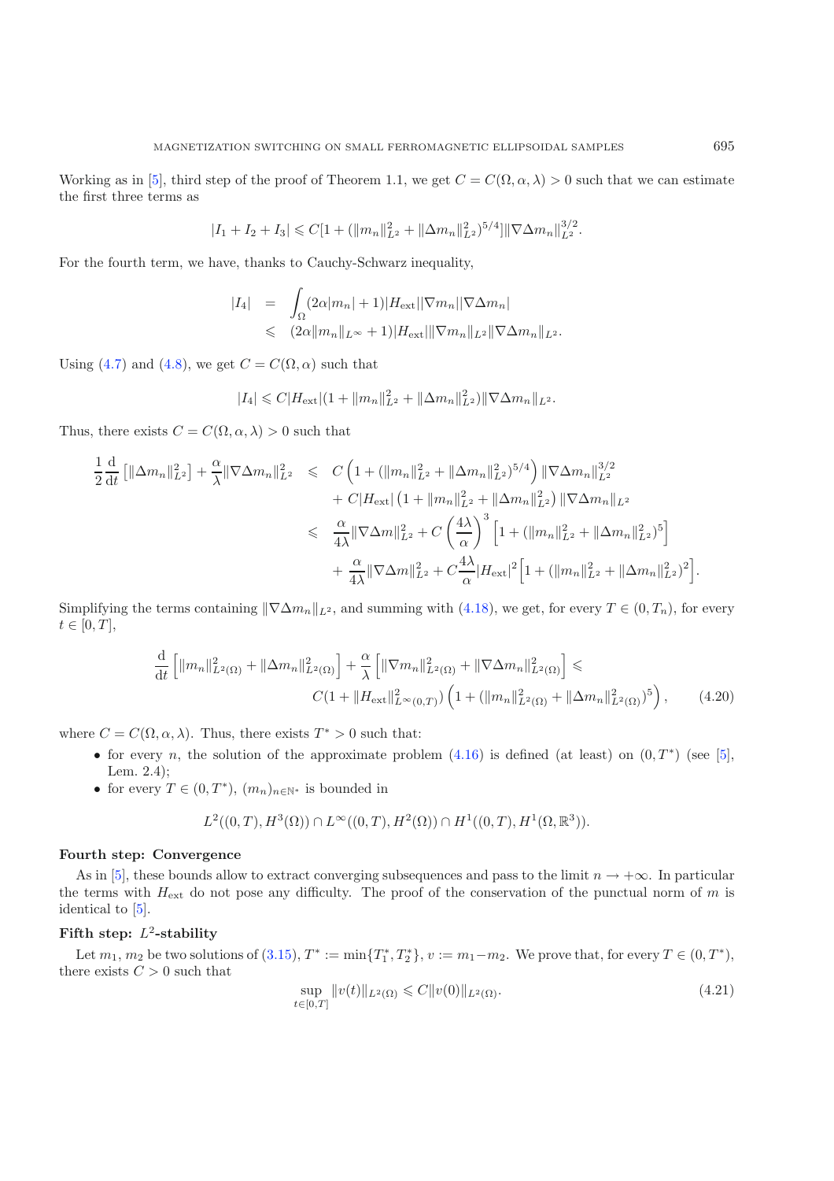Working as in [\[5](#page-35-4)], third step of the proof of Theorem 1.1, we get  $C = C(\Omega, \alpha, \lambda) > 0$  such that we can estimate the first three terms as

$$
|I_1 + I_2 + I_3| \leq C[1 + (||m_n||_{L^2}^2 + ||\Delta m_n||_{L^2}^2)^{5/4}] ||\nabla \Delta m_n||_{L^2}^{3/2}.
$$

For the fourth term, we have, thanks to Cauchy-Schwarz inequality,

$$
|I_4| = \int_{\Omega} (2\alpha |m_n| + 1)|H_{\text{ext}}||\nabla m_n||\nabla \Delta m_n|
$$
  
\$\leqslant (2\alpha ||m\_n||\_{L^{\infty}} + 1)|H\_{\text{ext}}|||\nabla m\_n||\_{L^2}||\nabla \Delta m\_n||\_{L^2}\$.

Using [\(4.7\)](#page-16-2) and [\(4.8\)](#page-16-3), we get  $C = C(\Omega, \alpha)$  such that

$$
|I_4| \leq C |H_{\text{ext}}|(1 + ||m_n||_{L^2}^2 + ||\Delta m_n||_{L^2}^2) ||\nabla \Delta m_n||_{L^2}.
$$

Thus, there exists  $C = C(\Omega, \alpha, \lambda) > 0$  such that

$$
\frac{1}{2}\frac{d}{dt}\left[\|\Delta m_{n}\|_{L^{2}}^{2}\right] + \frac{\alpha}{\lambda}\|\nabla\Delta m_{n}\|_{L^{2}}^{2} \leq C\left(1 + (\|m_{n}\|_{L^{2}}^{2} + \|\Delta m_{n}\|_{L^{2}}^{2})^{5/4}\right) \|\nabla\Delta m_{n}\|_{L^{2}}^{3/2} \n+ C|H_{\text{ext}}|\left(1 + \|m_{n}\|_{L^{2}}^{2} + \|\Delta m_{n}\|_{L^{2}}^{2}\right) \|\nabla\Delta m_{n}\|_{L^{2}} \n\leq \frac{\alpha}{4\lambda}\|\nabla\Delta m\|_{L^{2}}^{2} + C\left(\frac{4\lambda}{\alpha}\right)^{3}\left[1 + (\|m_{n}\|_{L^{2}}^{2} + \|\Delta m_{n}\|_{L^{2}}^{2})^{5}\right] \n+ \frac{\alpha}{4\lambda}\|\nabla\Delta m\|_{L^{2}}^{2} + C\frac{4\lambda}{\alpha}|H_{\text{ext}}|^{2}\left[1 + (\|m_{n}\|_{L^{2}}^{2} + \|\Delta m_{n}\|_{L^{2}}^{2})^{2}\right].
$$

Simplifying the terms containing  $\|\nabla \Delta m_n\|_{L^2}$ , and summing with [\(4.18\)](#page-18-2), we get, for every  $T \in (0, T_n)$ , for every  $t \in [0, T],$ 

$$
\frac{\mathrm{d}}{\mathrm{d}t} \left[ \|m_n\|_{L^2(\Omega)}^2 + \|\Delta m_n\|_{L^2(\Omega)}^2 \right] + \frac{\alpha}{\lambda} \left[ \|\nabla m_n\|_{L^2(\Omega)}^2 + \|\nabla\Delta m_n\|_{L^2(\Omega)}^2 \right] \leq
$$
\n
$$
C(1 + \|H_{\text{ext}}\|_{L^\infty(0,T)}^2) \left(1 + (\|m_n\|_{L^2(\Omega)}^2 + \|\Delta m_n\|_{L^2(\Omega)}^2)^5 \right),\tag{4.20}
$$

where  $C = C(\Omega, \alpha, \lambda)$ . Thus, there exists  $T^* > 0$  such that:

- for every n, the solution of the approximate problem  $(4.16)$  is defined (at least) on  $(0, T^*)$  (see [\[5\]](#page-35-4), Lem. 2.4);
- for every  $T \in (0, T^*)$ ,  $(m_n)_{n \in \mathbb{N}^*}$  is bounded in

<span id="page-19-0"></span>
$$
L^{2}((0, T), H^{3}(\Omega)) \cap L^{\infty}((0, T), H^{2}(\Omega)) \cap H^{1}((0, T), H^{1}(\Omega, \mathbb{R}^{3})).
$$

## **Fourth step: Convergence**

As in [\[5\]](#page-35-4), these bounds allow to extract converging subsequences and pass to the limit  $n \to +\infty$ . In particular the terms with  $H_{\text{ext}}$  do not pose any difficulty. The proof of the conservation of the punctual norm of m is identical to [\[5](#page-35-4)].

## Fifth step:  $L^2$ -stability

Let  $m_1, m_2$  be two solutions of  $(3.15), T^* := \min\{T_1^*, T_2^*\}, v := m_1 - m_2$  $(3.15), T^* := \min\{T_1^*, T_2^*\}, v := m_1 - m_2$ . We prove that, for every  $T \in (0, T^*)$ , there exists  $C > 0$  such that

$$
\sup_{t \in [0,T]} \|v(t)\|_{L^2(\Omega)} \leq C \|v(0)\|_{L^2(\Omega)}.
$$
\n(4.21)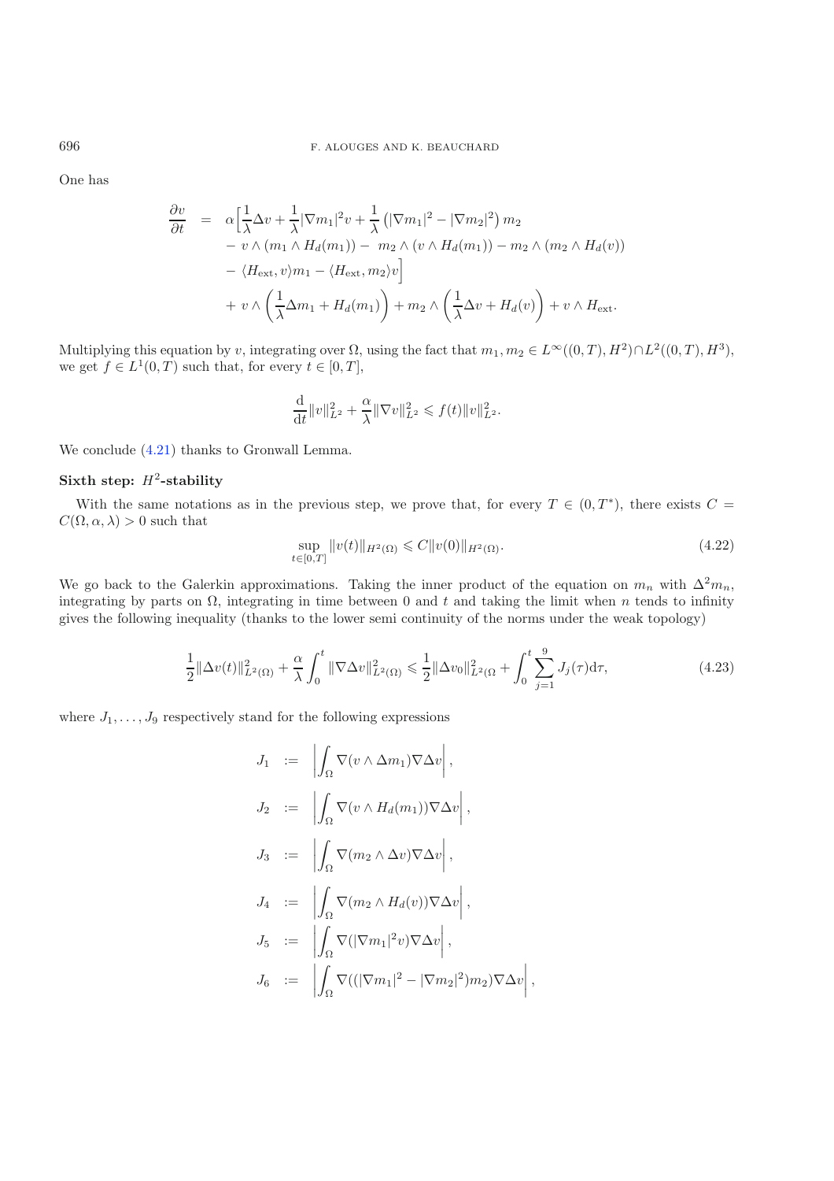One has

$$
\frac{\partial v}{\partial t} = \alpha \Big[ \frac{1}{\lambda} \Delta v + \frac{1}{\lambda} |\nabla m_1|^2 v + \frac{1}{\lambda} (|\nabla m_1|^2 - |\nabla m_2|^2) m_2 \n- v \wedge (m_1 \wedge H_d(m_1)) - m_2 \wedge (v \wedge H_d(m_1)) - m_2 \wedge (m_2 \wedge H_d(v)) \n- \langle H_{\text{ext}}, v \rangle m_1 - \langle H_{\text{ext}}, m_2 \rangle v \Big] \n+ v \wedge \Big( \frac{1}{\lambda} \Delta m_1 + H_d(m_1) \Big) + m_2 \wedge \Big( \frac{1}{\lambda} \Delta v + H_d(v) \Big) + v \wedge H_{\text{ext}}.
$$

Multiplying this equation by v, integrating over  $\Omega$ , using the fact that  $m_1, m_2 \in L^{\infty}((0,T), H^2) \cap L^2((0,T), H^3)$ , we get  $f \in L^1(0,T)$  such that, for every  $t \in [0,T]$ ,

<span id="page-20-1"></span>
$$
\frac{\mathrm{d}}{\mathrm{d} t} \| v \|_{L^2}^2 + \frac{\alpha}{\lambda} \| \nabla v \|_{L^2}^2 \leqslant f(t) \| v \|_{L^2}^2.
$$

<span id="page-20-0"></span>We conclude  $(4.21)$  thanks to Gronwall Lemma.

#### Sixth step:  $H^2$ -stability

With the same notations as in the previous step, we prove that, for every  $T \in (0, T^*)$ , there exists  $C =$  $C(\Omega, \alpha, \lambda) > 0$  such that

$$
\sup_{t \in [0,T]} \|v(t)\|_{H^2(\Omega)} \leqslant C \|v(0)\|_{H^2(\Omega)}.
$$
\n(4.22)

We go back to the Galerkin approximations. Taking the inner product of the equation on  $m_n$  with  $\Delta^2 m_n$ , integrating by parts on  $\Omega$ , integrating in time between 0 and t and taking the limit when n tends to infinity gives the following inequality (thanks to the lower semi continuity of the norms under the weak topology)

$$
\frac{1}{2} \|\Delta v(t)\|_{L^2(\Omega)}^2 + \frac{\alpha}{\lambda} \int_0^t \|\nabla \Delta v\|_{L^2(\Omega)}^2 \le \frac{1}{2} \|\Delta v_0\|_{L^2(\Omega)}^2 + \int_0^t \sum_{j=1}^9 J_j(\tau) d\tau,
$$
\n(4.23)

where  $J_1, \ldots, J_9$  respectively stand for the following expressions

$$
J_1 := \left| \int_{\Omega} \nabla(v \wedge \Delta m_1) \nabla \Delta v \right|,
$$
  
\n
$$
J_2 := \left| \int_{\Omega} \nabla(v \wedge H_d(m_1)) \nabla \Delta v \right|,
$$
  
\n
$$
J_3 := \left| \int_{\Omega} \nabla(m_2 \wedge \Delta v) \nabla \Delta v \right|,
$$
  
\n
$$
J_4 := \left| \int_{\Omega} \nabla(m_2 \wedge H_d(v)) \nabla \Delta v \right|,
$$
  
\n
$$
J_5 := \left| \int_{\Omega} \nabla (|\nabla m_1|^2 v) \nabla \Delta v \right|,
$$
  
\n
$$
J_6 := \left| \int_{\Omega} \nabla ((|\nabla m_1|^2 - |\nabla m_2|^2) m_2) \nabla \Delta v \right|,
$$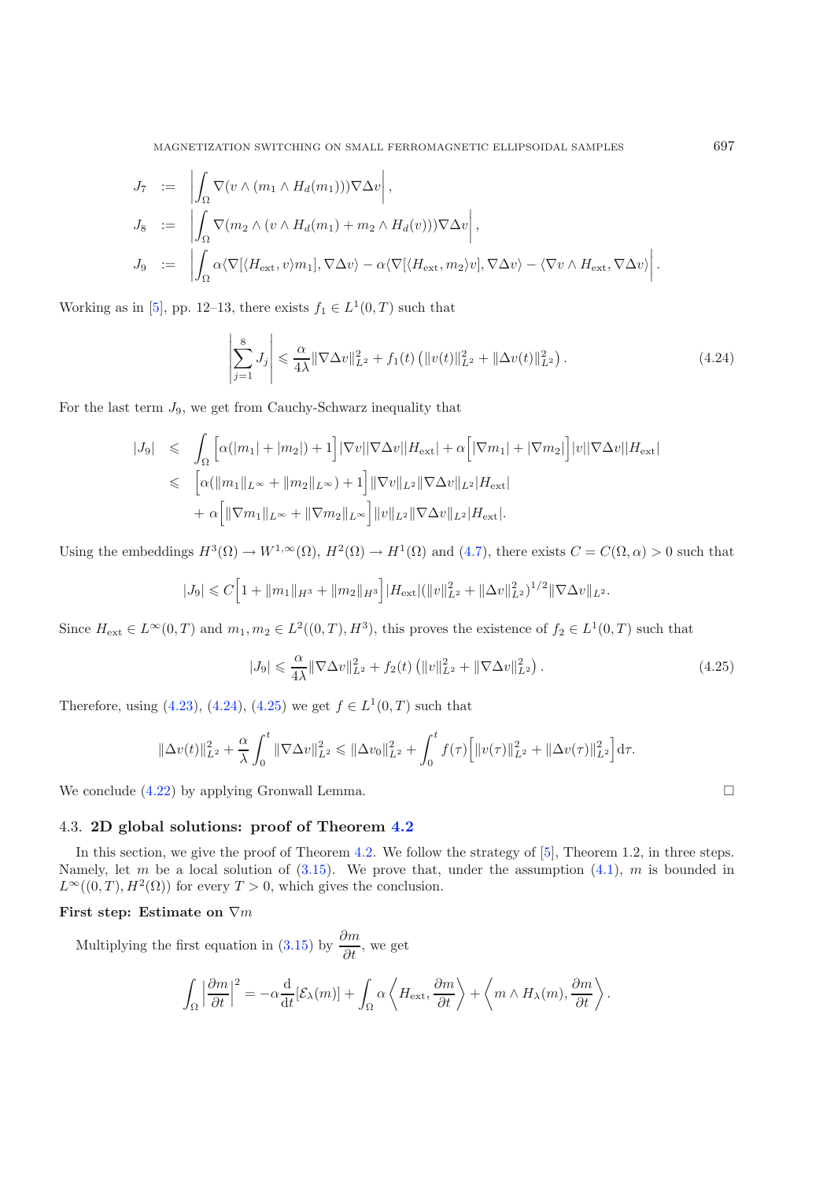<span id="page-21-1"></span>MAGNETIZATION SWITCHING ON SMALL FERROMAGNETIC ELLIPSOIDAL SAMPLES 697

$$
J_7 := \left| \int_{\Omega} \nabla(v \wedge (m_1 \wedge H_d(m_1))) \nabla \Delta v \right|,
$$
  
\n
$$
J_8 := \left| \int_{\Omega} \nabla (m_2 \wedge (v \wedge H_d(m_1) + m_2 \wedge H_d(v))) \nabla \Delta v \right|,
$$
  
\n
$$
J_9 := \left| \int_{\Omega} \alpha \langle \nabla [\langle H_{\text{ext}}, v \rangle m_1], \nabla \Delta v \rangle - \alpha \langle \nabla [\langle H_{\text{ext}}, m_2 \rangle v], \nabla \Delta v \rangle - \langle \nabla v \wedge H_{\text{ext}}, \nabla \Delta v \rangle \right|.
$$

Working as in [\[5\]](#page-35-4), pp. 12–13, there exists  $f_1 \in L^1(0,T)$  such that

$$
\left| \sum_{j=1}^{8} J_j \right| \leq \frac{\alpha}{4\lambda} \|\nabla \Delta v\|_{L^2}^2 + f_1(t) \left( \|v(t)\|_{L^2}^2 + \|\Delta v(t)\|_{L^2}^2 \right). \tag{4.24}
$$

For the last term  $J_9$ , we get from Cauchy-Schwarz inequality that

<span id="page-21-2"></span>
$$
|J_9| \leqslant \int_{\Omega} \left[ \alpha(|m_1| + |m_2|) + 1 \right] |\nabla v| |\nabla \Delta v| |H_{\text{ext}}| + \alpha \left[ |\nabla m_1| + |\nabla m_2| \right] |v| |\nabla \Delta v| |H_{\text{ext}}|
$$
  

$$
\leqslant \left[ \alpha(\|m_1\|_{L^{\infty}} + \|m_2\|_{L^{\infty}}) + 1 \right] ||\nabla v||_{L^2} ||\nabla \Delta v||_{L^2} |H_{\text{ext}}|
$$
  

$$
+ \alpha \left[ ||\nabla m_1||_{L^{\infty}} + ||\nabla m_2||_{L^{\infty}} \right] ||v||_{L^2} ||\nabla \Delta v||_{L^2} |H_{\text{ext}}|.
$$

Using the embeddings  $H^3(\Omega) \to W^{1,\infty}(\Omega)$ ,  $H^2(\Omega) \to H^1(\Omega)$  and  $(4.7)$ , there exists  $C = C(\Omega, \alpha) > 0$  such that

$$
|J_9| \leq C \Big[ 1 + ||m_1||_{H^3} + ||m_2||_{H^3} \Big] |H_{\text{ext}}| (||v||_{L^2}^2 + ||\Delta v||_{L^2}^2)^{1/2} ||\nabla \Delta v||_{L^2}.
$$

Since  $H_{ext} \in L^{\infty}(0,T)$  and  $m_1, m_2 \in L^2((0,T), H^3)$ , this proves the existence of  $f_2 \in L^1(0,T)$  such that

$$
|J_9| \leq \frac{\alpha}{4\lambda} \|\nabla \Delta v\|_{L^2}^2 + f_2(t) \left( \|v\|_{L^2}^2 + \|\nabla \Delta v\|_{L^2}^2 \right). \tag{4.25}
$$

Therefore, using [\(4.23\)](#page-20-0), [\(4.24\)](#page-21-1), [\(4.25\)](#page-21-2) we get  $f \in L^1(0,T)$  such that

$$
\|\Delta v(t)\|_{L^2}^2 + \frac{\alpha}{\lambda} \int_0^t \|\nabla \Delta v\|_{L^2}^2 \le \|\Delta v_0\|_{L^2}^2 + \int_0^t f(\tau) \Big[ \|v(\tau)\|_{L^2}^2 + \|\Delta v(\tau)\|_{L^2}^2 \Big] d\tau.
$$

We conclude  $(4.22)$  by applying Gronwall Lemma.

## <span id="page-21-0"></span>4.3. **2D global solutions: proof of Theorem [4.2](#page-14-2)**

In this section, we give the proof of Theorem [4.2.](#page-14-2) We follow the strategy of [\[5](#page-35-4)], Theorem 1.2, in three steps. Namely, let m be a local solution of  $(3.15)$ . We prove that, under the assumption  $(4.1)$ , m is bounded in  $L^{\infty}((0,T), H^2(\Omega))$  for every  $T > 0$ , which gives the conclusion.

## **First step: Estimate on** ∇m

Multiplying the first equation in [\(3.15\)](#page-12-0) by  $\frac{\partial m}{\partial t}$ , we get

$$
\int_{\Omega} \left| \frac{\partial m}{\partial t} \right|^2 = -\alpha \frac{\mathrm{d}}{\mathrm{d}t} [\mathcal{E}_{\lambda}(m)] + \int_{\Omega} \alpha \left\langle H_{\text{ext}}, \frac{\partial m}{\partial t} \right\rangle + \left\langle m \wedge H_{\lambda}(m), \frac{\partial m}{\partial t} \right\rangle.
$$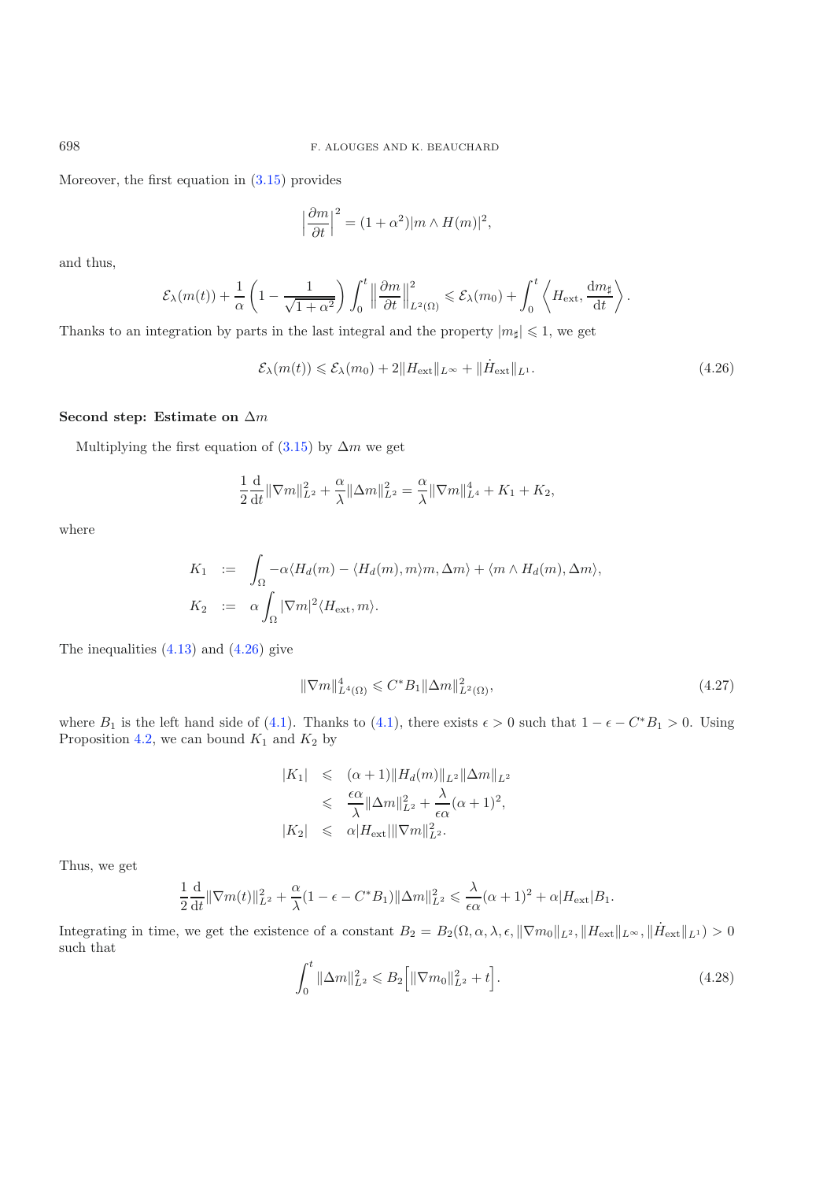Moreover, the first equation in [\(3.15\)](#page-12-0) provides

$$
\left|\frac{\partial m}{\partial t}\right|^2 = (1+\alpha^2)|m\wedge H(m)|^2,
$$

and thus,

$$
\mathcal{E}_{\lambda}(m(t)) + \frac{1}{\alpha} \left(1 - \frac{1}{\sqrt{1 + \alpha^2}}\right) \int_0^t \left\|\frac{\partial m}{\partial t}\right\|_{L^2(\Omega)}^2 \leqslant \mathcal{E}_{\lambda}(m_0) + \int_0^t \left\langle H_{\text{ext}}, \frac{dm_{\sharp}}{dt}\right\rangle.
$$

Thanks to an integration by parts in the last integral and the property  $|m_{\sharp}| \leq 1$ , we get

$$
\mathcal{E}_{\lambda}(m(t)) \leq \mathcal{E}_{\lambda}(m_0) + 2\|H_{\text{ext}}\|_{L^{\infty}} + \|\dot{H}_{\text{ext}}\|_{L^1}.
$$
\n(4.26)

#### **Second step: Estimate on** Δm

Multiplying the first equation of  $(3.15)$  by  $\Delta m$  we get

$$
\frac{1}{2}\frac{\mathrm{d}}{\mathrm{d}t} \|\nabla m\|_{L^2}^2 + \frac{\alpha}{\lambda} \|\Delta m\|_{L^2}^2 = \frac{\alpha}{\lambda} \|\nabla m\|_{L^4}^4 + K_1 + K_2,
$$

where

$$
K_1 := \int_{\Omega} -\alpha \langle H_d(m) - \langle H_d(m), m \rangle m, \Delta m \rangle + \langle m \wedge H_d(m), \Delta m \rangle,
$$
  
\n
$$
K_2 := \alpha \int_{\Omega} |\nabla m|^2 \langle H_{\text{ext}}, m \rangle.
$$

The inequalities  $(4.13)$  and  $(4.26)$  give

$$
\|\nabla m\|_{L^{4}(\Omega)}^{4} \leq C^{*}B_{1}\|\Delta m\|_{L^{2}(\Omega)}^{2},\tag{4.27}
$$

where  $B_1$  is the left hand side of [\(4.1\)](#page-14-4). Thanks to (4.1), there exists  $\epsilon > 0$  such that  $1 - \epsilon - C^*B_1 > 0$ . Using Proposition [4.2,](#page-17-1) we can bound  $K_1$  and  $K_2$  by

<span id="page-22-1"></span>
$$
|K_1| \leq (\alpha+1) ||H_d(m)||_{L^2} ||\Delta m||_{L^2}
$$
  
\n
$$
\leq \frac{\epsilon \alpha}{\lambda} ||\Delta m||_{L^2}^2 + \frac{\lambda}{\epsilon \alpha} (\alpha+1)^2,
$$
  
\n
$$
|K_2| \leq \alpha |H_{\text{ext}}||\nabla m||_{L^2}^2.
$$

Thus, we get

$$
\frac{1}{2}\frac{\mathrm{d}}{\mathrm{d}t}\|\nabla m(t)\|_{L^2}^2+\frac{\alpha}{\lambda}(1-\epsilon-C^*B_1)\|\Delta m\|_{L^2}^2\leqslant \frac{\lambda}{\epsilon\alpha}(\alpha+1)^2+\alpha|H_{\rm ext}|B_1.
$$

Integrating in time, we get the existence of a constant  $B_2 = B_2(\Omega, \alpha, \lambda, \epsilon, \|\nabla m_0\|_{L^2}, \|H_{ext}\|_{L^\infty}, \|\dot{H}_{ext}\|_{L^1}) > 0$ such that

$$
\int_0^t \|\Delta m\|_{L^2}^2 \leq B_2 \Big[ \|\nabla m_0\|_{L^2}^2 + t \Big]. \tag{4.28}
$$

<span id="page-22-0"></span>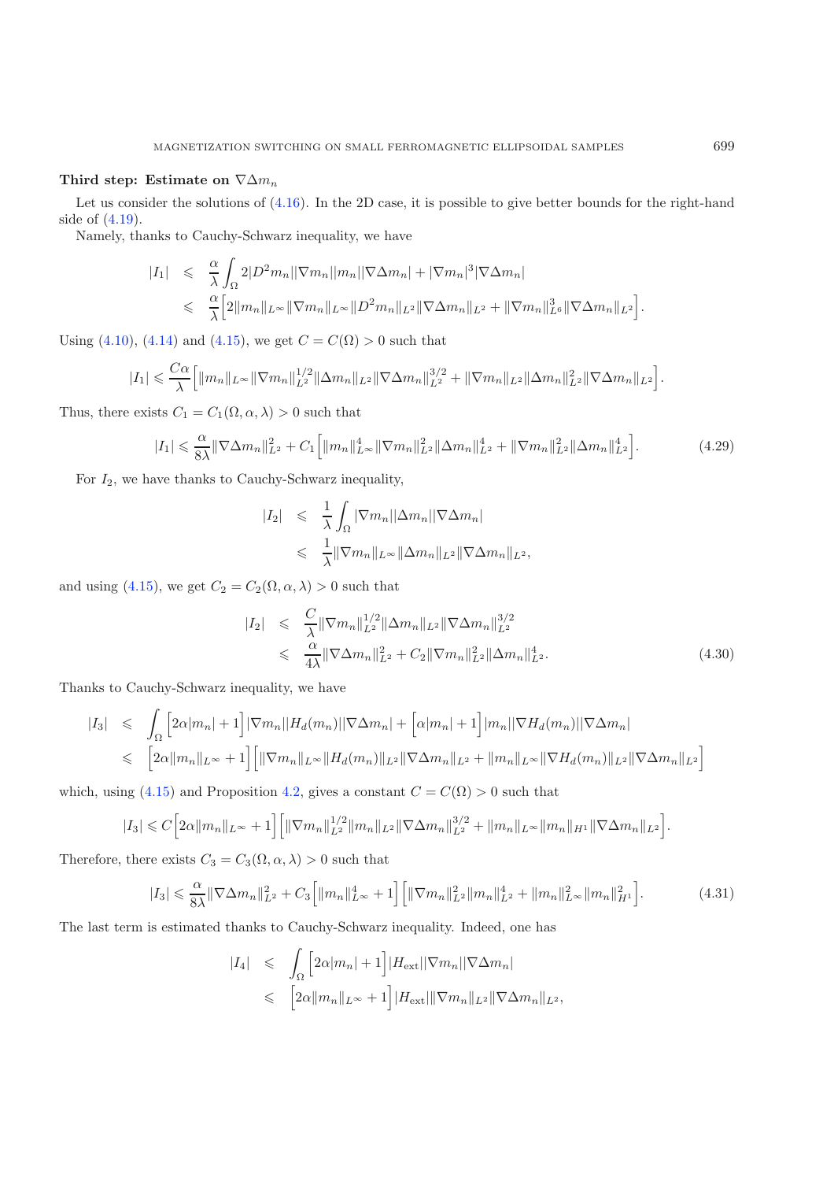#### **Third step: Estimate on**  $\nabla \Delta m_n$

Let us consider the solutions of [\(4.16\)](#page-18-1). In the 2D case, it is possible to give better bounds for the right-hand side of [\(4.19\)](#page-18-3).

<span id="page-23-0"></span>Namely, thanks to Cauchy-Schwarz inequality, we have

$$
|I_1| \leq \frac{\alpha}{\lambda} \int_{\Omega} 2|D^2 m_n||\nabla m_n||m_n||\nabla \Delta m_n| + |\nabla m_n|^3 |\nabla \Delta m_n|
$$
  

$$
\leq \frac{\alpha}{\lambda} \Big[ 2||m_n||_{L^{\infty}} ||\nabla m_n||_{L^{\infty}} ||D^2 m_n||_{L^2} ||\nabla \Delta m_n||_{L^2} + ||\nabla m_n||_{L^6} ||\nabla \Delta m_n||_{L^2} \Big].
$$

Using [\(4.10\)](#page-16-5), [\(4.14\)](#page-17-4) and [\(4.15\)](#page-17-5), we get  $C = C(\Omega) > 0$  such that

$$
|I_1| \leqslant \frac{C\alpha}{\lambda} \Big[ \|m_n\|_{L^\infty} \|\nabla m_n\|_{L^2}^{1/2} \|\Delta m_n\|_{L^2} \|\nabla \Delta m_n\|_{L^2}^{3/2} + \|\nabla m_n\|_{L^2} \|\Delta m_n\|_{L^2}^2 \|\nabla \Delta m_n\|_{L^2} \Big].
$$

Thus, there exists  $C_1 = C_1(\Omega, \alpha, \lambda) > 0$  such that

$$
|I_1| \leq \frac{\alpha}{8\lambda} \|\nabla \Delta m_n\|_{L^2}^2 + C_1 \Big[ \|m_n\|_{L^\infty}^4 \|\nabla m_n\|_{L^2}^2 \|\Delta m_n\|_{L^2}^4 + \|\nabla m_n\|_{L^2}^2 \|\Delta m_n\|_{L^2}^4 \Big].
$$
 (4.29)

For  $I_2$ , we have thanks to Cauchy-Schwarz inequality,

$$
\begin{array}{rcl}\n|I_2| & \leqslant & \frac{1}{\lambda} \int_{\Omega} |\nabla m_n| |\Delta m_n| |\nabla \Delta m_n| \\
& \leqslant & \frac{1}{\lambda} \|\nabla m_n\|_{L^\infty} \|\Delta m_n\|_{L^2} \|\nabla \Delta m_n\|_{L^2},\n\end{array}
$$

<span id="page-23-1"></span>and using [\(4.15\)](#page-17-5), we get  $C_2 = C_2(\Omega, \alpha, \lambda) > 0$  such that

$$
|I_2| \leq \frac{C}{\lambda} \|\nabla m_n\|_{L^2}^{1/2} \|\Delta m_n\|_{L^2} \|\nabla \Delta m_n\|_{L^2}^{3/2}
$$
  

$$
\leq \frac{\alpha}{4\lambda} \|\nabla \Delta m_n\|_{L^2}^2 + C_2 \|\nabla m_n\|_{L^2}^2 \|\Delta m_n\|_{L^2}^4.
$$
 (4.30)

<span id="page-23-2"></span>Thanks to Cauchy-Schwarz inequality, we have

$$
|I_3| \leq \int_{\Omega} \left[ 2\alpha |m_n| + 1 \right] |\nabla m_n| |H_d(m_n)| |\nabla \Delta m_n| + \left[ \alpha |m_n| + 1 \right] |m_n| |\nabla H_d(m_n)| |\nabla \Delta m_n|
$$
  

$$
\leq \left[ 2\alpha ||m_n||_{L^{\infty}} + 1 \right] \left[ ||\nabla m_n||_{L^{\infty}} ||H_d(m_n)||_{L^2} ||\nabla \Delta m_n||_{L^2} + ||m_n||_{L^{\infty}} ||\nabla H_d(m_n)||_{L^2} ||\nabla \Delta m_n||_{L^2} \right]
$$

which, using [\(4.15\)](#page-17-5) and Proposition [4.2,](#page-17-1) gives a constant  $C = C(\Omega) > 0$  such that

$$
|I_3| \leq C \Big[ 2\alpha \|m_n\|_{L^\infty} + 1 \Big] \Big[ \|\nabla m_n\|_{L^2}^{1/2} \|m_n\|_{L^2} \|\nabla \Delta m_n\|_{L^2}^{3/2} + \|m_n\|_{L^\infty} \|m_n\|_{H^1} \|\nabla \Delta m_n\|_{L^2} \Big].
$$

Therefore, there exists  $C_3 = C_3(\Omega, \alpha, \lambda) > 0$  such that

$$
|I_3| \leq \frac{\alpha}{8\lambda} \|\nabla \Delta m_n\|_{L^2}^2 + C_3 \Big[ \|m_n\|_{L^\infty}^4 + 1 \Big] \Big[ \|\nabla m_n\|_{L^2}^2 \|m_n\|_{L^2}^4 + \|m_n\|_{L^\infty}^2 \|m_n\|_{H^1}^2 \Big].
$$
 (4.31)

The last term is estimated thanks to Cauchy-Schwarz inequality. Indeed, one has

$$
|I_4| \leqslant \int_{\Omega} \left[ 2\alpha |m_n| + 1 \right] |H_{\text{ext}}| |\nabla m_n| |\nabla \Delta m_n|
$$
  

$$
\leqslant \left[ 2\alpha ||m_n||_{L^{\infty}} + 1 \right] |H_{\text{ext}}| ||\nabla m_n||_{L^2} ||\nabla \Delta m_n||_{L^2},
$$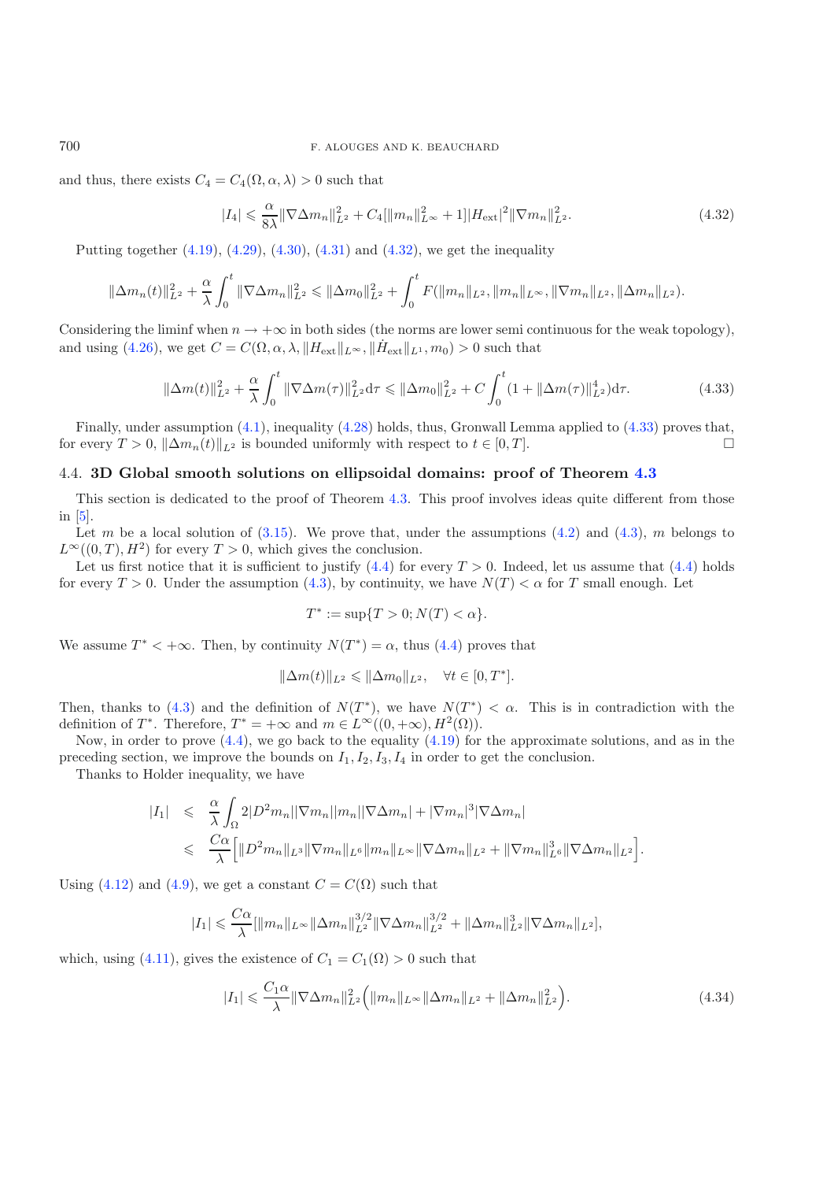### <span id="page-24-1"></span>700 F. ALOUGES AND K. BEAUCHARD

<span id="page-24-2"></span>and thus, there exists  $C_4 = C_4(\Omega, \alpha, \lambda) > 0$  such that

$$
|I_4| \leq \frac{\alpha}{8\lambda} \|\nabla \Delta m_n\|_{L^2}^2 + C_4 [\|m_n\|_{L^\infty}^2 + 1]|H_{\text{ext}}|^2 \|\nabla m_n\|_{L^2}^2. \tag{4.32}
$$

Putting together [\(4.19\)](#page-18-3), [\(4.29\)](#page-23-0), [\(4.30\)](#page-23-1), [\(4.31\)](#page-23-2) and [\(4.32\)](#page-24-1), we get the inequality

$$
\|\Delta m_n(t)\|_{L^2}^2 + \frac{\alpha}{\lambda} \int_0^t \|\nabla \Delta m_n\|_{L^2}^2 \le \|\Delta m_0\|_{L^2}^2 + \int_0^t F(\|m_n\|_{L^2}, \|m_n\|_{L^\infty}, \|\nabla m_n\|_{L^2}, \|\Delta m_n\|_{L^2}).
$$

Considering the liminf when  $n \to +\infty$  in both sides (the norms are lower semi continuous for the weak topology), and using [\(4.26\)](#page-22-0), we get  $C = C(\Omega, \alpha, \lambda, \|H_{ext}\|_{L^\infty}, \|H_{ext}\|_{L^1}, m_0) > 0$  such that

$$
\|\Delta m(t)\|_{L^2}^2 + \frac{\alpha}{\lambda} \int_0^t \|\nabla \Delta m(\tau)\|_{L^2}^2 d\tau \le \|\Delta m_0\|_{L^2}^2 + C \int_0^t (1 + \|\Delta m(\tau)\|_{L^2}^4) d\tau.
$$
 (4.33)

Finally, under assumption [\(4.1\)](#page-14-4), inequality [\(4.28\)](#page-22-1) holds, thus, Gronwall Lemma applied to [\(4.33\)](#page-24-2) proves that, for every  $T > 0$ ,  $\|\Delta m_n(t)\|_{L^2}$  is bounded uniformly with respect to  $t \in [0, T]$ .

## <span id="page-24-0"></span>4.4. **3D Global smooth solutions on ellipsoidal domains: proof of Theorem [4.3](#page-14-3)**

This section is dedicated to the proof of Theorem [4.3.](#page-14-3) This proof involves ideas quite different from those in [\[5\]](#page-35-4).

Let m be a local solution of  $(3.15)$ . We prove that, under the assumptions  $(4.2)$  and  $(4.3)$ , m belongs to  $L^{\infty}((0,T), H^2)$  for every  $T > 0$ , which gives the conclusion.

Let us first notice that it is sufficient to justify  $(4.4)$  for every  $T > 0$ . Indeed, let us assume that  $(4.4)$  holds for every  $T > 0$ . Under the assumption [\(4.3\)](#page-15-1), by continuity, we have  $N(T) < \alpha$  for T small enough. Let

$$
T^* := \sup\{T > 0; N(T) < \alpha\}.
$$

We assume  $T^* < +\infty$ . Then, by continuity  $N(T^*) = \alpha$ , thus [\(4.4\)](#page-15-2) proves that

$$
\|\Delta m(t)\|_{L^2} \leq \|\Delta m_0\|_{L^2}, \quad \forall t \in [0, T^*].
$$

Then, thanks to [\(4.3\)](#page-15-1) and the definition of  $N(T^*)$ , we have  $N(T^*) < \alpha$ . This is in contradiction with the definition of T<sup>\*</sup>. Therefore,  $T^* = +\infty$  and  $m \in L^{\infty}((0, +\infty), H^2(\Omega)).$ 

Now, in order to prove  $(4.4)$ , we go back to the equality  $(4.19)$  for the approximate solutions, and as in the preceding section, we improve the bounds on  $I_1, I_2, I_3, I_4$  in order to get the conclusion.

Thanks to Holder inequality, we have

<span id="page-24-3"></span>
$$
|I_1| \leq \frac{\alpha}{\lambda} \int_{\Omega} 2|D^2 m_n||\nabla m_n||m_n||\nabla \Delta m_n| + |\nabla m_n|^3 |\nabla \Delta m_n|
$$
  

$$
\leq \frac{C\alpha}{\lambda} \Big[ ||D^2 m_n||_{L^3} ||\nabla m_n||_{L^6} ||m_n||_{L^\infty} ||\nabla \Delta m_n||_{L^2} + ||\nabla m_n||_{L^6}^3 ||\nabla \Delta m_n||_{L^2} \Big].
$$

Using [\(4.12\)](#page-17-3) and [\(4.9\)](#page-16-4), we get a constant  $C = C(\Omega)$  such that

$$
|I_1| \leqslant \frac{C\alpha}{\lambda} [\|m_n\|_{L^\infty} \|\Delta m_n\|_{L^2}^{3/2} \|\nabla \Delta m_n\|_{L^2}^{3/2} + \|\Delta m_n\|_{L^2}^3 \|\nabla \Delta m_n\|_{L^2}],
$$

which, using [\(4.11\)](#page-17-2), gives the existence of  $C_1 = C_1(\Omega) > 0$  such that

$$
|I_1| \leq \frac{C_1 \alpha}{\lambda} \|\nabla \Delta m_n\|_{L^2}^2 \left( \|m_n\|_{L^\infty} \|\Delta m_n\|_{L^2} + \|\Delta m_n\|_{L^2}^2 \right). \tag{4.34}
$$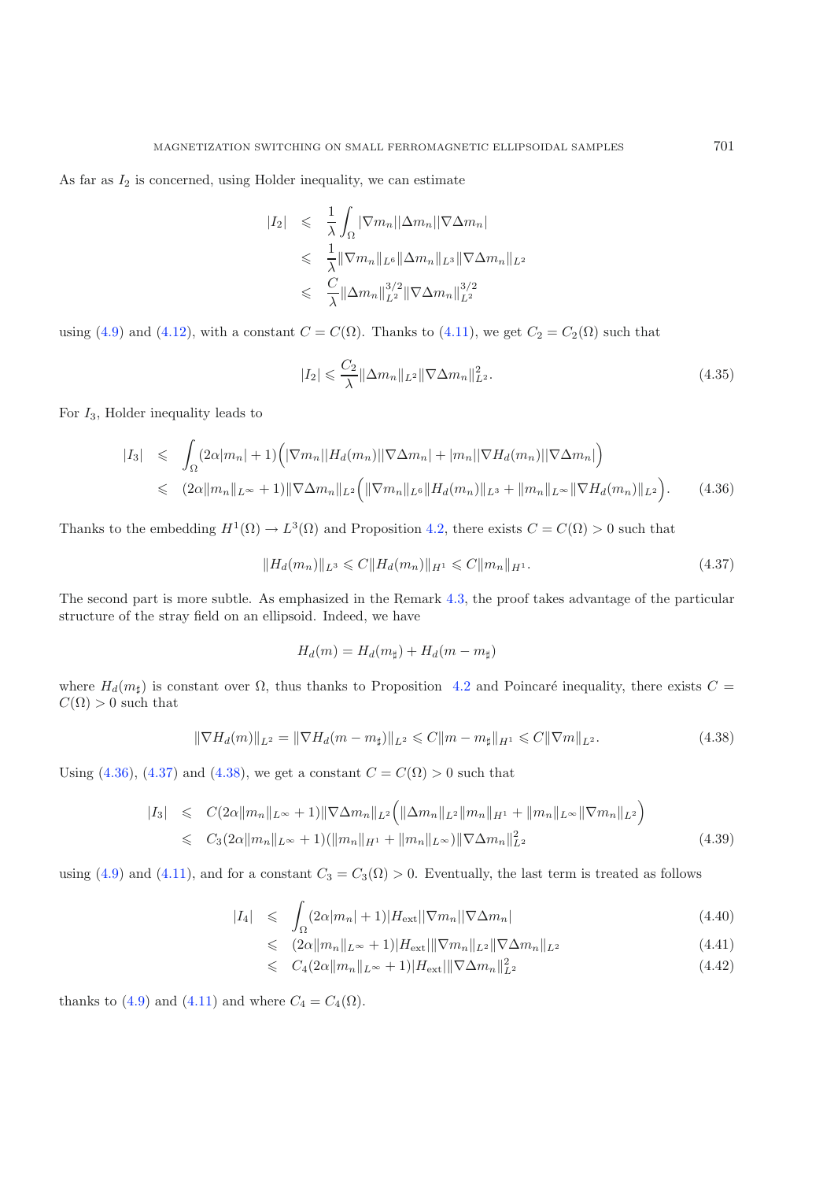As far as  $I_2$  is concerned, using Holder inequality, we can estimate

<span id="page-25-3"></span>
$$
|I_2| \leq \frac{1}{\lambda} \int_{\Omega} |\nabla m_n| |\Delta m_n| |\nabla \Delta m_n|
$$
  
\n
$$
\leq \frac{1}{\lambda} ||\nabla m_n||_{L^6} ||\Delta m_n||_{L^3} ||\nabla \Delta m_n||_{L^2}
$$
  
\n
$$
\leq \frac{C}{\lambda} ||\Delta m_n||_{L^2}^{3/2} ||\nabla \Delta m_n||_{L^2}^{3/2}
$$

using [\(4.9\)](#page-16-4) and [\(4.12\)](#page-17-3), with a constant  $C = C(\Omega)$ . Thanks to [\(4.11\)](#page-17-2), we get  $C_2 = C_2(\Omega)$  such that

$$
|I_2| \leqslant \frac{C_2}{\lambda} \|\Delta m_n\|_{L^2} \|\nabla \Delta m_n\|_{L^2}^2.
$$
\n(4.35)

<span id="page-25-0"></span>For  $I_3$ , Holder inequality leads to

<span id="page-25-1"></span>
$$
|I_3| \leqslant \int_{\Omega} (2\alpha |m_n| + 1) \Big( |\nabla m_n| |H_d(m_n)| |\nabla \Delta m_n| + |m_n| |\nabla H_d(m_n)| |\nabla \Delta m_n| \Big) \leqslant (2\alpha \|m_n\|_{L^{\infty}} + 1) \|\nabla \Delta m_n\|_{L^2} \Big( \|\nabla m_n\|_{L^6} \|H_d(m_n)\|_{L^3} + \|m_n\|_{L^{\infty}} \|\nabla H_d(m_n)\|_{L^2} \Big). \tag{4.36}
$$

<span id="page-25-2"></span>Thanks to the embedding  $H^1(\Omega) \to L^3(\Omega)$  and Proposition [4.2,](#page-17-1) there exists  $C = C(\Omega) > 0$  such that

$$
||H_d(m_n)||_{L^3} \leqslant C||H_d(m_n)||_{H^1} \leqslant C||m_n||_{H^1}.
$$
\n(4.37)

The second part is more subtle. As emphasized in the Remark [4.3,](#page-16-6) the proof takes advantage of the particular structure of the stray field on an ellipsoid. Indeed, we have

$$
H_d(m) = H_d(m_{\sharp}) + H_d(m - m_{\sharp})
$$

where  $H_d(m_\sharp)$  is constant over  $\Omega$ , thus thanks to Proposition [4.2](#page-17-1) and Poincaré inequality, there exists  $C =$  $C(\Omega) > 0$  such that

$$
\|\nabla H_d(m)\|_{L^2} = \|\nabla H_d(m - m_{\sharp})\|_{L^2} \leq C \|m - m_{\sharp}\|_{H^1} \leq C \|\nabla m\|_{L^2}.
$$
\n(4.38)

<span id="page-25-4"></span>Using [\(4.36\)](#page-25-0), [\(4.37\)](#page-25-1) and [\(4.38\)](#page-25-2), we get a constant  $C = C(\Omega) > 0$  such that

$$
|I_3| \leq C(2\alpha \|m_n\|_{L^{\infty}} + 1) \|\nabla \Delta m_n\|_{L^2} \left( \|\Delta m_n\|_{L^2} \|m_n\|_{H^1} + \|m_n\|_{L^{\infty}} \|\nabla m_n\|_{L^2} \right)
$$
  

$$
\leq C_3(2\alpha \|m_n\|_{L^{\infty}} + 1) (\|m_n\|_{H^1} + \|m_n\|_{L^{\infty}}) \|\nabla \Delta m_n\|_{L^2}^2
$$
(4.39)

<span id="page-25-5"></span>using [\(4.9\)](#page-16-4) and [\(4.11\)](#page-17-2), and for a constant  $C_3 = C_3(\Omega) > 0$ . Eventually, the last term is treated as follows

$$
|I_4| \leq \int_{\Omega} (2\alpha |m_n| + 1) |H_{\text{ext}}| |\nabla m_n| |\nabla \Delta m_n| \tag{4.40}
$$

$$
\leqslant (2\alpha \|m_n\|_{L^{\infty}} + 1) |H_{\text{ext}}| \|\nabla m_n\|_{L^2} \|\nabla \Delta m_n\|_{L^2}
$$
\n(4.41)

$$
\leqslant C_4(2\alpha \|m_n\|_{L^\infty} + 1)|H_{\text{ext}}|\|\nabla\Delta m_n\|_{L^2}^2 \tag{4.42}
$$

thanks to [\(4.9\)](#page-16-4) and [\(4.11\)](#page-17-2) and where  $C_4 = C_4(\Omega)$ .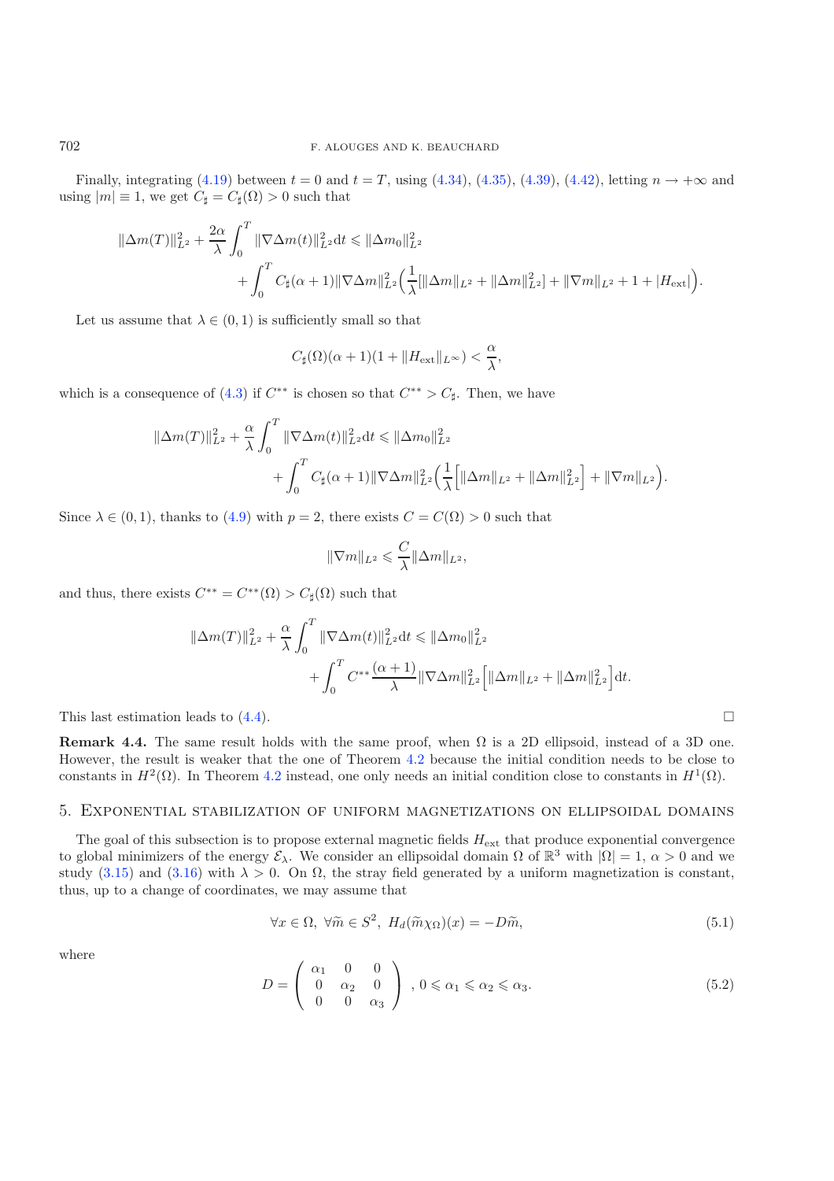Finally, integrating [\(4.19\)](#page-18-3) between  $t = 0$  and  $t = T$ , using [\(4.34\)](#page-24-3), [\(4.35\)](#page-25-3), [\(4.39\)](#page-25-4), [\(4.42\)](#page-25-5), letting  $n \to +\infty$  and using  $|m| \equiv 1$ , we get  $C_{\sharp} = C_{\sharp}(\Omega) > 0$  such that

$$
\begin{aligned} \|\Delta m(T)\|_{L^2}^2+\frac{2\alpha}{\lambda}\int_0^T\|\nabla\Delta m(t)\|_{L^2}^2\mathrm{d}t&\leqslant \|\Delta m_0\|_{L^2}^2\\ &\qquad+\int_0^TC_\sharp(\alpha+1)\|\nabla\Delta m\|_{L^2}^2\Big(\frac{1}{\lambda}[\|\Delta m\|_{L^2}+\|\Delta m\|_{L^2}^2]+\|\nabla m\|_{L^2}+1+|H_{\text{ext}}|\Big). \end{aligned}
$$

Let us assume that  $\lambda \in (0,1)$  is sufficiently small so that

$$
C_{\sharp}(\Omega)(\alpha+1)(1+\|H_{\rm ext}\|_{L^{\infty}})<\frac{\alpha}{\lambda},
$$

which is a consequence of [\(4.3\)](#page-15-1) if  $C^{**}$  is chosen so that  $C^{**} > C_{\sharp}$ . Then, we have

$$
\|\Delta m(T)\|_{L^{2}}^{2} + \frac{\alpha}{\lambda} \int_{0}^{T} \|\nabla \Delta m(t)\|_{L^{2}}^{2} dt \leq \|\Delta m_{0}\|_{L^{2}}^{2} + \int_{0}^{T} C_{\sharp}(\alpha+1) \|\nabla \Delta m\|_{L^{2}}^{2} \left(\frac{1}{\lambda} \Big[\|\Delta m\|_{L^{2}} + \|\Delta m\|_{L^{2}}^{2}\Big] + \|\nabla m\|_{L^{2}}\right).
$$

Since  $\lambda \in (0,1)$ , thanks to  $(4.9)$  with  $p = 2$ , there exists  $C = C(\Omega) > 0$  such that

$$
\|\nabla m\|_{L^2}\leqslant \frac{C}{\lambda}\|\Delta m\|_{L^2},
$$

and thus, there exists  $C^{**} = C^{**}(\Omega) > C_{\sharp}(\Omega)$  such that

<span id="page-26-1"></span>
$$
\begin{aligned} \|\Delta m(T)\|_{L^2}^2&+\frac{\alpha}{\lambda}\int_0^T\|\nabla\Delta m(t)\|_{L^2}^2\mathrm{d}t\leqslant \|\Delta m_0\|_{L^2}^2\\ &+\int_0^T C^{**}\frac{(\alpha+1)}{\lambda}\|\nabla\Delta m\|_{L^2}^2\Big[\|\Delta m\|_{L^2}+\|\Delta m\|_{L^2}^2\Big]\mathrm{d}t. \end{aligned}
$$

This last estimation leads to  $(4.4)$ .

<span id="page-26-2"></span>**Remark 4.4.** The same result holds with the same proof, when  $\Omega$  is a 2D ellipsoid, instead of a 3D one. However, the result is weaker that the one of Theorem [4.2](#page-14-2) because the initial condition needs to be close to constants in  $H^2(\Omega)$ . In Theorem [4.2](#page-14-2) instead, one only needs an initial condition close to constants in  $H^1(\Omega)$ .

## <span id="page-26-0"></span>5. Exponential stabilization of uniform magnetizations on ellipsoidal domains

The goal of this subsection is to propose external magnetic fields  $H_{\text{ext}}$  that produce exponential convergence to global minimizers of the energy  $\mathcal{E}_{\lambda}$ . We consider an ellipsoidal domain  $\Omega$  of  $\mathbb{R}^3$  with  $|\Omega| = 1$ ,  $\alpha > 0$  and we study [\(3.15\)](#page-12-0) and [\(3.16\)](#page-12-1) with  $\lambda > 0$ . On  $\Omega$ , the stray field generated by a uniform magnetization is constant, thus, up to a change of coordinates, we may assume that

$$
\forall x \in \Omega, \ \forall \widetilde{m} \in S^2, \ H_d(\widetilde{m}\chi_{\Omega})(x) = -D\widetilde{m}, \tag{5.1}
$$

where

$$
D = \left(\begin{array}{ccc} \alpha_1 & 0 & 0 \\ 0 & \alpha_2 & 0 \\ 0 & 0 & \alpha_3 \end{array}\right), \, 0 \leqslant \alpha_1 \leqslant \alpha_2 \leqslant \alpha_3. \tag{5.2}
$$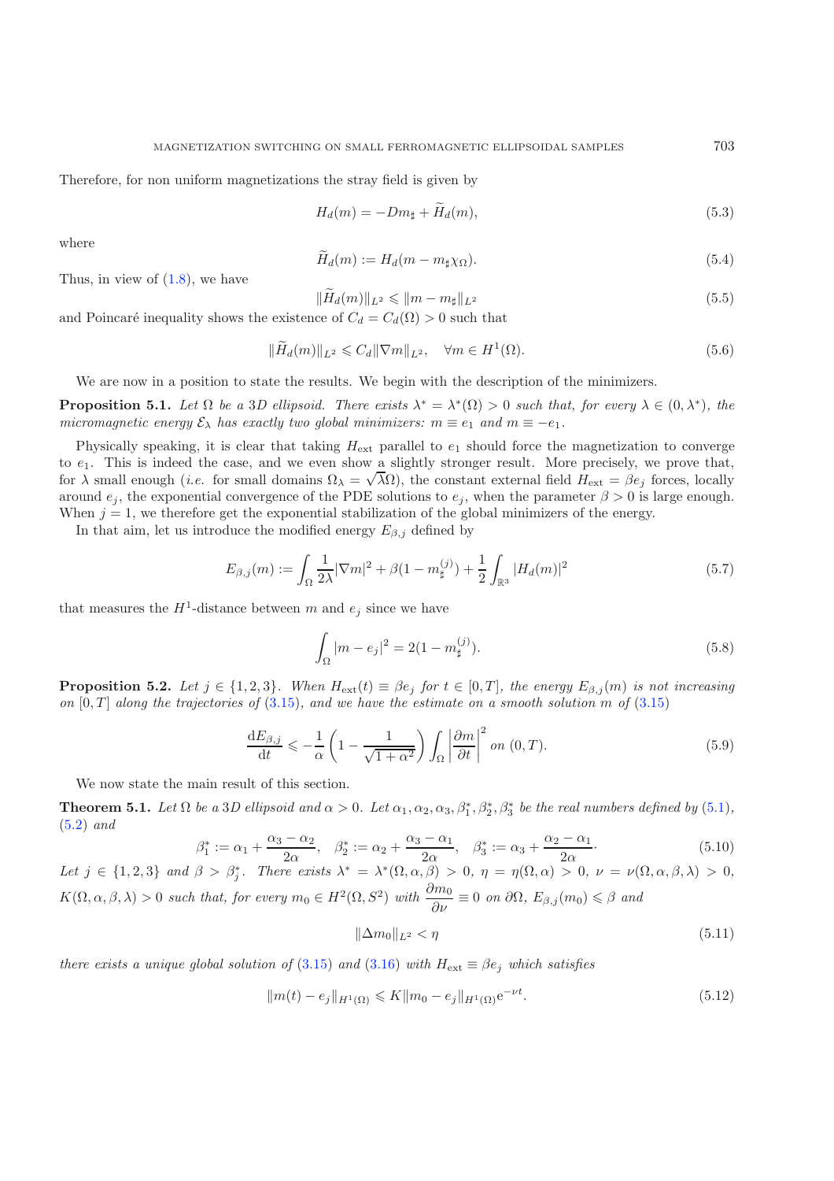<span id="page-27-8"></span>Therefore, for non uniform magnetizations the stray field is given by

<span id="page-27-10"></span><span id="page-27-6"></span><span id="page-27-5"></span>
$$
H_d(m) = -Dm_{\sharp} + \tilde{H}_d(m),\tag{5.3}
$$

where

$$
\tilde{H}_d(m) := H_d(m - m_\sharp \chi_\Omega). \tag{5.4}
$$

Thus, in view of  $(1.8)$ , we have

$$
\|\widetilde{H}_d(m)\|_{L^2} \le \|m - m_{\sharp}\|_{L^2} \tag{5.5}
$$

and Poincaré inequality shows the existence of  $C_d = C_d(\Omega) > 0$  such that

<span id="page-27-4"></span>
$$
\|\widetilde{H}_d(m)\|_{L^2} \leqslant C_d \|\nabla m\|_{L^2}, \quad \forall m \in H^1(\Omega). \tag{5.6}
$$

We are now in a position to state the results. We begin with the description of the minimizers.

<span id="page-27-0"></span>**Proposition 5.1.** *Let*  $\Omega$  *be a* 3*D ellipsoid. There exists*  $\lambda^* = \lambda^*(\Omega) > 0$  *such that, for every*  $\lambda \in (0, \lambda^*)$ *, the micromagnetic energy*  $\mathcal{E}_{\lambda}$  *has exactly two global minimizers:*  $m \equiv e_1$  *and*  $m \equiv -e_1$ *.* 

Physically speaking, it is clear that taking  $H_{ext}$  parallel to  $e_1$  should force the magnetization to converge to  $e_1$ . This is indeed the case, and we even show a slightly stronger result. More precisely, we prove that, to  $e_1$ . This is indeed the case, and we even show a singhtly stronger result. More precisely, we prove that, for  $\lambda$  small enough *(i.e.* for small domains  $\Omega_{\lambda} = \sqrt{\lambda} \Omega$ ), the constant external field  $H_{ext} = \beta e_j$  fo around  $e_j$ , the exponential convergence of the PDE solutions to  $e_j$ , when the parameter  $\beta > 0$  is large enough. When  $j = 1$ , we therefore get the exponential stabilization of the global minimizers of the energy.

<span id="page-27-7"></span>In that aim, let us introduce the modified energy  $E_{\beta,j}$  defined by

$$
E_{\beta,j}(m) := \int_{\Omega} \frac{1}{2\lambda} |\nabla m|^2 + \beta (1 - m_{\sharp}^{(j)}) + \frac{1}{2} \int_{\mathbb{R}^3} |H_d(m)|^2 \tag{5.7}
$$

<span id="page-27-9"></span>that measures the  $H^1$ -distance between m and  $e_i$  since we have

$$
\int_{\Omega} |m - e_j|^2 = 2(1 - m_{\sharp}^{(j)}).
$$
\n(5.8)

<span id="page-27-3"></span>**Proposition 5.2.** *Let*  $j \in \{1,2,3\}$ *. When*  $H_{ext}(t) \equiv \beta e_j$  *for*  $t \in [0,T]$ *, the energy*  $E_{\beta,j}(m)$  *is not increasing on*  $[0, T]$  *along the trajectories of*  $(3.15)$ *, and we have the estimate on a smooth solution* m *of*  $(3.15)$ 

<span id="page-27-1"></span>
$$
\frac{\mathrm{d}E_{\beta,j}}{\mathrm{d}t} \leqslant -\frac{1}{\alpha} \left( 1 - \frac{1}{\sqrt{1 + \alpha^2}} \right) \int_{\Omega} \left| \frac{\partial m}{\partial t} \right|^2 \, on \, (0,T). \tag{5.9}
$$

We now state the main result of this section.

<span id="page-27-2"></span>**Theorem 5.1.** Let  $\Omega$  be a 3D ellipsoid and  $\alpha > 0$ . Let  $\alpha_1, \alpha_2, \alpha_3, \beta_1^*, \beta_2^*, \beta_3^*$  be the real numbers defined by [\(5.1\)](#page-26-1), [\(5.2\)](#page-26-2) *and*

<span id="page-27-11"></span>
$$
\beta_1^* := \alpha_1 + \frac{\alpha_3 - \alpha_2}{2\alpha}, \quad \beta_2^* := \alpha_2 + \frac{\alpha_3 - \alpha_1}{2\alpha}, \quad \beta_3^* := \alpha_3 + \frac{\alpha_2 - \alpha_1}{2\alpha}.
$$
 (5.10)

Let  $j \in \{1, 2, 3\}$  and  $\beta > \beta_i^*$ . There exists  $\lambda^* = \lambda^*(\Omega, \alpha, \beta) > 0$ ,  $\eta = \eta(\Omega, \alpha) > 0$ ,  $\nu = \nu(\Omega, \alpha, \beta, \lambda) > 0$ ,  $K(\Omega, \alpha, \beta, \lambda) > 0$  such that, for every  $m_0 \in H^2(\Omega, S^2)$  with  $\frac{\partial m_0}{\partial \nu} \equiv 0$  on  $\partial \Omega$ ,  $E_{\beta, j}(m_0) \leq \beta$  and

$$
\|\Delta m_0\|_{L^2} < \eta \tag{5.11}
$$

*there exists a unique global solution of* [\(3.15\)](#page-12-0) *and* [\(3.16\)](#page-12-1) *with*  $H_{ext} \equiv \beta e_i$  *which satisfies* 

$$
||m(t) - e_j||_{H^1(\Omega)} \le K||m_0 - e_j||_{H^1(\Omega)} e^{-\nu t}.
$$
\n(5.12)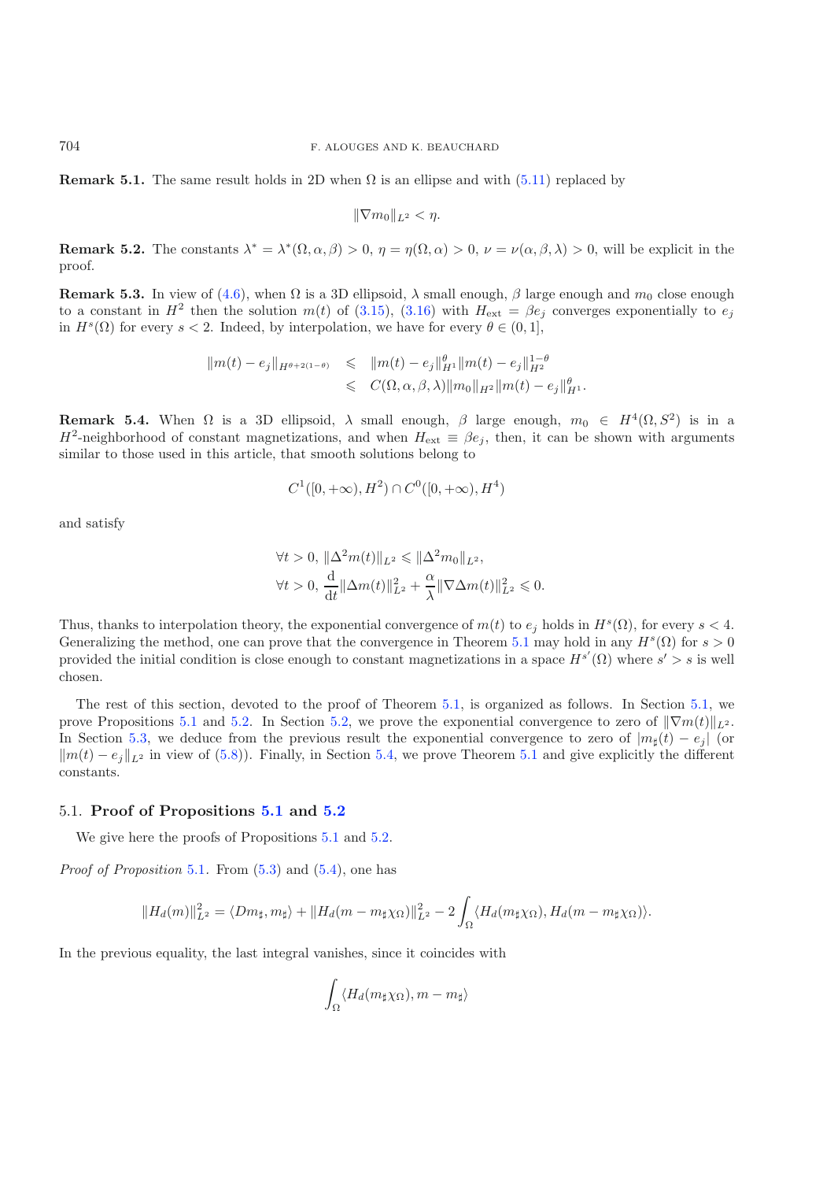**Remark 5.1.** The same result holds in 2D when  $\Omega$  is an ellipse and with [\(5.11\)](#page-27-1) replaced by

$$
\|\nabla m_0\|_{L^2}<\eta.
$$

**Remark 5.2.** The constants  $\lambda^* = \lambda^*(\Omega, \alpha, \beta) > 0$ ,  $\eta = \eta(\Omega, \alpha) > 0$ ,  $\nu = \nu(\alpha, \beta, \lambda) > 0$ , will be explicit in the proof.

**Remark 5.3.** In view of [\(4.6\)](#page-15-3), when  $\Omega$  is a 3D ellipsoid,  $\lambda$  small enough,  $\beta$  large enough and  $m_0$  close enough to a constant in  $H^2$  then the solution  $m(t)$  of [\(3.15\)](#page-12-0), [\(3.16\)](#page-12-1) with  $H_{\text{ext}} = \beta e_j$  converges exponentially to  $e_j$ in  $H<sup>s</sup>(\Omega)$  for every  $s < 2$ . Indeed, by interpolation, we have for every  $\theta \in (0,1]$ ,

$$
\begin{array}{rcl} \|m(t)-e_j\|_{H^{\theta+2(1-\theta)}} & \leqslant & \displaystyle \|m(t)-e_j\|_{H^1}^{\theta}\|m(t)-e_j\|_{H^2}^{1-\theta}\\ & \leqslant & C(\Omega,\alpha,\beta,\lambda)\|m_0\|_{H^2}\|m(t)-e_j\|_{H^1}^{\theta}. \end{array}
$$

**Remark 5.4.** When  $\Omega$  is a 3D ellipsoid,  $\lambda$  small enough,  $\beta$  large enough,  $m_0 \in H^4(\Omega, S^2)$  is in a  $H^2$ -neighborhood of constant magnetizations, and when  $H_{ext} \equiv \beta e_i$ , then, it can be shown with arguments similar to those used in this article, that smooth solutions belong to

$$
C^1([0, +\infty), H^2) \cap C^0([0, +\infty), H^4)
$$

and satisfy

$$
\forall t > 0, \ \|\Delta^2 m(t)\|_{L^2} \le \|\Delta^2 m_0\|_{L^2},
$$
  

$$
\forall t > 0, \ \frac{\mathrm{d}}{\mathrm{d}t} \|\Delta m(t)\|_{L^2}^2 + \frac{\alpha}{\lambda} \|\nabla \Delta m(t)\|_{L^2}^2 \le 0.
$$

Thus, thanks to interpolation theory, the exponential convergence of  $m(t)$  to  $e_i$  holds in  $H<sup>s</sup>(\Omega)$ , for every  $s < 4$ . Generalizing the method, one can prove that the convergence in Theorem [5.1](#page-27-2) may hold in any  $H^s(\Omega)$  for  $s > 0$ provided the initial condition is close enough to constant magnetizations in a space  $H^{s'}(\Omega)$  where  $s' > s$  is well chosen.

The rest of this section, devoted to the proof of Theorem [5.1,](#page-27-2) is organized as follows. In Section [5.1,](#page-28-0) we prove Propositions [5.1](#page-27-0) and [5.2.](#page-27-3) In Section [5.2,](#page-29-0) we prove the exponential convergence to zero of  $\|\nabla m(t)\|_{L^2}$ . In Section [5.3,](#page-31-0) we deduce from the previous result the exponential convergence to zero of  $|m_\sharp(t) - e_j|$  (or  $\|m(t) - e_j\|_{L^2}$  in view of [\(5.8\)](#page-27-4)). Finally, in Section [5.4,](#page-33-0) we prove Theorem [5.1](#page-27-2) and give explicitly the different constants.

#### <span id="page-28-0"></span>5.1. **Proof of Propositions [5.1](#page-27-0) and [5.2](#page-27-3)**

We give here the proofs of Propositions  $5.1$  and  $5.2$ .

*Proof of Proposition* [5.1](#page-27-0). From [\(5.3\)](#page-27-5) and [\(5.4\)](#page-27-6), one has

$$
||H_d(m)||_{L^2}^2 = \langle Dm_{\sharp}, m_{\sharp} \rangle + ||H_d(m - m_{\sharp}\chi_{\Omega})||_{L^2}^2 - 2\int_{\Omega} \langle H_d(m_{\sharp}\chi_{\Omega}), H_d(m - m_{\sharp}\chi_{\Omega}) \rangle.
$$

In the previous equality, the last integral vanishes, since it coincides with

$$
\int_{\Omega} \langle H_d(m_{\sharp}\chi_{\Omega}), m - m_{\sharp} \rangle
$$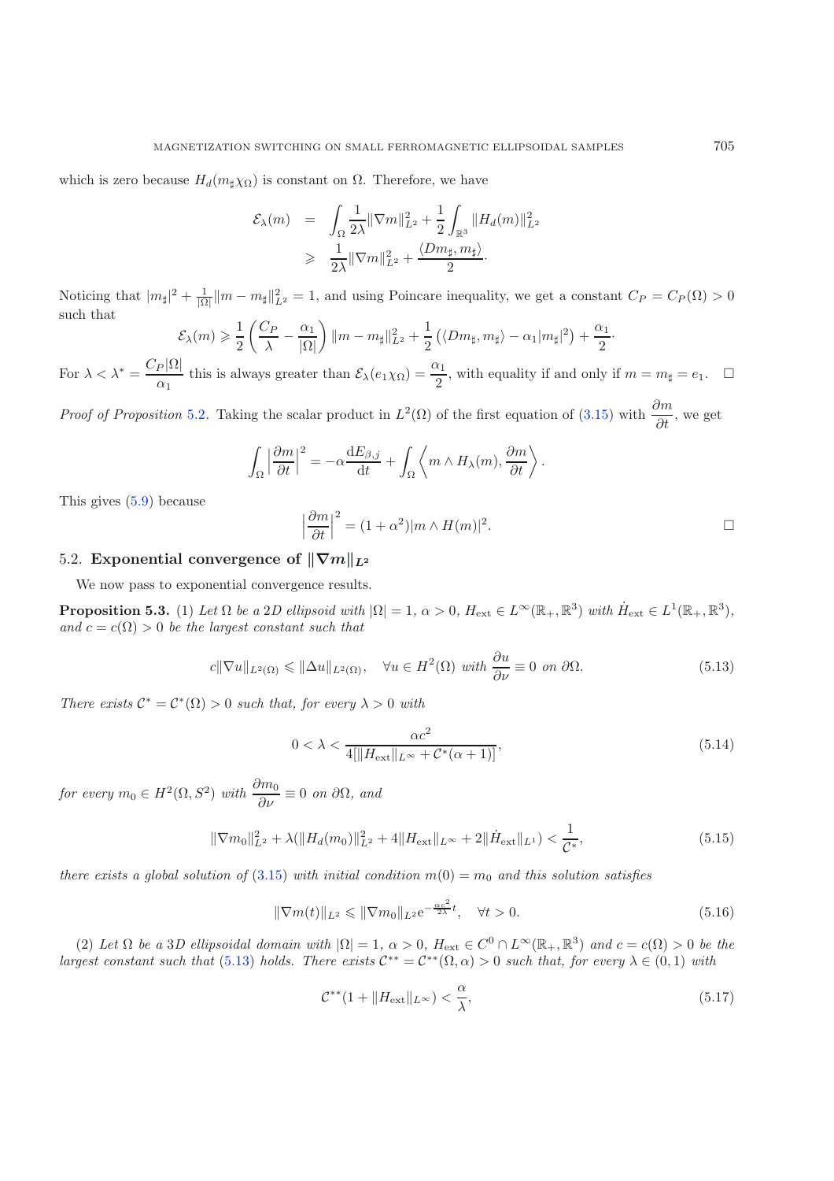which is zero because  $H_d(m_\sharp \chi_{\Omega})$  is constant on  $\Omega$ . Therefore, we have

$$
\mathcal{E}_{\lambda}(m) = \int_{\Omega} \frac{1}{2\lambda} ||\nabla m||_{L^{2}}^{2} + \frac{1}{2} \int_{\mathbb{R}^{3}} ||H_{d}(m)||_{L^{2}}^{2}
$$
  
\n
$$
\geq \frac{1}{2\lambda} ||\nabla m||_{L^{2}}^{2} + \frac{\langle Dm_{\sharp}, m_{\sharp} \rangle}{2}.
$$

Noticing that  $|m_{\sharp}|^2 + \frac{1}{|\Omega|} ||m - m_{\sharp}||_{L^2}^2 = 1$ , and using Poincare inequality, we get a constant  $C_P = C_P(\Omega) > 0$ such that

$$
\mathcal{E}_{\lambda}(m) \geqslant \frac{1}{2}\left(\frac{C_P}{\lambda}-\frac{\alpha_1}{|\Omega|}\right)\|m-m_{\sharp}\|_{L^2}^2+\frac{1}{2}\left(\langle Dm_{\sharp},m_{\sharp}\rangle-\alpha_1|m_{\sharp}|^2\right)+\frac{\alpha_1}{2}.
$$

For  $\lambda < \lambda^* = \frac{C_P |\Omega|}{\alpha_1}$  this is always greater than  $\mathcal{E}_{\lambda}(e_1 \chi_{\Omega}) = \frac{\alpha_1}{2}$ , with equality if and only if  $m = m_{\sharp} = e_1$ .  $\Box$ 

<span id="page-29-1"></span>*Proof of Proposition* [5.2](#page-27-3). Taking the scalar product in  $L^2(\Omega)$  of the first equation of [\(3.15\)](#page-12-0) with  $\frac{\partial m}{\partial t}$ , we get

<span id="page-29-6"></span>
$$
\int_{\Omega} \left| \frac{\partial m}{\partial t} \right|^2 = -\alpha \frac{\mathrm{d} E_{\beta,j}}{\mathrm{d} t} + \int_{\Omega} \left\langle m \wedge H_{\lambda}(m), \frac{\partial m}{\partial t} \right\rangle.
$$

This gives [\(5.9\)](#page-27-7) because

$$
\left|\frac{\partial m}{\partial t}\right|^2 = (1+\alpha^2)|m \wedge H(m)|^2.
$$

#### <span id="page-29-0"></span>5.2. **Exponential convergence of**  $\|\nabla m\|_{L^2}$

<span id="page-29-4"></span>We now pass to exponential convergence results.

<span id="page-29-3"></span>**Proposition 5.3.** (1) Let  $\Omega$  be a 2*D* ellipsoid with  $|\Omega| = 1$ ,  $\alpha > 0$ ,  $H_{ext} \in L^{\infty}(\mathbb{R}_+,\mathbb{R}^3)$  with  $\dot{H}_{ext} \in L^1(\mathbb{R}_+,\mathbb{R}^3)$ , *and*  $c = c(\Omega) > 0$  *be the largest constant such that* 

<span id="page-29-2"></span>
$$
c\|\nabla u\|_{L^2(\Omega)} \le \|\Delta u\|_{L^2(\Omega)}, \quad \forall u \in H^2(\Omega) \text{ with } \frac{\partial u}{\partial \nu} \equiv 0 \text{ on } \partial\Omega. \tag{5.13}
$$

*There exists*  $C^* = C^*(\Omega) > 0$  *such that, for every*  $\lambda > 0$  *with* 

$$
0 < \lambda < \frac{\alpha c^2}{4[\|H_{\text{ext}}\|_{L^\infty} + \mathcal{C}^*(\alpha + 1)]},\tag{5.14}
$$

*for every*  $m_0 \in H^2(\Omega, S^2)$  *with*  $\frac{\partial m_0}{\partial \nu} \equiv 0$  *on*  $\partial \Omega$ *, and* 

<span id="page-29-5"></span>
$$
\|\nabla m_0\|_{L^2}^2 + \lambda (\|H_d(m_0)\|_{L^2}^2 + 4\|H_{\text{ext}}\|_{L^\infty} + 2\|\dot{H}_{\text{ext}}\|_{L^1}) < \frac{1}{\mathcal{C}^*},\tag{5.15}
$$

*there exists a global solution of*  $(3.15)$  *with initial condition*  $m(0) = m_0$  *and this solution satisfies* 

$$
\|\nabla m(t)\|_{L^2} \le \|\nabla m_0\|_{L^2} e^{-\frac{\alpha c^2}{2\lambda}t}, \quad \forall t > 0.
$$
\n(5.16)

(2) Let  $\Omega$  be a 3*D* ellipsoidal domain with  $|\Omega| = 1$ ,  $\alpha > 0$ ,  $H_{ext} \in C^0 \cap L^{\infty}(\mathbb{R}_+, \mathbb{R}^3)$  and  $c = c(\Omega) > 0$  be the *largest constant such that* [\(5.13\)](#page-29-1) *holds. There exists*  $C^{**} = C^{**}(\Omega, \alpha) > 0$  *such that, for every*  $\lambda \in (0,1)$  *with* 

$$
\mathcal{C}^{**}(1 + \|H_{\text{ext}}\|_{L^\infty}) < \frac{\alpha}{\lambda},\tag{5.17}
$$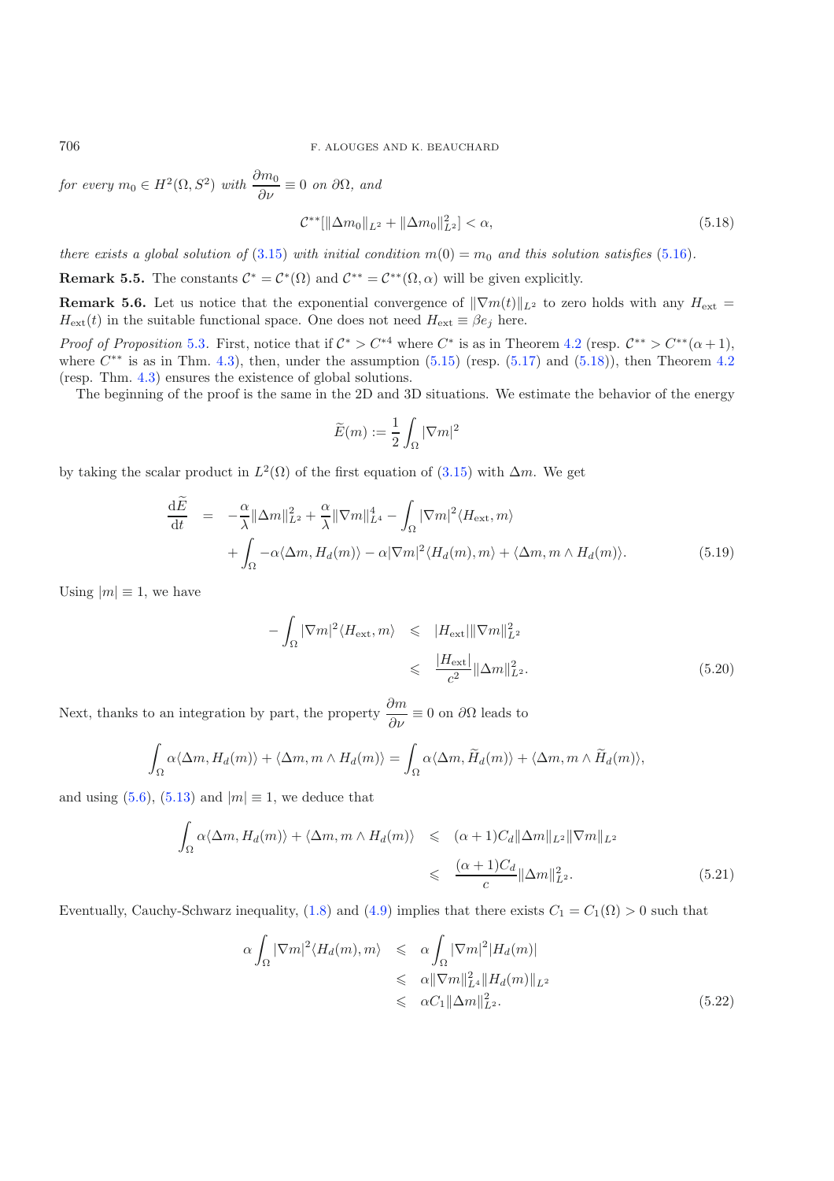*for every*  $m_0 \in H^2(\Omega, S^2)$  *with*  $\frac{\partial m_0}{\partial \nu} \equiv 0$  *on*  $\partial \Omega$ *, and* 

$$
\mathcal{C}^{**}[\|\Delta m_0\|_{L^2} + \|\Delta m_0\|_{L^2}^2] < \alpha,\tag{5.18}
$$

*there exists a global solution of* [\(3.15\)](#page-12-0) *with initial condition*  $m(0) = m_0$  *and this solution satisfies* [\(5.16\)](#page-29-2)*.* 

**Remark 5.5.** The constants  $\mathcal{C}^* = \mathcal{C}^*(\Omega)$  and  $\mathcal{C}^{**} = \mathcal{C}^{**}(\Omega, \alpha)$  will be given explicitly.

**Remark 5.6.** Let us notice that the exponential convergence of  $\|\nabla m(t)\|_{L^2}$  to zero holds with any  $H_{\text{ext}}$  =  $H_{ext}(t)$  in the suitable functional space. One does not need  $H_{ext} \equiv \beta e_j$  here.

*Proof of Proposition* [5.3](#page-29-3). First, notice that if  $C^* > C^{*4}$  where  $C^*$  is as in Theorem [4.2](#page-14-2) (resp.  $C^{**} > C^{**}(\alpha + 1)$ , where  $C^{**}$  is as in Thm. [4.3\)](#page-14-3), then, under the assumption  $(5.15)$  (resp.  $(5.17)$  and  $(5.18)$ ), then Theorem [4.2](#page-14-2) (resp. Thm. [4.3\)](#page-14-3) ensures the existence of global solutions.

The beginning of the proof is the same in the 2D and 3D situations. We estimate the behavior of the energy

$$
\widetilde{E}(m):=\frac{1}{2}\int_{\Omega}|\nabla m|^2
$$

<span id="page-30-1"></span>by taking the scalar product in  $L^2(\Omega)$  of the first equation of [\(3.15\)](#page-12-0) with  $\Delta m$ . We get

$$
\frac{\mathrm{d}\tilde{E}}{\mathrm{d}t} = -\frac{\alpha}{\lambda} \|\Delta m\|_{L^2}^2 + \frac{\alpha}{\lambda} \|\nabla m\|_{L^4}^4 - \int_{\Omega} |\nabla m|^2 \langle H_{\text{ext}}, m \rangle \n+ \int_{\Omega} -\alpha \langle \Delta m, H_d(m) \rangle - \alpha |\nabla m|^2 \langle H_d(m), m \rangle + \langle \Delta m, m \wedge H_d(m) \rangle.
$$
\n(5.19)

Using  $|m| \equiv 1$ , we have

<span id="page-30-2"></span>
$$
-\int_{\Omega} |\nabla m|^2 \langle H_{\text{ext}}, m \rangle \leqslant |H_{\text{ext}}| \|\nabla m\|_{L^2}^2
$$
  

$$
\leqslant \frac{|H_{\text{ext}}|}{c^2} \|\Delta m\|_{L^2}^2.
$$
 (5.20)

Next, thanks to an integration by part, the property  $\frac{\partial m}{\partial \nu} \equiv 0$  on  $\partial \Omega$  leads to

$$
\int_{\Omega} \alpha \langle \Delta m, H_d(m) \rangle + \langle \Delta m, m \wedge H_d(m) \rangle = \int_{\Omega} \alpha \langle \Delta m, \widetilde{H}_d(m) \rangle + \langle \Delta m, m \wedge \widetilde{H}_d(m) \rangle,
$$

<span id="page-30-3"></span>and using  $(5.6)$ ,  $(5.13)$  and  $|m| \equiv 1$ , we deduce that

$$
\int_{\Omega} \alpha \langle \Delta m, H_d(m) \rangle + \langle \Delta m, m \wedge H_d(m) \rangle \le (\alpha + 1) C_d ||\Delta m||_{L^2} ||\nabla m||_{L^2}
$$
\n
$$
\le \frac{(\alpha + 1) C_d ||\Delta m||_{L^2}^2}{c} ||\Delta m||_{L^2}^2. \tag{5.21}
$$

<span id="page-30-4"></span>Eventually, Cauchy-Schwarz inequality, [\(1.8\)](#page-1-4) and [\(4.9\)](#page-16-4) implies that there exists  $C_1 = C_1(\Omega) > 0$  such that

$$
\alpha \int_{\Omega} |\nabla m|^2 \langle H_d(m), m \rangle \leq \alpha \int_{\Omega} |\nabla m|^2 |H_d(m)|
$$
  
\n
$$
\leq \alpha ||\nabla m||_{L^4}^2 ||H_d(m)||_{L^2}
$$
  
\n
$$
\leq \alpha C_1 ||\Delta m||_{L^2}^2.
$$
\n(5.22)

<span id="page-30-0"></span>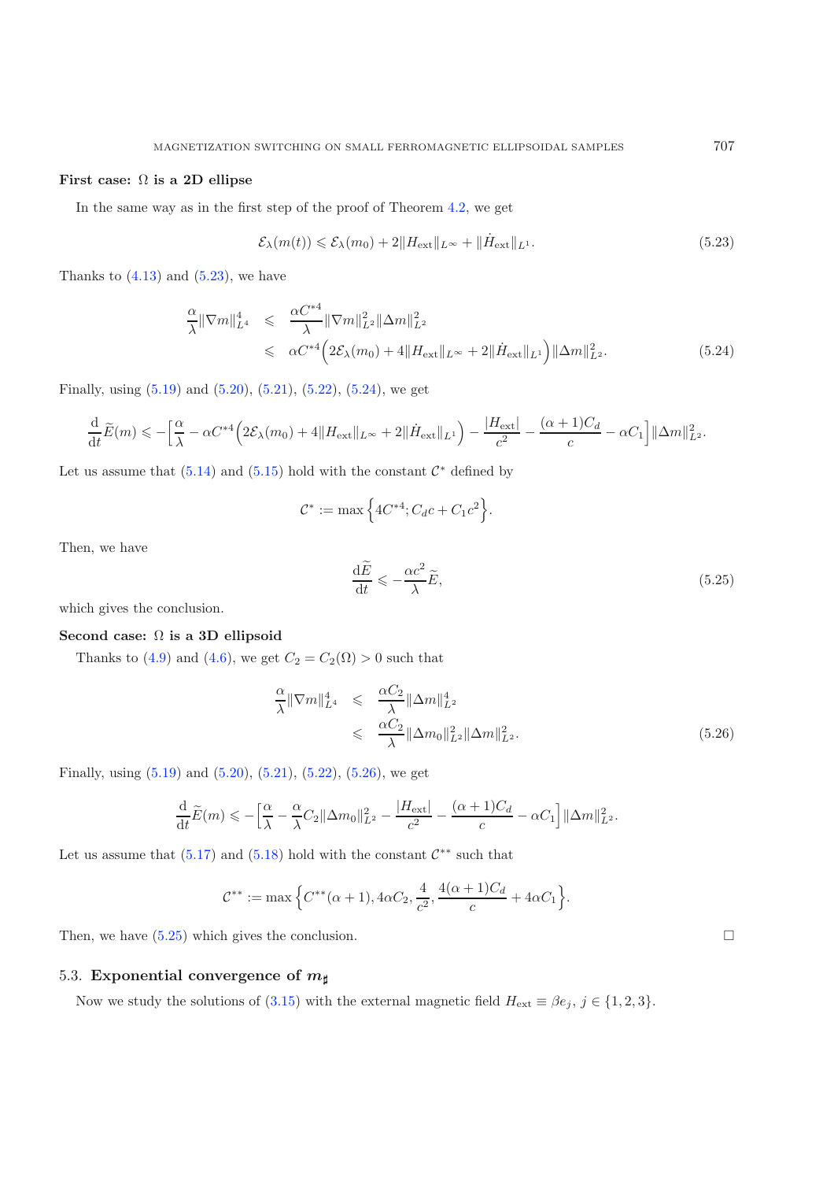#### <span id="page-31-1"></span>**First case:** Ω **is a 2D ellipse**

In the same way as in the first step of the proof of Theorem [4.2,](#page-14-2) we get

$$
\mathcal{E}_{\lambda}(m(t)) \leq \mathcal{E}_{\lambda}(m_0) + 2\|H_{\text{ext}}\|_{L^{\infty}} + \|\dot{H}_{\text{ext}}\|_{L^1}.
$$
\n(5.23)

<span id="page-31-2"></span>Thanks to  $(4.13)$  and  $(5.23)$ , we have

<span id="page-31-4"></span>
$$
\frac{\alpha}{\lambda} \|\nabla m\|_{L^4}^4 \leq \frac{\alpha C^{*4}}{\lambda} \|\nabla m\|_{L^2}^2 \|\Delta m\|_{L^2}^2 \leq \alpha C^{*4} \Big( 2\mathcal{E}_{\lambda}(m_0) + 4 \|H_{\text{ext}}\|_{L^\infty} + 2 \|\dot{H}_{\text{ext}}\|_{L^1} \Big) \|\Delta m\|_{L^2}^2.
$$
\n(5.24)

Finally, using [\(5.19\)](#page-30-1) and [\(5.20\)](#page-30-2), [\(5.21\)](#page-30-3), [\(5.22\)](#page-30-4), [\(5.24\)](#page-31-2), we get

$$
\frac{\mathrm{d}}{\mathrm{d}t}\widetilde{E}(m) \leqslant -\Big[\frac{\alpha}{\lambda} - \alpha C^{*4}\Big(2\mathcal{E}_{\lambda}(m_0) + 4\|H_{\text{ext}}\|_{L^{\infty}} + 2\|\dot{H}_{\text{ext}}\|_{L^1}\Big) - \frac{|H_{\text{ext}}|}{c^2} - \frac{(\alpha+1)C_d}{c} - \alpha C_1\Big] \|\Delta m\|_{L^2}^2.
$$

Let us assume that  $(5.14)$  and  $(5.15)$  hold with the constant  $\mathcal{C}^*$  defined by

$$
C^* := \max\Big\{4C^{*4}; C_d c + C_1 c^2\Big\}.
$$

Then, we have

$$
\frac{\mathrm{d}\tilde{E}}{\mathrm{d}t} \leqslant -\frac{\alpha c^2}{\lambda} \tilde{E},\tag{5.25}
$$

which gives the conclusion.

## **Second case:** Ω **is a 3D ellipsoid**

Thanks to [\(4.9\)](#page-16-4) and [\(4.6\)](#page-15-3), we get  $C_2 = C_2(\Omega) > 0$  such that

<span id="page-31-3"></span>
$$
\frac{\alpha}{\lambda} \|\nabla m\|_{L^4}^4 \leqslant \frac{\alpha C_2}{\lambda} \|\Delta m\|_{L^2}^4
$$
\n
$$
\leqslant \frac{\alpha C_2}{\lambda} \|\Delta m_0\|_{L^2}^2 \|\Delta m\|_{L^2}^2. \tag{5.26}
$$

Finally, using [\(5.19\)](#page-30-1) and [\(5.20\)](#page-30-2), [\(5.21\)](#page-30-3), [\(5.22\)](#page-30-4), [\(5.26\)](#page-31-3), we get

$$
\frac{\mathrm{d}}{\mathrm{d}t}\widetilde{E}(m)\leqslant-\Big[\frac{\alpha}{\lambda}-\frac{\alpha}{\lambda}C_2\|\Delta m_0\|_{L^2}^2-\frac{|H_{\rm ext}|}{c^2}-\frac{(\alpha+1)C_d}{c}-\alpha C_1\Big]\|\Delta m\|_{L^2}^2.
$$

Let us assume that [\(5.17\)](#page-29-5) and [\(5.18\)](#page-30-0) hold with the constant  $\mathcal{C}^{**}$  such that

$$
C^{**} := \max \Big\{ C^{**}(\alpha + 1), 4\alpha C_2, \frac{4}{c^2}, \frac{4(\alpha + 1)C_d}{c} + 4\alpha C_1 \Big\}.
$$

Then, we have  $(5.25)$  which gives the conclusion.

## <span id="page-31-0"></span>5.3. Exponential convergence of  $m_\sharp$

Now we study the solutions of [\(3.15\)](#page-12-0) with the external magnetic field  $H_{ext} \equiv \beta e_j$ ,  $j \in \{1, 2, 3\}$ .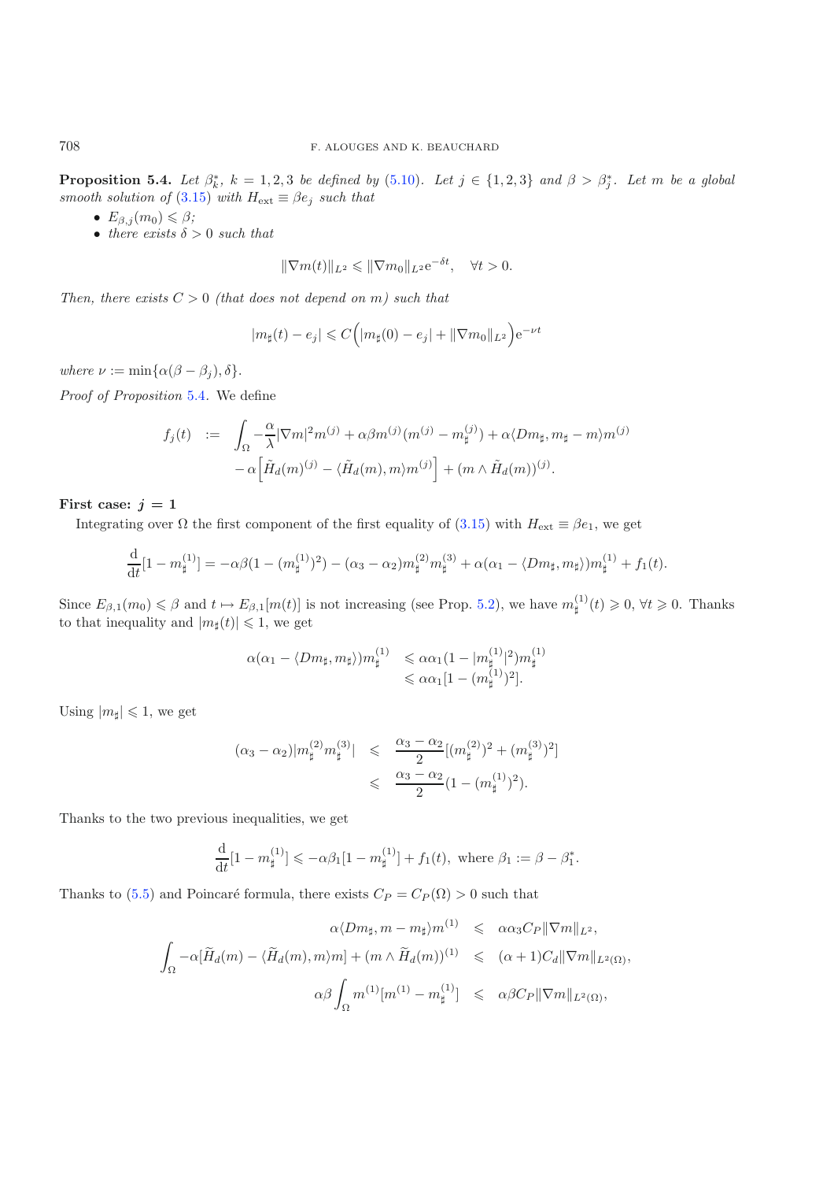<span id="page-32-0"></span>**Proposition 5.4.** Let  $\beta_k^*$ ,  $k = 1, 2, 3$  be defined by [\(5.10\)](#page-27-9). Let  $j \in \{1, 2, 3\}$  and  $\beta > \beta_j^*$ . Let m be a global *smooth solution of* [\(3.15\)](#page-12-0) *with*  $H_{ext} \equiv \beta e_j$  *such that* 

- $E_{\beta,j}(m_0) \leqslant \beta;$
- *there exists*  $\delta > 0$  *such that*

$$
\|\nabla m(t)\|_{L^2}\leqslant \|\nabla m_0\|_{L^2}e^{-\delta t},\quad \forall t>0.
$$

*Then, there exists*  $C > 0$  *(that does not depend on m) such that* 

$$
|m_{\sharp}(t) - e_j| \leq C (|m_{\sharp}(0) - e_j| + ||\nabla m_0||_{L^2}) e^{-\nu t}
$$

*where*  $\nu := \min{\{\alpha(\beta - \beta_j), \delta\}}$ .

*Proof of Proposition* [5.4](#page-32-0)*.* We define

$$
f_j(t) := \int_{\Omega} -\frac{\alpha}{\lambda} |\nabla m|^2 m^{(j)} + \alpha \beta m^{(j)} (m^{(j)} - m^{(j)}_{\sharp}) + \alpha \langle Dm_{\sharp}, m_{\sharp} - m \rangle m^{(j)} - \alpha \Big[ \tilde{H}_d(m)^{(j)} - \langle \tilde{H}_d(m), m \rangle m^{(j)} \Big] + (m \wedge \tilde{H}_d(m))^{(j)}.
$$

First case:  $j = 1$ 

Integrating over  $\Omega$  the first component of the first equality of [\(3.15\)](#page-12-0) with  $H_{ext} \equiv \beta e_1$ , we get

$$
\frac{\mathrm{d}}{\mathrm{d}t}[1-m_{\sharp}^{(1)}]=-\alpha\beta(1-(m_{\sharp}^{(1)})^2)-(\alpha_3-\alpha_2)m_{\sharp}^{(2)}m_{\sharp}^{(3)}+\alpha(\alpha_1-\langle Dm_{\sharp},m_{\sharp}\rangle)m_{\sharp}^{(1)}+f_1(t).
$$

Since  $E_{\beta,1}(m_0) \leq \beta$  and  $t \mapsto E_{\beta,1}[m(t)]$  is not increasing (see Prop. [5.2\)](#page-27-3), we have  $m_{\sharp}^{(1)}(t) \geq 0, \forall t \geq 0$ . Thanks to that inequality and  $|m_{\sharp}(t)| \leq 1$ , we get

$$
\alpha(\alpha_1 - \langle Dm_{\sharp}, m_{\sharp} \rangle) m_{\sharp}^{(1)} \leq \alpha \alpha_1 (1 - |m_{\sharp}^{(1)}|^2) m_{\sharp}^{(1)}
$$
  

$$
\leq \alpha \alpha_1 [1 - (m_{\sharp}^{(1)})^2].
$$

Using  $|m_{\sharp}| \leq 1$ , we get

$$
(\alpha_3 - \alpha_2)|m_{\sharp}^{(2)}m_{\sharp}^{(3)}| \leq \frac{\alpha_3 - \alpha_2}{2} [(m_{\sharp}^{(2)})^2 + (m_{\sharp}^{(3)})^2]
$$
  

$$
\leq \frac{\alpha_3 - \alpha_2}{2} (1 - (m_{\sharp}^{(1)})^2).
$$

Thanks to the two previous inequalities, we get

$$
\frac{\mathrm{d}}{\mathrm{d}t}[1-m_{\sharp}^{(1)}] \leqslant -\alpha\beta_1[1-m_{\sharp}^{(1)}] + f_1(t), \text{ where } \beta_1 := \beta - \beta_1^*.
$$

Thanks to [\(5.5\)](#page-27-10) and Poincaré formula, there exists  $C_P = C_P(\Omega) > 0$  such that

$$
\alpha \langle Dm_{\sharp}, m - m_{\sharp} \rangle m^{(1)} \leq \alpha \alpha_3 C_P ||\nabla m||_{L^2},
$$
  

$$
\int_{\Omega} -\alpha [\widetilde{H}_d(m) - \langle \widetilde{H}_d(m), m \rangle m] + (m \wedge \widetilde{H}_d(m))^{(1)} \leq (\alpha + 1) C_d ||\nabla m||_{L^2(\Omega)},
$$
  

$$
\alpha \beta \int_{\Omega} m^{(1)} [m^{(1)} - m_{\sharp}^{(1)}] \leq \alpha \beta C_P ||\nabla m||_{L^2(\Omega)},
$$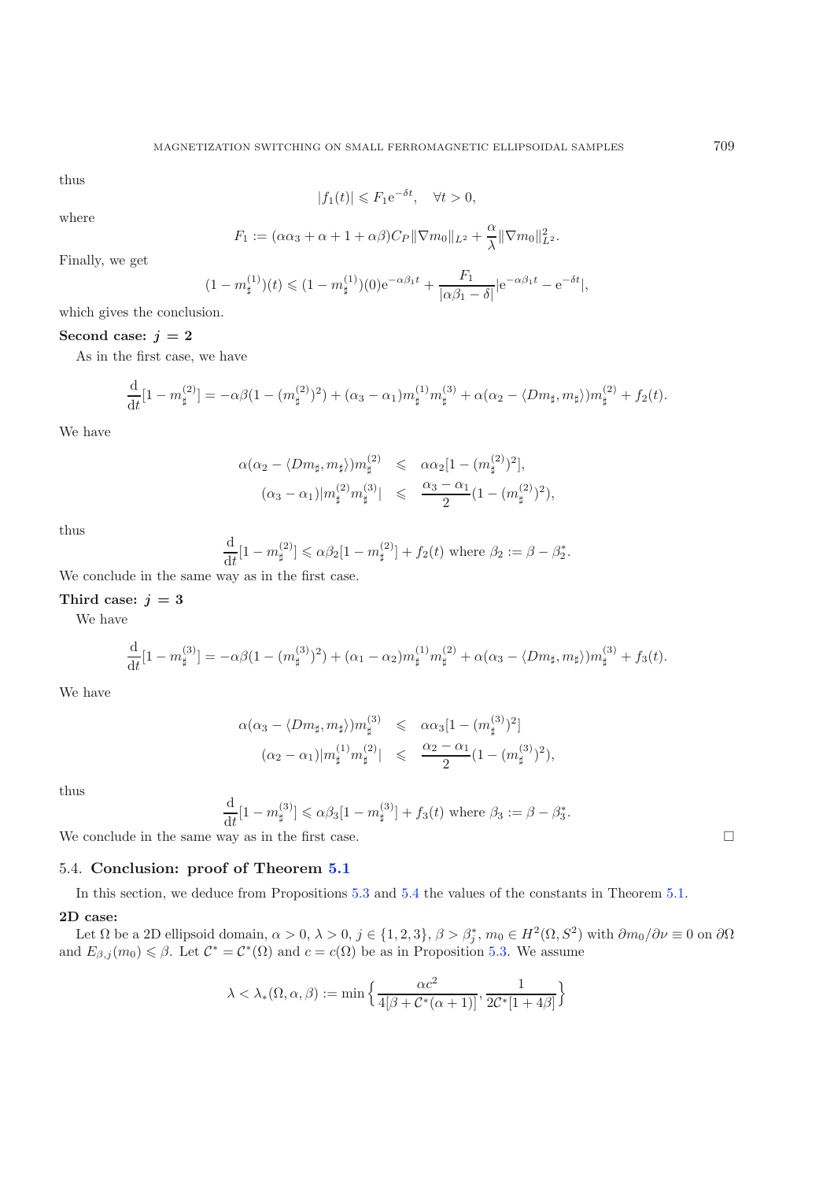thus

$$
|f_1(t)| \leq F_1 e^{-\delta t}, \quad \forall t > 0,
$$

where

$$
F_1 := (\alpha \alpha_3 + \alpha + 1 + \alpha \beta) C_P ||\nabla m_0||_{L^2} + \frac{\alpha}{\lambda} ||\nabla m_0||_{L^2}^2.
$$

Finally, we get

$$
(1 - m_{\sharp}^{(1)})(t) \leq (1 - m_{\sharp}^{(1)})(0)e^{-\alpha\beta_1 t} + \frac{F_1}{|\alpha\beta_1 - \delta|}|e^{-\alpha\beta_1 t} - e^{-\delta t}|,
$$

which gives the conclusion.

## Second case:  $j = 2$

As in the first case, we have

$$
\frac{\mathrm{d}}{\mathrm{d}t}[1-m_\sharp^{(2)}] = -\alpha\beta(1-(m_\sharp^{(2)})^2) + (\alpha_3-\alpha_1)m_\sharp^{(1)}m_\sharp^{(3)} + \alpha(\alpha_2-\langle Dm_\sharp,m_\sharp\rangle)m_\sharp^{(2)} + f_2(t).
$$

We have

$$
\alpha(\alpha_2 - \langle Dm_{\sharp}, m_{\sharp} \rangle) m_{\sharp}^{(2)} \leq \alpha \alpha_2 [1 - (m_{\sharp}^{(2)})^2],
$$
  

$$
(\alpha_3 - \alpha_1) |m_{\sharp}^{(2)} m_{\sharp}^{(3)}| \leq \frac{\alpha_3 - \alpha_1}{2} (1 - (m_{\sharp}^{(2)})^2),
$$

thus

$$
\frac{\mathrm{d}}{\mathrm{d}t}[1-m_{\sharp}^{(2)}] \leq \alpha \beta_2 [1-m_{\sharp}^{(2)}] + f_2(t) \text{ where } \beta_2 := \beta - \beta_2^*.
$$

We conclude in the same way as in the first case.

#### Third case:  $j = 3$

We have

$$
\frac{d}{dt}[1 - m_{\sharp}^{(3)}] = -\alpha \beta (1 - (m_{\sharp}^{(3)})^2) + (\alpha_1 - \alpha_2) m_{\sharp}^{(1)} m_{\sharp}^{(2)} + \alpha (\alpha_3 - \langle Dm_{\sharp}, m_{\sharp} \rangle) m_{\sharp}^{(3)} + f_3(t).
$$

We have

$$
\alpha(\alpha_3 - \langle Dm_{\sharp}, m_{\sharp} \rangle) m_{\sharp}^{(3)} \leq \alpha \alpha_3 [1 - (m_{\sharp}^{(3)})^2]
$$
  

$$
(\alpha_2 - \alpha_1) |m_{\sharp}^{(1)} m_{\sharp}^{(2)}| \leq \frac{\alpha_2 - \alpha_1}{2} (1 - (m_{\sharp}^{(3)})^2),
$$

thus

$$
\frac{\mathrm{d}}{\mathrm{d}t}[1-m_{\sharp}^{(3)}] \leq \alpha\beta_3[1-m_{\sharp}^{(3)}] + f_3(t) \text{ where } \beta_3 := \beta - \beta_3^*.
$$

We conclude in the same way as in the first case.  $\Box$ 

## <span id="page-33-0"></span>5.4. **Conclusion: proof of Theorem [5.1](#page-27-2)**

In this section, we deduce from Propositions [5.3](#page-29-3) and [5.4](#page-32-0) the values of the constants in Theorem [5.1.](#page-27-2)

#### **2D case:**

Let  $\Omega$  be a 2D ellipsoid domain,  $\alpha > 0$ ,  $\lambda > 0$ ,  $j \in \{1, 2, 3\}$ ,  $\beta > \beta_i^*$ ,  $m_0 \in H^2(\Omega, S^2)$  with  $\partial m_0/\partial \nu \equiv 0$  on  $\partial \Omega$ and  $E_{\beta,j}(m_0) \leq \beta$ . Let  $\mathcal{C}^* = \mathcal{C}^*(\Omega)$  and  $c = c(\Omega)$  be as in Proposition [5.3.](#page-29-3) We assume

$$
\lambda<\lambda_*(\Omega,\alpha,\beta):=\min\Big\{\frac{\alpha c^2}{4[\beta+\mathcal{C}^*(\alpha+1)]},\frac{1}{2\mathcal{C}^*[1+4\beta]}\Big\}
$$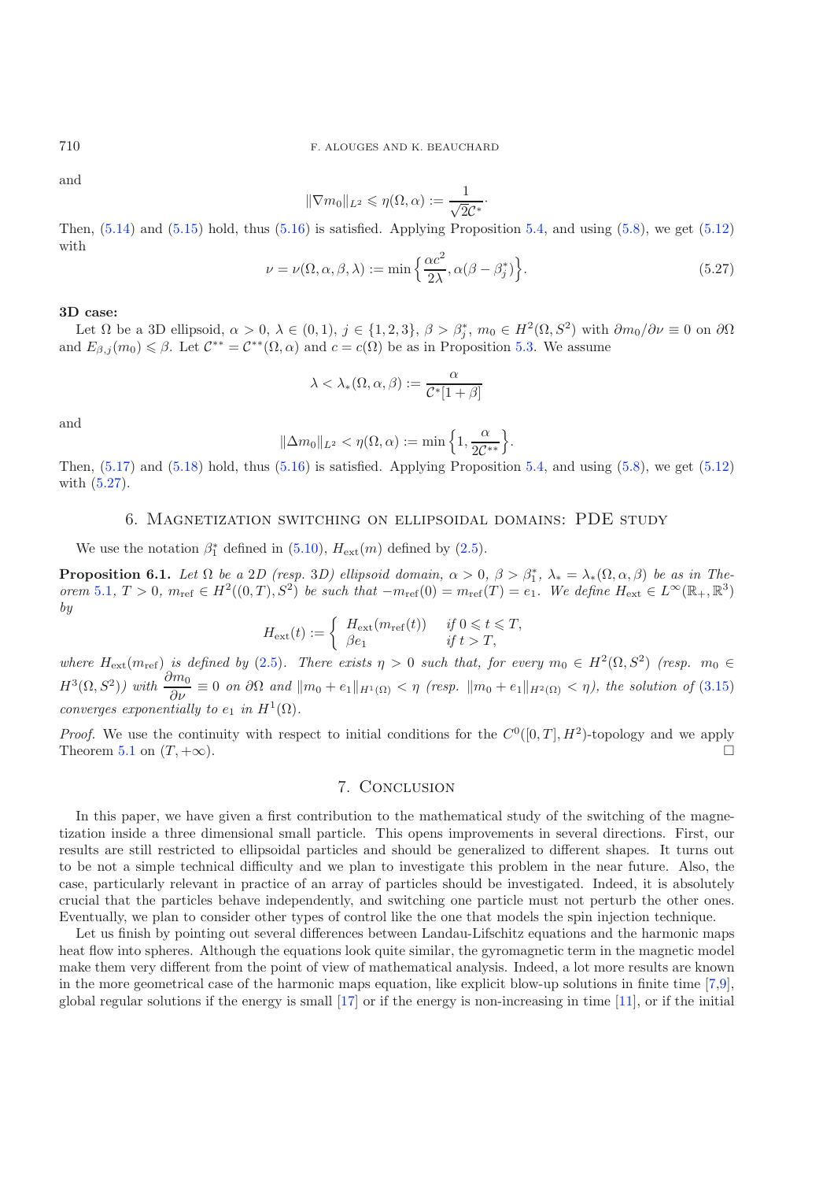and

$$
\|\nabla m_0\|_{L^2} \leqslant \eta(\Omega, \alpha) := \frac{1}{\sqrt{2}\mathcal{C}^*}.
$$

Then,  $(5.14)$  and  $(5.15)$  hold, thus  $(5.16)$  is satisfied. Applying Proposition [5.4,](#page-32-0) and using  $(5.8)$ , we get  $(5.12)$ with

$$
\nu = \nu(\Omega, \alpha, \beta, \lambda) := \min\left\{\frac{\alpha c^2}{2\lambda}, \alpha(\beta - \beta_j^*)\right\}.
$$
\n(5.27)

#### **3D case:**

Let  $\Omega$  be a 3D ellipsoid,  $\alpha > 0$ ,  $\lambda \in (0,1)$ ,  $j \in \{1,2,3\}$ ,  $\beta > \beta_i^*$ ,  $m_0 \in H^2(\Omega, S^2)$  with  $\partial m_0/\partial \nu \equiv 0$  on  $\partial \Omega$ and  $E_{\beta,j}(m_0) \leq \beta$ . Let  $\mathcal{C}^{**} = \mathcal{C}^{**}(\Omega, \alpha)$  and  $c = c(\Omega)$  be as in Proposition [5.3.](#page-29-3) We assume

$$
\lambda < \lambda_*(\Omega,\alpha,\beta) := \frac{\alpha}{\mathcal{C}^*[1+\beta]}
$$

and

$$
\|\Delta m_0\|_{L^2} < \eta(\Omega,\alpha) := \min\left\{1, \frac{\alpha}{2\mathcal{C}^{**}}\right\}.
$$

<span id="page-34-0"></span>Then,  $(5.17)$  and  $(5.18)$  hold, thus  $(5.16)$  is satisfied. Applying Proposition [5.4,](#page-32-0) and using  $(5.8)$ , we get  $(5.12)$ with [\(5.27\)](#page-34-1).

### 6. Magnetization switching on ellipsoidal domains: PDE study

We use the notation  $\beta_1^*$  defined in [\(5.10\)](#page-27-9),  $H_{\text{ext}}(m)$  defined by [\(2.5\)](#page-4-6).

**Proposition 6.1.** *Let*  $\Omega$  *be a* 2*D* (resp. 3*D)* ellipsoid domain,  $\alpha > 0$ ,  $\beta > \beta_1^*$ ,  $\lambda_* = \lambda_*(\Omega, \alpha, \beta)$  *be as in Theorem* [5.1](#page-27-2),  $T > 0$ ,  $m_{\text{ref}} \in H^2((0,T), S^2)$  *be such that*  $-m_{\text{ref}}(0) = m_{\text{ref}}(T) = e_1$ . We define  $H_{\text{ext}} \in L^{\infty}(\mathbb{R}_+, \mathbb{R}^3)$ *by*

$$
H_{\rm ext}(t) := \begin{cases} H_{\rm ext}(m_{\rm ref}(t)) & \text{if } 0 \leq t \leq T, \\ \beta e_1 & \text{if } t > T, \end{cases}
$$

*where*  $H_{ext}(m_{ref})$  *is defined by* [\(2.5\)](#page-4-6)*. There exists*  $\eta > 0$  *such that, for every*  $m_0 \in H^2(\Omega, S^2)$  *(resp.*  $m_0 \in H$  $H^3(\Omega, S^2)$  with  $\frac{\partial m_0}{\partial \nu} \equiv 0$  on  $\partial \Omega$  and  $\|m_0 + e_1\|_{H^1(\Omega)} < \eta$  (resp.  $\|m_0 + e_1\|_{H^2(\Omega)} < \eta$ ), the solution of [\(3.15\)](#page-12-0) *converges exponentially to*  $e_1$  *in*  $H^1(\Omega)$ *.* 

*Proof.* We use the continuity with respect to initial conditions for the  $C^0([0,T], H^2)$ -topology and we apply Theorem [5.1](#page-27-2) on  $(T, +\infty)$ .

# 7. Conclusion

In this paper, we have given a first contribution to the mathematical study of the switching of the magnetization inside a three dimensional small particle. This opens improvements in several directions. First, our results are still restricted to ellipsoidal particles and should be generalized to different shapes. It turns out to be not a simple technical difficulty and we plan to investigate this problem in the near future. Also, the case, particularly relevant in practice of an array of particles should be investigated. Indeed, it is absolutely crucial that the particles behave independently, and switching one particle must not perturb the other ones. Eventually, we plan to consider other types of control like the one that models the spin injection technique.

Let us finish by pointing out several differences between Landau-Lifschitz equations and the harmonic maps heat flow into spheres. Although the equations look quite similar, the gyromagnetic term in the magnetic model make them very different from the point of view of mathematical analysis. Indeed, a lot more results are known in the more geometrical case of the harmonic maps equation, like explicit blow-up solutions in finite time [\[7](#page-35-12)[,9\]](#page-35-13), global regular solutions if the energy is small  $\left[17\right]$  $\left[17\right]$  $\left[17\right]$  or if the energy is non-increasing in time  $\left[11\right]$ , or if the initial

<span id="page-34-1"></span>